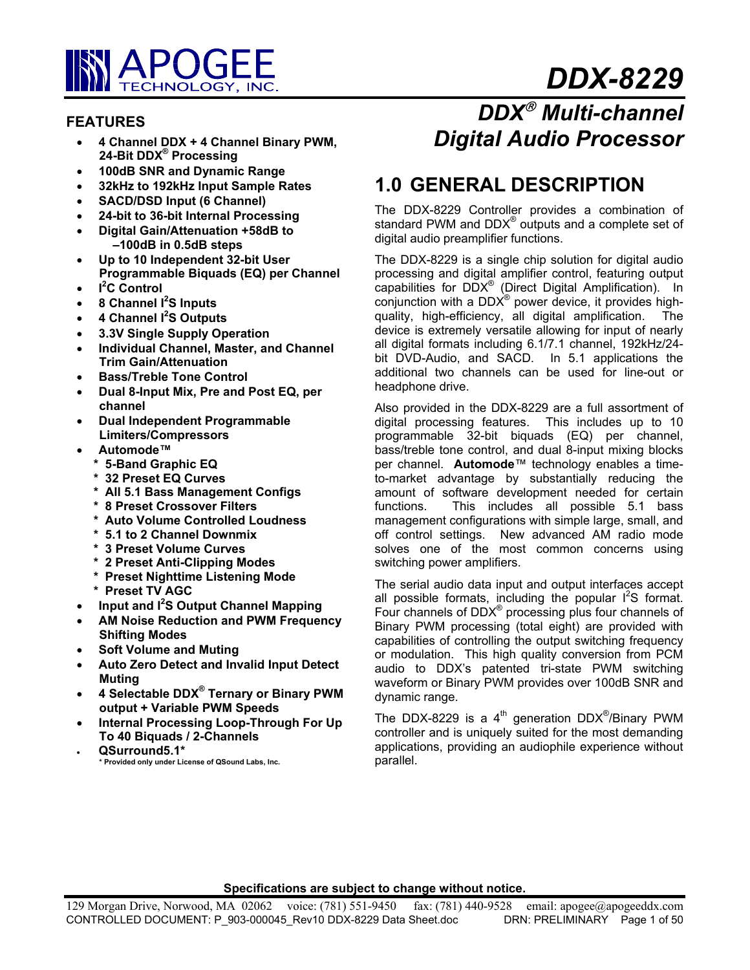

# *DDX-8229*

# **FEATURES**

- **4 Channel DDX + 4 Channel Binary PWM, 24-Bit DDX® Processing**
- **100dB SNR and Dynamic Range**
- **32kHz to 192kHz Input Sample Rates**
- **SACD/DSD Input (6 Channel)**
- **24-bit to 36-bit Internal Processing**
- **Digital Gain/Attenuation +58dB to –100dB in 0.5dB steps**
- **Up to 10 Independent 32-bit User Programmable Biquads (EQ) per Channel**
- **I 2 C Control**
- **8 Channel I2 S Inputs**
- **4 Channel I2 S Outputs**
- **3.3V Single Supply Operation**
- **Individual Channel, Master, and Channel Trim Gain/Attenuation**
- **Bass/Treble Tone Control**
- **Dual 8-Input Mix, Pre and Post EQ, per channel**
- **Dual Independent Programmable Limiters/Compressors**
- **Automode™** 
	- **\* 5-Band Graphic EQ**
	- **\* 32 Preset EQ Curves**
	- **\* All 5.1 Bass Management Configs**
	- **\* 8 Preset Crossover Filters**
	- **\* Auto Volume Controlled Loudness**
	- **\* 5.1 to 2 Channel Downmix**
	- **\* 3 Preset Volume Curves**
	- **\* 2 Preset Anti-Clipping Modes**
	- **\* Preset Nighttime Listening Mode**
	- **\* Preset TV AGC**
- **Input and I2 S Output Channel Mapping**
- **AM Noise Reduction and PWM Frequency Shifting Modes**
- **Soft Volume and Muting**
- **Auto Zero Detect and Invalid Input Detect Muting**
- **4 Selectable DDX® Ternary or Binary PWM output + Variable PWM Speeds**
- **Internal Processing Loop-Through For Up To 40 Biquads / 2-Channels**
- **QSurround5.1\* \* Provided only under License of QSound Labs, Inc.**

# *DDX Multi-channel Digital Audio Processor*

# **1.0 GENERAL DESCRIPTION**

The DDX-8229 Controller provides a combination of standard PWM and DDX $^{\circ}$  outputs and a complete set of digital audio preamplifier functions.

The DDX-8229 is a single chip solution for digital audio processing and digital amplifier control, featuring output capabilities for DDX® (Direct Digital Amplification). In conjunction with a DDX $^{\circ}$  power device, it provides highquality, high-efficiency, all digital amplification. The device is extremely versatile allowing for input of nearly all digital formats including 6.1/7.1 channel, 192kHz/24 bit DVD-Audio, and SACD. In 5.1 applications the additional two channels can be used for line-out or headphone drive.

Also provided in the DDX-8229 are a full assortment of digital processing features. This includes up to 10 programmable 32-bit biquads (EQ) per channel, bass/treble tone control, and dual 8-input mixing blocks per channel. **Automode**™ technology enables a timeto-market advantage by substantially reducing the amount of software development needed for certain functions. This includes all possible 5.1 bass management configurations with simple large, small, and off control settings. New advanced AM radio mode solves one of the most common concerns using switching power amplifiers.

The serial audio data input and output interfaces accept all possible formats, including the popular  $I^2S$  format. Four channels of DDX $^{\circ}$  processing plus four channels of Binary PWM processing (total eight) are provided with capabilities of controlling the output switching frequency or modulation. This high quality conversion from PCM audio to DDX's patented tri-state PWM switching waveform or Binary PWM provides over 100dB SNR and dynamic range.

The DDX-8229 is a 4<sup>th</sup> generation DDX<sup>®</sup>/Binary PWM controller and is uniquely suited for the most demanding applications, providing an audiophile experience without parallel.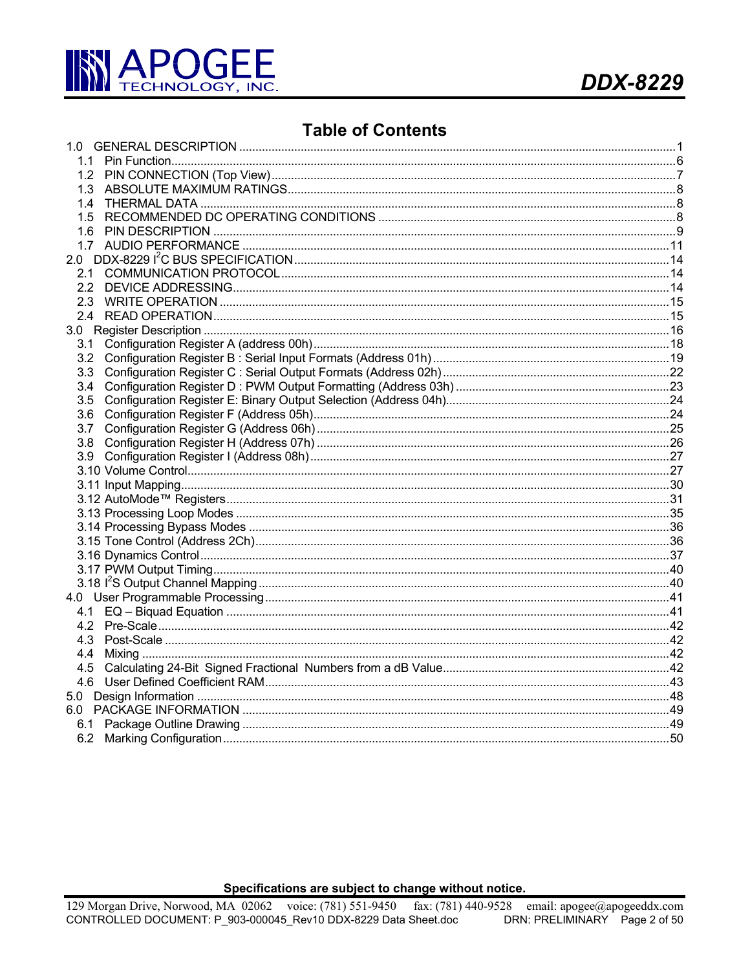

# **Table of Contents**

| 1.1 |  |
|-----|--|
|     |  |
|     |  |
|     |  |
|     |  |
|     |  |
|     |  |
|     |  |
|     |  |
|     |  |
|     |  |
|     |  |
|     |  |
|     |  |
|     |  |
|     |  |
| 3.4 |  |
|     |  |
|     |  |
| 3.7 |  |
|     |  |
|     |  |
|     |  |
|     |  |
|     |  |
|     |  |
|     |  |
|     |  |
|     |  |
|     |  |
|     |  |
|     |  |
|     |  |
|     |  |
|     |  |
| 4.4 |  |
|     |  |
|     |  |
|     |  |
|     |  |
|     |  |
|     |  |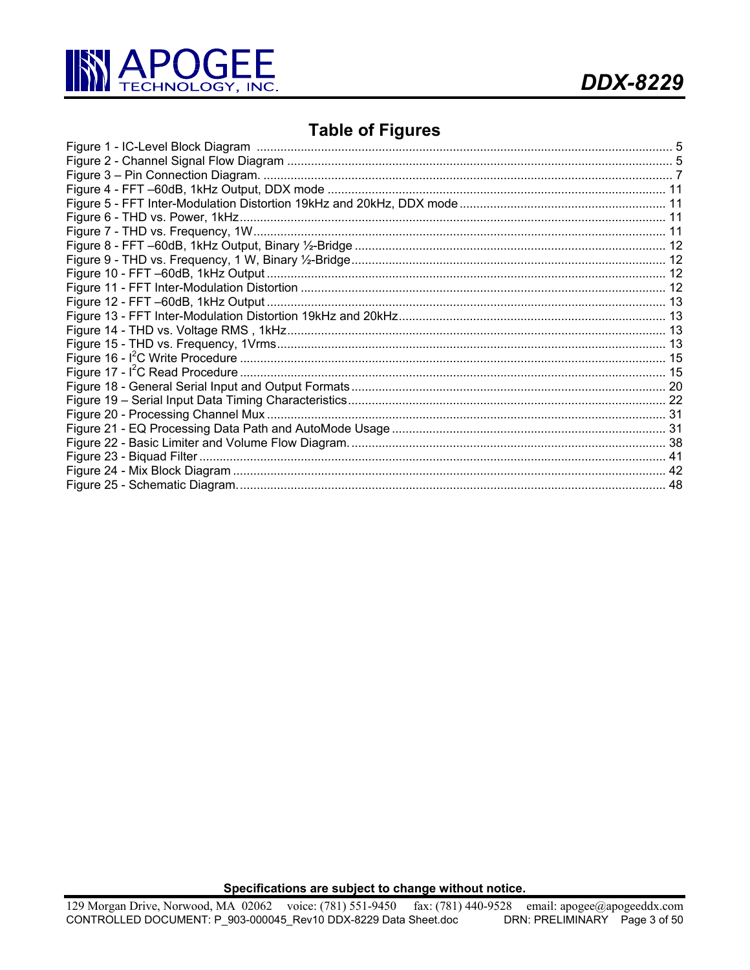

# **Table of Figures**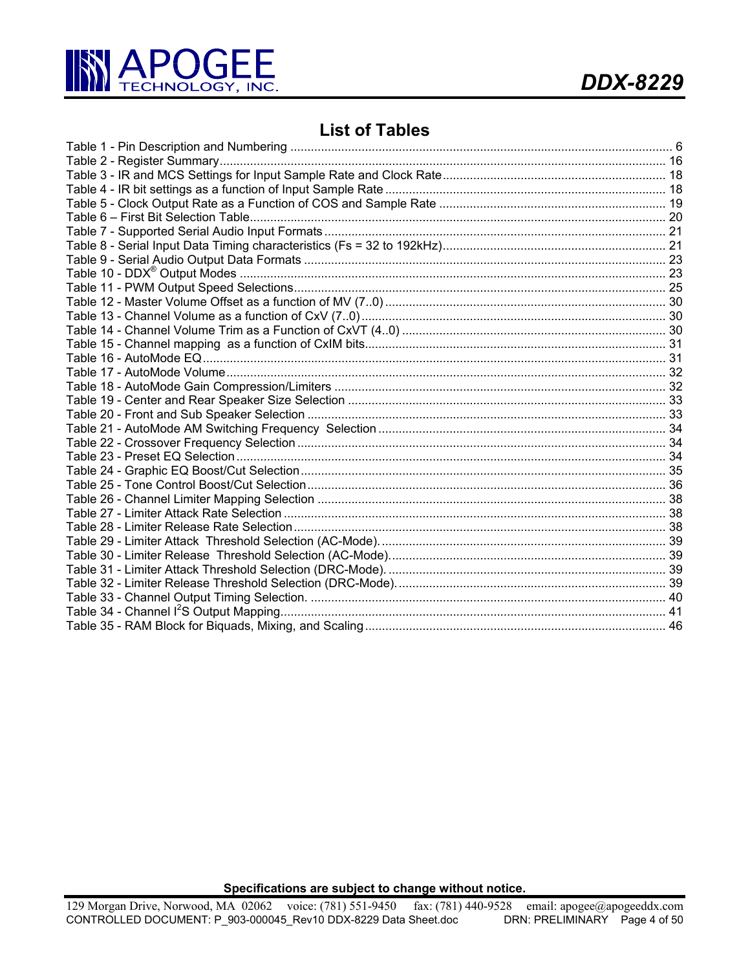

# **List of Tables**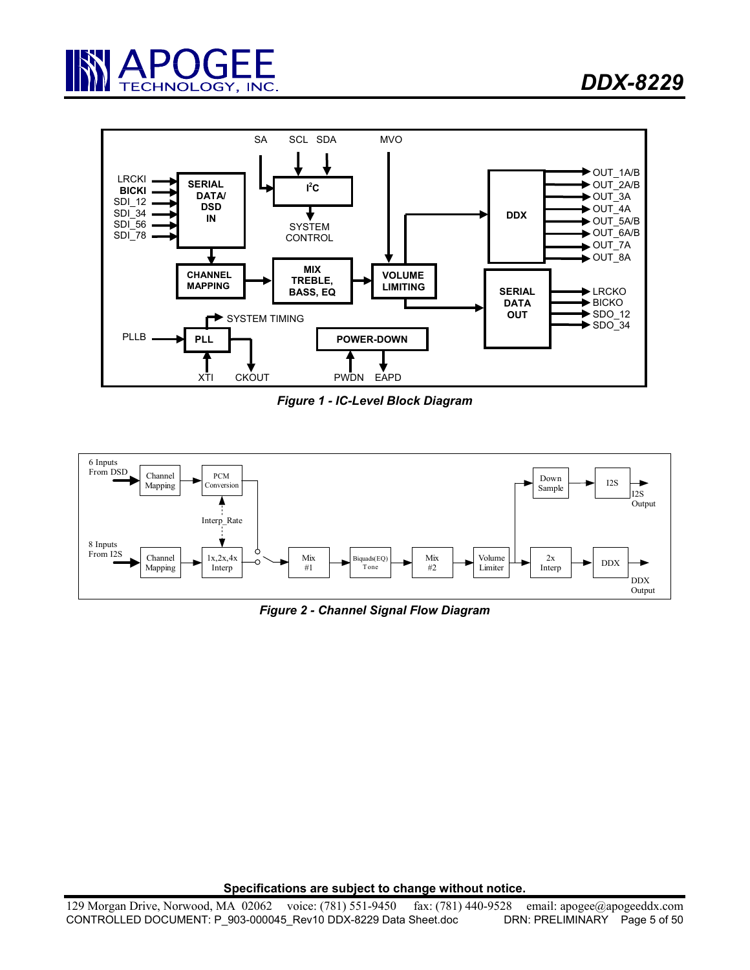



*Figure 1 - IC-Level Block Diagram* 



*Figure 2 - Channel Signal Flow Diagram*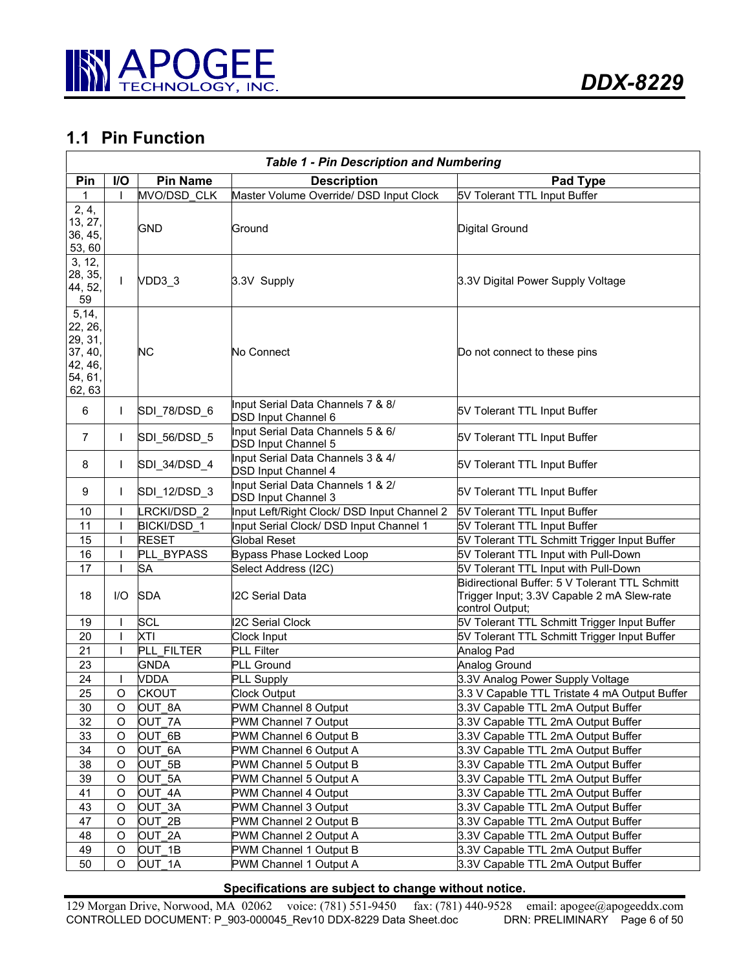

# **1.1 Pin Function**

|                                                                         | <b>Table 1 - Pin Description and Numbering</b> |                 |                                                                 |                                                                                                                 |  |  |  |
|-------------------------------------------------------------------------|------------------------------------------------|-----------------|-----------------------------------------------------------------|-----------------------------------------------------------------------------------------------------------------|--|--|--|
| Pin                                                                     | I/O                                            | <b>Pin Name</b> | <b>Description</b>                                              | Pad Type                                                                                                        |  |  |  |
| 1                                                                       |                                                | MVO/DSD CLK     | Master Volume Override/ DSD Input Clock                         | 5V Tolerant TTL Input Buffer                                                                                    |  |  |  |
| 2, 4,<br>13, 27,<br>36, 45,<br>53, 60                                   |                                                | <b>GND</b>      | Ground                                                          | Digital Ground                                                                                                  |  |  |  |
| 3, 12,<br>28, 35,<br>44, 52,<br>59                                      | T                                              | VDD3 3          | 3.3V Supply                                                     | 3.3V Digital Power Supply Voltage                                                                               |  |  |  |
| 5, 14,<br>22, 26,<br>29, 31,<br>37, 40,<br>42, 46,<br>54, 61,<br>62, 63 |                                                | <b>NC</b>       | No Connect                                                      | Do not connect to these pins                                                                                    |  |  |  |
| 6                                                                       | $\mathsf{I}$                                   | SDI 78/DSD 6    | Input Serial Data Channels 7 & 8/<br>DSD Input Channel 6        | 5V Tolerant TTL Input Buffer                                                                                    |  |  |  |
| $\overline{7}$                                                          | $\mathbf{I}$                                   | SDI_56/DSD_5    | Input Serial Data Channels 5 & 6/<br><b>DSD Input Channel 5</b> | 5V Tolerant TTL Input Buffer                                                                                    |  |  |  |
| 8                                                                       | $\mathbf{I}$                                   | SDI 34/DSD 4    | Input Serial Data Channels 3 & 4/<br><b>DSD Input Channel 4</b> | 5V Tolerant TTL Input Buffer                                                                                    |  |  |  |
| 9                                                                       | $\mathbf{I}$                                   | SDI 12/DSD 3    | Input Serial Data Channels 1 & 2/<br><b>DSD Input Channel 3</b> | 5V Tolerant TTL Input Buffer                                                                                    |  |  |  |
| 10                                                                      |                                                | LRCKI/DSD 2     | Input Left/Right Clock/ DSD Input Channel 2                     | 5V Tolerant TTL Input Buffer                                                                                    |  |  |  |
| 11                                                                      |                                                | BICKI/DSD 1     | Input Serial Clock/ DSD Input Channel 1                         | 5V Tolerant TTL Input Buffer                                                                                    |  |  |  |
| 15                                                                      |                                                | <b>RESET</b>    | <b>Global Reset</b>                                             | 5V Tolerant TTL Schmitt Trigger Input Buffer                                                                    |  |  |  |
| 16                                                                      |                                                | PLL BYPASS      | Bypass Phase Locked Loop                                        | 5V Tolerant TTL Input with Pull-Down                                                                            |  |  |  |
| 17                                                                      | $\overline{\phantom{a}}$                       | <b>SA</b>       | Select Address (I2C)                                            | 5V Tolerant TTL Input with Pull-Down                                                                            |  |  |  |
| 18                                                                      | $UO$                                           | <b>SDA</b>      | <b>I2C Serial Data</b>                                          | Bidirectional Buffer: 5 V Tolerant TTL Schmitt<br>Trigger Input; 3.3V Capable 2 mA Slew-rate<br>control Output; |  |  |  |
| 19                                                                      |                                                | SCL             | <b>I2C Serial Clock</b>                                         | 5V Tolerant TTL Schmitt Trigger Input Buffer                                                                    |  |  |  |
| 20                                                                      |                                                | XTI             | Clock Input                                                     | 5V Tolerant TTL Schmitt Trigger Input Buffer                                                                    |  |  |  |
| 21                                                                      |                                                | PLL FILTER      | PLL Filter                                                      | Analog Pad                                                                                                      |  |  |  |
| 23                                                                      |                                                | <b>GNDA</b>     | PLL Ground                                                      | Analog Ground                                                                                                   |  |  |  |
| 24                                                                      |                                                | <b>VDDA</b>     | PLL Supply                                                      | 3.3V Analog Power Supply Voltage                                                                                |  |  |  |
| 25                                                                      | O                                              | <b>CKOUT</b>    | <b>Clock Output</b>                                             | 3.3 V Capable TTL Tristate 4 mA Output Buffer                                                                   |  |  |  |
| 30                                                                      | O                                              | OUT 8A          | PWM Channel 8 Output                                            | 3.3V Capable TTL 2mA Output Buffer                                                                              |  |  |  |
| 32                                                                      | O                                              | OUT 7A          | PWM Channel 7 Output                                            | 3.3V Capable TTL 2mA Output Buffer                                                                              |  |  |  |
| 33                                                                      | O                                              | OUT 6B          | PWM Channel 6 Output B                                          | 3.3V Capable TTL 2mA Output Buffer                                                                              |  |  |  |
| 34                                                                      | O                                              | OUT 6A          | PWM Channel 6 Output A                                          | 3.3V Capable TTL 2mA Output Buffer                                                                              |  |  |  |
| 38                                                                      | O                                              | OUT 5B          | PWM Channel 5 Output B                                          | 3.3V Capable TTL 2mA Output Buffer                                                                              |  |  |  |
| 39                                                                      | O                                              | OUT 5A          | PWM Channel 5 Output A                                          | 3.3V Capable TTL 2mA Output Buffer                                                                              |  |  |  |
| 41                                                                      | O                                              | OUT 4A          | PWM Channel 4 Output                                            | 3.3V Capable TTL 2mA Output Buffer                                                                              |  |  |  |
| 43                                                                      | O                                              | OUT 3A          | PWM Channel 3 Output                                            | 3.3V Capable TTL 2mA Output Buffer                                                                              |  |  |  |
| 47                                                                      | O                                              | OUT 2B          | PWM Channel 2 Output B                                          | 3.3V Capable TTL 2mA Output Buffer                                                                              |  |  |  |
| 48                                                                      | O                                              | OUT 2A          | PWM Channel 2 Output A                                          | 3.3V Capable TTL 2mA Output Buffer                                                                              |  |  |  |
| 49                                                                      | O                                              | OUT 1B          | PWM Channel 1 Output B                                          | 3.3V Capable TTL 2mA Output Buffer                                                                              |  |  |  |
| 50                                                                      | $\circ$                                        | OUT 1A          | PWM Channel 1 Output A                                          | 3.3V Capable TTL 2mA Output Buffer                                                                              |  |  |  |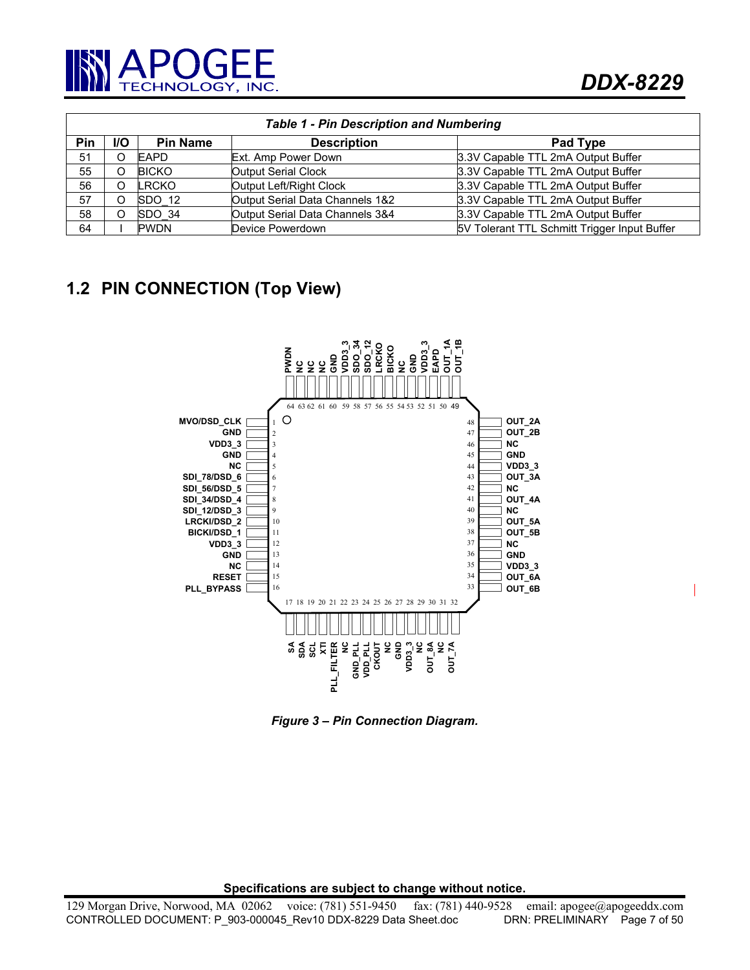

| <b>Table 1 - Pin Description and Numbering</b> |            |                 |                                 |                                              |  |
|------------------------------------------------|------------|-----------------|---------------------------------|----------------------------------------------|--|
| <b>Pin</b>                                     | <b>I/O</b> | <b>Pin Name</b> | <b>Description</b>              | Pad Type                                     |  |
| 51                                             | O          | <b>EAPD</b>     | Ext. Amp Power Down             | 3.3V Capable TTL 2mA Output Buffer           |  |
| 55                                             | Ω          | <b>BICKO</b>    | <b>Output Serial Clock</b>      | 3.3V Capable TTL 2mA Output Buffer           |  |
| 56                                             | O          | <b>LRCKO</b>    | Output Left/Right Clock         | 3.3V Capable TTL 2mA Output Buffer           |  |
| 57                                             | O          | SDO 12          | Output Serial Data Channels 1&2 | 3.3V Capable TTL 2mA Output Buffer           |  |
| 58                                             | Ω          | SDO 34          | Output Serial Data Channels 3&4 | 3.3V Capable TTL 2mA Output Buffer           |  |
| 64                                             |            | <b>PWDN</b>     | Device Powerdown                | 5V Tolerant TTL Schmitt Trigger Input Buffer |  |

# **1.2 PIN CONNECTION (Top View)**

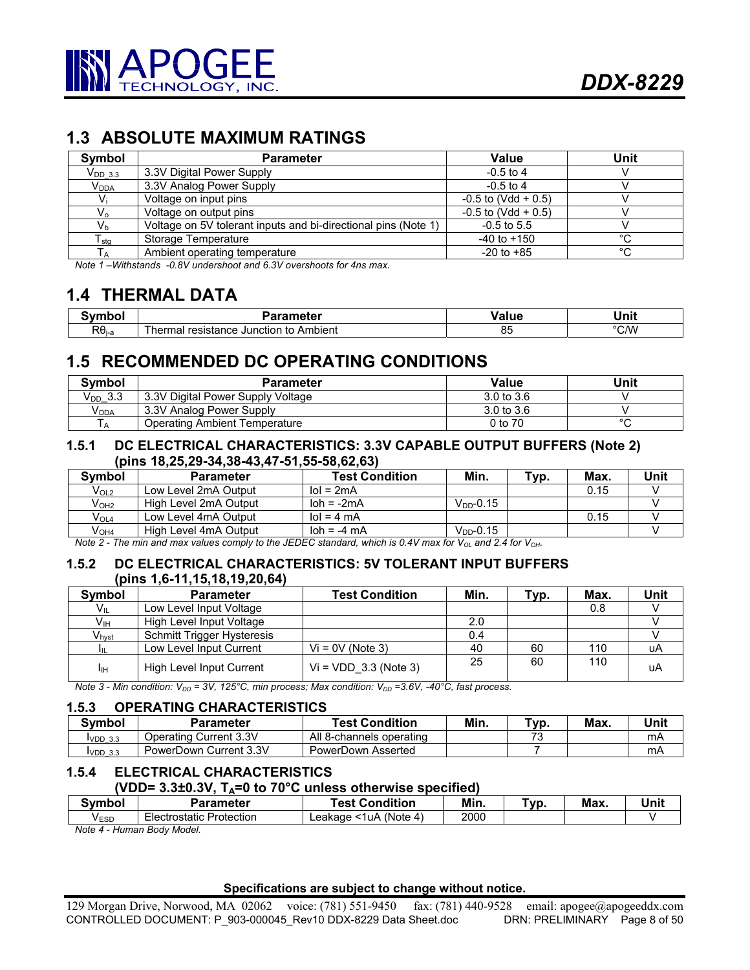# **1.3 ABSOLUTE MAXIMUM RATINGS**

| Symbol                       | Parameter                                                      | Value                 | Unit   |
|------------------------------|----------------------------------------------------------------|-----------------------|--------|
| $V_{DD}$ 3.3                 | 3.3V Digital Power Supply                                      | $-0.5$ to 4           |        |
| $\mathsf{V}_{\mathsf{DDA}}$  | 3.3V Analog Power Supply                                       | $-0.5$ to 4           |        |
| Vi                           | Voltage on input pins                                          | $-0.5$ to (Vdd + 0.5) |        |
| V <sub>o</sub>               | Voltage on output pins                                         | $-0.5$ to (Vdd + 0.5) |        |
| $V_{b}$                      | Voltage on 5V tolerant inputs and bi-directional pins (Note 1) | $-0.5$ to 5.5         |        |
| ${\mathsf T}_{\textsf{stg}}$ | Storage Temperature                                            | $-40$ to $+150$       | $\sim$ |
| Тд                           | Ambient operating temperature                                  | $-20$ to $+85$        | $\sim$ |

*Note 1 –Withstands -0.8V undershoot and 6.3V overshoots for 4ns max.* 

# **1.4 THERMAL DATA**

| ' , , , , , , , , ,   | Parameter                                           | alut | Jnit |
|-----------------------|-----------------------------------------------------|------|------|
| $R\theta_{\text{la}}$ | ⊤to Ambient<br>Junction<br>resistance<br>hei<br>nai | υJ   | °C/W |

# **1.5 RECOMMENDED DC OPERATING CONDITIONS**

| Symbol           | Parameter                         | Value                 | Unit    |
|------------------|-----------------------------------|-----------------------|---------|
| $V_{DD}$ 3.3     | 3.3V Digital Power Supply Voltage | $3.0 \text{ to } 3.6$ |         |
| V <sub>DDA</sub> | 3.3V Analog Power Supply          | $3.0 \text{ to } 3.6$ |         |
| ΙA               | Operating Ambient Temperature     | 0 to 70               | $\circ$ |

### **1.5.1 DC ELECTRICAL CHARACTERISTICS: 3.3V CAPABLE OUTPUT BUFFERS (Note 2) (pins 18,25,29-34,38-43,47-51,55-58,62,63)**

| <b>Symbol</b>    | <b>Parameter</b>      | <b>Test Condition</b>          | Min.           | $\tau_{VD}$ . | Max. | Unit |
|------------------|-----------------------|--------------------------------|----------------|---------------|------|------|
| V <sub>OL2</sub> | Low Level 2mA Output  | $\text{IoI} = 2 \text{mA}$     |                |               | 0.15 |      |
| V <sub>OH2</sub> | High Level 2mA Output | $\mathsf{lab} = -2\mathsf{mA}$ | $VDD - 0.15$   |               |      |      |
| $V_{OL4}$        | Low Level 4mA Output  | $\text{IoI} = 4 \text{ mA}$    |                |               | 0.15 |      |
| $V_{OH4}$        | High Level 4mA Output | $\lambda$ loh = -4 mA          | $V_{DD}$ -0.15 |               |      |      |

*Note 2 - The min and max values comply to the JEDEC standard, which is 0.4V max for V<sub>OL</sub> and 2.4 for V<sub>OH</sub>.* 

## **1.5.2 DC ELECTRICAL CHARACTERISTICS: 5V TOLERANT INPUT BUFFERS (pins 1,6-11,15,18,19,20,64)**

| <b>Symbol</b>     | <b>Parameter</b>                  | <b>Test Condition</b>   | Min. | Typ. | Max. | Unit |
|-------------------|-----------------------------------|-------------------------|------|------|------|------|
| Víl               | Low Level Input Voltage           |                         |      |      | 0.8  |      |
| $V_{\text{IH}}$   | High Level Input Voltage          |                         | 2.0  |      |      |      |
| $V_{\text{hyst}}$ | <b>Schmitt Trigger Hysteresis</b> |                         | 0.4  |      |      |      |
|                   | Low Level Input Current           | $Vi = 0V$ (Note 3)      | 40   | 60   | 110  | uA   |
| Iін               | High Level Input Current          | $Vi = VDD$ 3.3 (Note 3) | 25   | 60   | 110  | uA   |

*Note 3 - Min condition: V<sub>DD</sub> = 3V, 125°C, min process; Max condition: V<sub>DD</sub> = 3.6V, -40°C, fast process.* 

#### **1.5.3 OPERATING CHARACTERISTICS**

| Symbol    | Parameter              | <b>Test Condition</b>    | Min. | Tvp.                          | Max. | Unit |
|-----------|------------------------|--------------------------|------|-------------------------------|------|------|
| $VDD$ 3.3 | Operating Current 3.3V | All 8-channels operating |      | $\overline{\phantom{a}}$<br>ີ |      | mA   |
| $VDD$ 3.3 | PowerDown Current 3.3V | PowerDown Asserted       |      |                               |      | mA   |

## **1.5.4 ELECTRICAL CHARACTERISTICS**

#### **(VDD= 3.3±0.3V, TA=0 to 70°C unless otherwise specified)**

| Svmbol | Parameter             | <b>Fest Condition</b>      | Min. | `\/r<br>՝ | Max. | Unit |
|--------|-----------------------|----------------------------|------|-----------|------|------|
| VESD   | Protection<br>istatic | (Note 4.<br>1uA<br>∟eakaɑe | 2000 |           |      |      |

*Note 4 - Human Body Model.*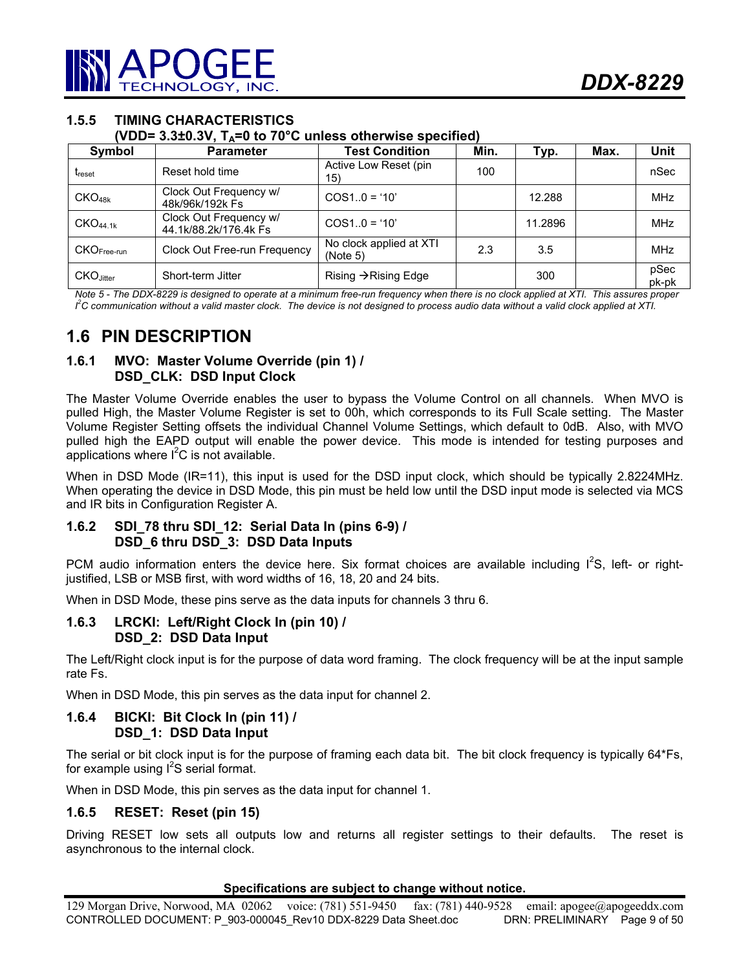# **1.5.5 TIMING CHARACTERISTICS**

**(VDD= 3.3±0.3V, TA=0 to 70°C unless otherwise specified)** 

| Symbol               | <b>Parameter</b>                                | <b>Test Condition</b>               | Min. | Typ.    | Max. | Unit          |
|----------------------|-------------------------------------------------|-------------------------------------|------|---------|------|---------------|
| <b>T</b> reset       | Reset hold time                                 | Active Low Reset (pin<br>15)        | 100  |         |      | nSec          |
| CKO <sub>48k</sub>   | Clock Out Frequency w/<br>48k/96k/192k Fs       | $COS10 = '10'$                      |      | 12.288  |      | <b>MHz</b>    |
| CKO <sub>44.1k</sub> | Clock Out Frequency w/<br>44.1k/88.2k/176.4k Fs | $COS10 = '10'$                      |      | 11.2896 |      | <b>MHz</b>    |
| $CKOFree-run$        | Clock Out Free-run Frequency                    | No clock applied at XTI<br>(Note 5) | 2.3  | 3.5     |      | <b>MHz</b>    |
| CKO.litter           | Short-term Jitter                               | Rising $\rightarrow$ Rising Edge    |      | 300     |      | pSec<br>pk-pk |

*Note 5 - The DDX-8229 is designed to operate at a minimum free-run frequency when there is no clock applied at XTI. This assures proper*   $l^2$ C communication without a valid master clock. The device is not designed to process audio data without a valid clock applied at XTI.

# **1.6 PIN DESCRIPTION**

# **1.6.1 MVO: Master Volume Override (pin 1) / DSD\_CLK: DSD Input Clock**

The Master Volume Override enables the user to bypass the Volume Control on all channels. When MVO is pulled High, the Master Volume Register is set to 00h, which corresponds to its Full Scale setting. The Master Volume Register Setting offsets the individual Channel Volume Settings, which default to 0dB. Also, with MVO pulled high the EAPD output will enable the power device. This mode is intended for testing purposes and applications where  $I^2C$  is not available.

When in DSD Mode (IR=11), this input is used for the DSD input clock, which should be typically 2.8224MHz. When operating the device in DSD Mode, this pin must be held low until the DSD input mode is selected via MCS and IR bits in Configuration Register A.

## **1.6.2 SDI\_78 thru SDI\_12: Serial Data In (pins 6-9) / DSD\_6 thru DSD\_3: DSD Data Inputs**

PCM audio information enters the device here. Six format choices are available including  $I^2S$ , left- or rightjustified, LSB or MSB first, with word widths of 16, 18, 20 and 24 bits.

When in DSD Mode, these pins serve as the data inputs for channels 3 thru 6.

## **1.6.3 LRCKI: Left/Right Clock In (pin 10) / DSD\_2: DSD Data Input**

The Left/Right clock input is for the purpose of data word framing. The clock frequency will be at the input sample rate Fs.

When in DSD Mode, this pin serves as the data input for channel 2.

## **1.6.4 BICKI: Bit Clock In (pin 11) / DSD\_1: DSD Data Input**

The serial or bit clock input is for the purpose of framing each data bit. The bit clock frequency is typically 64\*Fs, for example using  $I^2S$  serial format.

When in DSD Mode, this pin serves as the data input for channel 1.

## **1.6.5 RESET: Reset (pin 15)**

Driving RESET low sets all outputs low and returns all register settings to their defaults. The reset is asynchronous to the internal clock.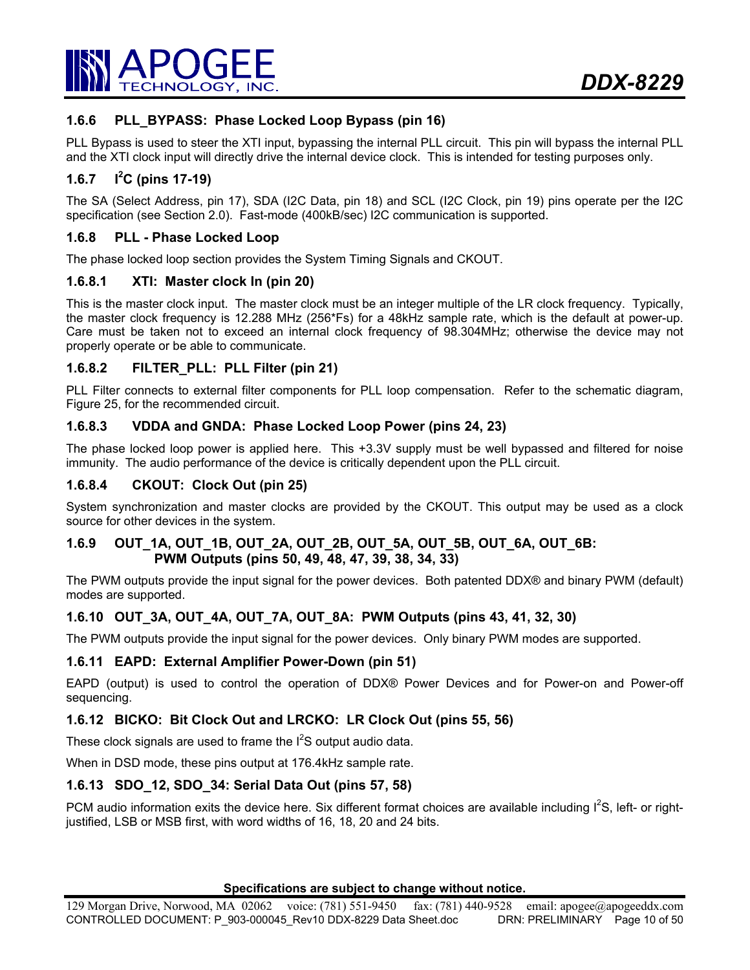

# **1.6.6 PLL\_BYPASS: Phase Locked Loop Bypass (pin 16)**

PLL Bypass is used to steer the XTI input, bypassing the internal PLL circuit. This pin will bypass the internal PLL and the XTI clock input will directly drive the internal device clock. This is intended for testing purposes only.

#### **1.6.7 I<sup>2</sup> C (pins 17-19)**

The SA (Select Address, pin 17), SDA (I2C Data, pin 18) and SCL (I2C Clock, pin 19) pins operate per the I2C specification (see Section 2.0). Fast-mode (400kB/sec) I2C communication is supported.

#### **1.6.8 PLL - Phase Locked Loop**

The phase locked loop section provides the System Timing Signals and CKOUT.

#### **1.6.8.1 XTI: Master clock In (pin 20)**

This is the master clock input. The master clock must be an integer multiple of the LR clock frequency. Typically, the master clock frequency is 12.288 MHz (256\*Fs) for a 48kHz sample rate, which is the default at power-up. Care must be taken not to exceed an internal clock frequency of 98.304MHz; otherwise the device may not properly operate or be able to communicate.

## **1.6.8.2 FILTER\_PLL: PLL Filter (pin 21)**

PLL Filter connects to external filter components for PLL loop compensation. Refer to the schematic diagram, Figure 25, for the recommended circuit.

#### **1.6.8.3 VDDA and GNDA: Phase Locked Loop Power (pins 24, 23)**

The phase locked loop power is applied here. This +3.3V supply must be well bypassed and filtered for noise immunity. The audio performance of the device is critically dependent upon the PLL circuit.

## **1.6.8.4 CKOUT: Clock Out (pin 25)**

System synchronization and master clocks are provided by the CKOUT. This output may be used as a clock source for other devices in the system.

#### **1.6.9 OUT\_1A, OUT\_1B, OUT\_2A, OUT\_2B, OUT\_5A, OUT\_5B, OUT\_6A, OUT\_6B: PWM Outputs (pins 50, 49, 48, 47, 39, 38, 34, 33)**

The PWM outputs provide the input signal for the power devices. Both patented DDX® and binary PWM (default) modes are supported.

## **1.6.10 OUT\_3A, OUT\_4A, OUT\_7A, OUT\_8A: PWM Outputs (pins 43, 41, 32, 30)**

The PWM outputs provide the input signal for the power devices. Only binary PWM modes are supported.

#### **1.6.11 EAPD: External Amplifier Power-Down (pin 51)**

EAPD (output) is used to control the operation of DDX® Power Devices and for Power-on and Power-off sequencing.

## **1.6.12 BICKO: Bit Clock Out and LRCKO: LR Clock Out (pins 55, 56)**

These clock signals are used to frame the  $I^2S$  output audio data.

When in DSD mode, these pins output at 176.4kHz sample rate.

#### **1.6.13 SDO\_12, SDO\_34: Serial Data Out (pins 57, 58)**

PCM audio information exits the device here. Six different format choices are available including  $I^2S$ , left- or rightjustified, LSB or MSB first, with word widths of 16, 18, 20 and 24 bits.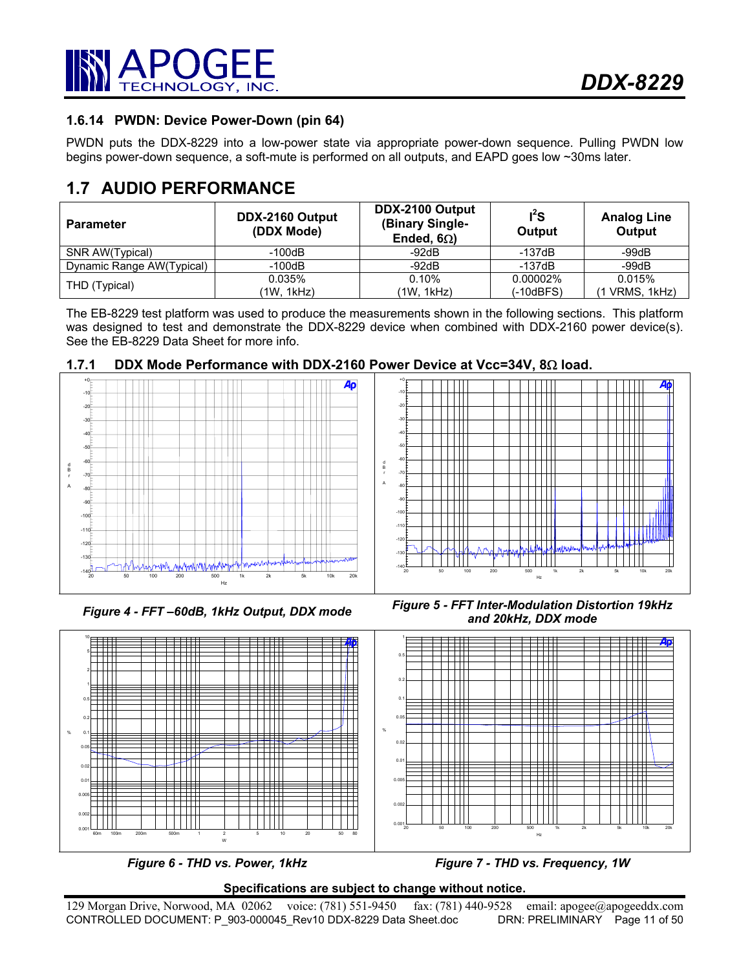

# **1.6.14 PWDN: Device Power-Down (pin 64)**

PWDN puts the DDX-8229 into a low-power state via appropriate power-down sequence. Pulling PWDN low begins power-down sequence, a soft-mute is performed on all outputs, and EAPD goes low ~30ms later.

# **1.7 AUDIO PERFORMANCE**

| <b>Parameter</b>          | DDX-2160 Output<br>(DDX Mode) | DDX-2100 Output<br>(Binary Single-<br>Ended, $6\Omega$ ) | $I^2S$<br>Output | <b>Analog Line</b><br>Output |
|---------------------------|-------------------------------|----------------------------------------------------------|------------------|------------------------------|
| SNR AW(Typical)           | -100dB                        | -92dB                                                    | $-137dB$         | $-99dB$                      |
| Dynamic Range AW(Typical) | $-100dB$                      | $-92dB$                                                  | $-137dB$         | $-99dB$                      |
| THD (Typical)             | 0.035%                        | 0.10%                                                    | 0.00002%         | 0.015%                       |
|                           | (1W, 1kHz)                    | (1W, 1kHz)                                               | (-10dBFS)        | VRMS, 1kHz)                  |

The EB-8229 test platform was used to produce the measurements shown in the following sections. This platform was designed to test and demonstrate the DDX-8229 device when combined with DDX-2160 power device(s). See the EB-8229 Data Sheet for more info.



# **1.7.1 DDX Mode Performance with DDX-2160 Power Device at Vcc=34V, 8**Ω **load.**







*Figure 6 - THD vs. Power, 1kHz* Figure 7 - THD vs. Frequency, 1W

## **Specifications are subject to change without notice.**

129 Morgan Drive, Norwood, MA 02062 voice: (781) 551-9450 fax: (781) 440-9528 email: apogee@apogeeddx.com<br>CONTROLLED DOCUMENT: P 903-000045 Rev10 DDX-8229 Data Sheet.doc DRN: PRELIMINARY Page 11 of 50 CONTROLLED DOCUMENT: P\_903-000045\_Rev10 DDX-8229 Data Sheet.doc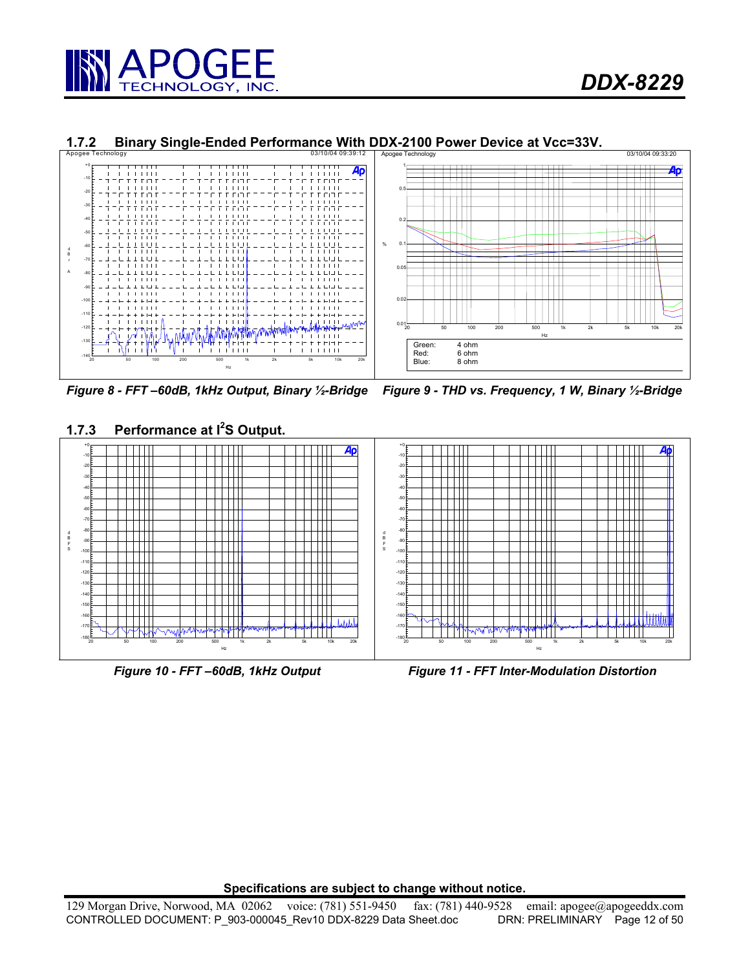



# **1.7.2 Binary Single-Ended Performance With DDX-2100 Power Device at Vcc=33V.**<br>Apogee Technology

*Figure 8 - FFT –60dB, 1kHz Output, Binary ½-Bridge Figure 9 - THD vs. Frequency, 1 W, Binary ½-Bridge* 





*Figure 10 - FFT –60dB, 1kHz Output Figure 11 - FFT Inter-Modulation Distortion*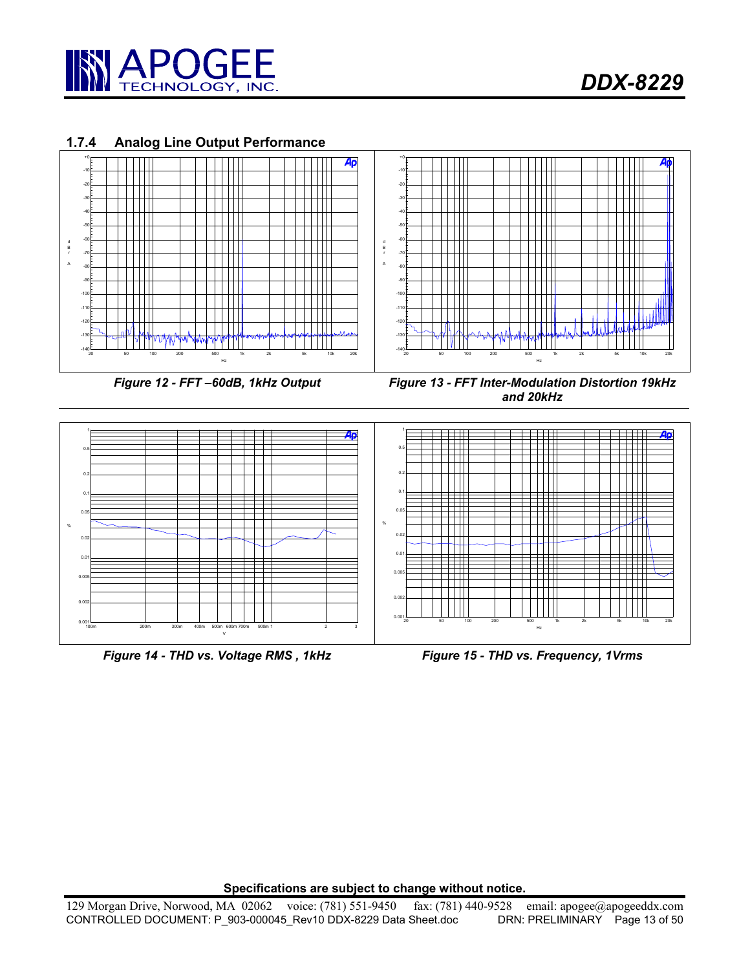

# **1.7.4 Analog Line Output Performance**



*Figure 14 - THD vs. Voltage RMS , 1kHz Figure 15 - THD vs. Frequency, 1Vrms*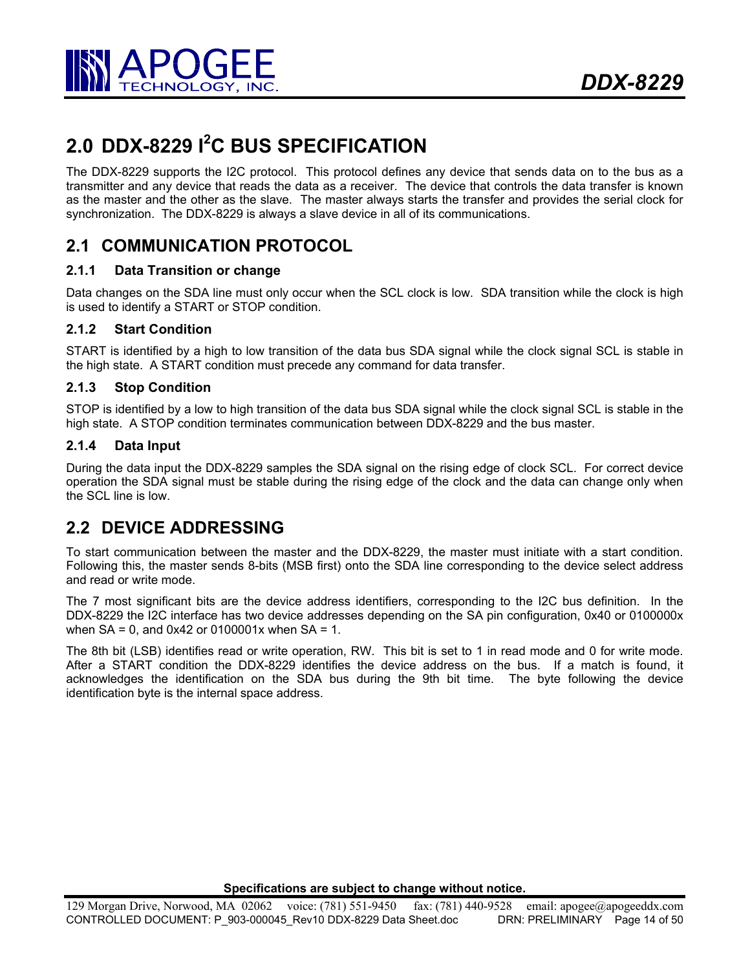

# **2.0 DDX-8229 I2 C BUS SPECIFICATION**

The DDX-8229 supports the I2C protocol. This protocol defines any device that sends data on to the bus as a transmitter and any device that reads the data as a receiver. The device that controls the data transfer is known as the master and the other as the slave. The master always starts the transfer and provides the serial clock for synchronization. The DDX-8229 is always a slave device in all of its communications.

# **2.1 COMMUNICATION PROTOCOL**

# **2.1.1 Data Transition or change**

Data changes on the SDA line must only occur when the SCL clock is low. SDA transition while the clock is high is used to identify a START or STOP condition.

# **2.1.2 Start Condition**

START is identified by a high to low transition of the data bus SDA signal while the clock signal SCL is stable in the high state. A START condition must precede any command for data transfer.

# **2.1.3 Stop Condition**

STOP is identified by a low to high transition of the data bus SDA signal while the clock signal SCL is stable in the high state. A STOP condition terminates communication between DDX-8229 and the bus master.

# **2.1.4 Data Input**

During the data input the DDX-8229 samples the SDA signal on the rising edge of clock SCL. For correct device operation the SDA signal must be stable during the rising edge of the clock and the data can change only when the SCL line is low.

# **2.2 DEVICE ADDRESSING**

To start communication between the master and the DDX-8229, the master must initiate with a start condition. Following this, the master sends 8-bits (MSB first) onto the SDA line corresponding to the device select address and read or write mode.

The 7 most significant bits are the device address identifiers, corresponding to the I2C bus definition. In the DDX-8229 the I2C interface has two device addresses depending on the SA pin configuration, 0x40 or 0100000x when  $SA = 0$ , and  $0x42$  or 0100001x when  $SA = 1$ .

The 8th bit (LSB) identifies read or write operation, RW. This bit is set to 1 in read mode and 0 for write mode. After a START condition the DDX-8229 identifies the device address on the bus. If a match is found, it acknowledges the identification on the SDA bus during the 9th bit time. The byte following the device identification byte is the internal space address.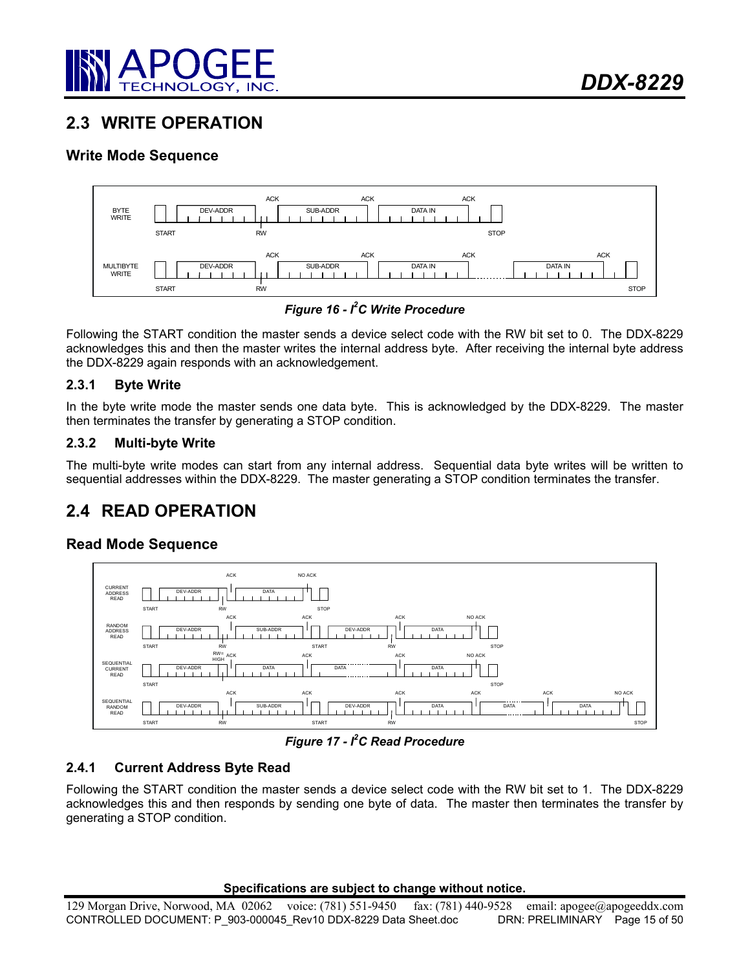

# **2.3 WRITE OPERATION**

# **Write Mode Sequence**



*Figure 16 - I2 C Write Procedure* 

Following the START condition the master sends a device select code with the RW bit set to 0. The DDX-8229 acknowledges this and then the master writes the internal address byte. After receiving the internal byte address the DDX-8229 again responds with an acknowledgement.

# **2.3.1 Byte Write**

In the byte write mode the master sends one data byte. This is acknowledged by the DDX-8229. The master then terminates the transfer by generating a STOP condition.

# **2.3.2 Multi-byte Write**

The multi-byte write modes can start from any internal address. Sequential data byte writes will be written to sequential addresses within the DDX-8229. The master generating a STOP condition terminates the transfer.

# **2.4 READ OPERATION**

# **Read Mode Sequence**



*Figure 17 - I2 C Read Procedure* 

# **2.4.1 Current Address Byte Read**

Following the START condition the master sends a device select code with the RW bit set to 1. The DDX-8229 acknowledges this and then responds by sending one byte of data. The master then terminates the transfer by generating a STOP condition.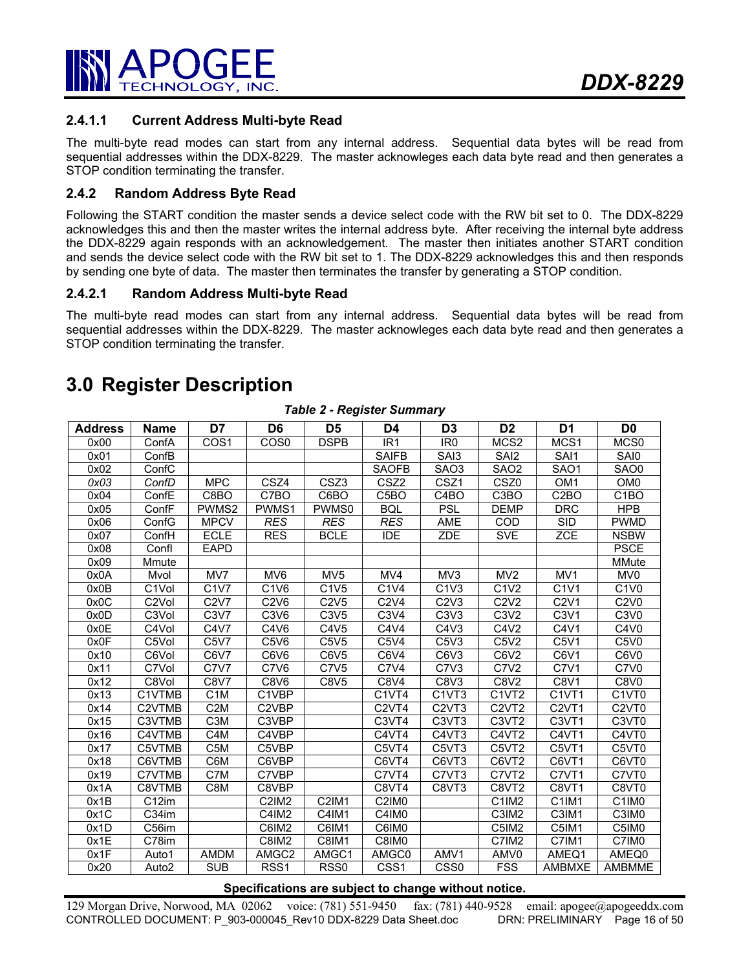

# **2.4.1.1 Current Address Multi-byte Read**

The multi-byte read modes can start from any internal address. Sequential data bytes will be read from sequential addresses within the DDX-8229. The master acknowleges each data byte read and then generates a STOP condition terminating the transfer.

### **2.4.2 Random Address Byte Read**

Following the START condition the master sends a device select code with the RW bit set to 0. The DDX-8229 acknowledges this and then the master writes the internal address byte. After receiving the internal byte address the DDX-8229 again responds with an acknowledgement. The master then initiates another START condition and sends the device select code with the RW bit set to 1. The DDX-8229 acknowledges this and then responds by sending one byte of data. The master then terminates the transfer by generating a STOP condition.

#### **2.4.2.1 Random Address Multi-byte Read**

The multi-byte read modes can start from any internal address. Sequential data bytes will be read from sequential addresses within the DDX-8229. The master acknowleges each data byte read and then generates a STOP condition terminating the transfer.

# **3.0 Register Description**

| <b>Address</b> | Name               | D7                            | D <sub>6</sub>                | D <sub>5</sub>    | D <sub>4</sub>                 | D <sub>3</sub>                  | D <sub>2</sub>                 | D <sub>1</sub>                 | D <sub>0</sub>                 |
|----------------|--------------------|-------------------------------|-------------------------------|-------------------|--------------------------------|---------------------------------|--------------------------------|--------------------------------|--------------------------------|
| 0x00           | ConfA              | COS <sub>1</sub>              | CO <sub>S0</sub>              | <b>DSPB</b>       | IR <sub>1</sub>                | IR <sub>0</sub>                 | MCS <sub>2</sub>               | MCS1                           | MCS <sub>0</sub>               |
| 0x01           | ConfB              |                               |                               |                   | <b>SAIFB</b>                   | SAI3                            | SAI <sub>2</sub>               | SAI1                           | SAI0                           |
| 0x02           | ConfC              |                               |                               |                   | <b>SAOFB</b>                   | SAO <sub>3</sub>                | SAO <sub>2</sub>               | SAO1                           | SAO0                           |
| 0x03           | ConfD              | <b>MPC</b>                    | CSZ4                          | CSZ3              | CSZ <sub>2</sub>               | CSZ1                            | CSZ0                           | OM <sub>1</sub>                | OM <sub>0</sub>                |
| 0x04           | ConfE              | C8BO                          | C7BO                          | C6BO              | C <sub>5</sub> BO              | C <sub>4</sub> BO               | C <sub>3</sub> BO              | C <sub>2</sub> BO              | C <sub>1</sub> BO              |
| 0x05           | ConfF              | PWMS2                         | PWMS1                         | PWMS0             | <b>BQL</b>                     | <b>PSL</b>                      | <b>DEMP</b>                    | <b>DRC</b>                     | <b>HPB</b>                     |
| 0x06           | ConfG              | <b>MPCV</b>                   | <b>RES</b>                    | <b>RES</b>        | <b>RES</b>                     | AME                             | COD                            | <b>SID</b>                     | <b>PWMD</b>                    |
| 0x07           | ConfH              | <b>ECLE</b>                   | <b>RES</b>                    | <b>BCLE</b>       | <b>IDE</b>                     | <b>ZDE</b>                      | <b>SVE</b>                     | <b>ZCE</b>                     | <b>NSBW</b>                    |
| 0x08           | Confl              | <b>EAPD</b>                   |                               |                   |                                |                                 |                                |                                | <b>PSCE</b>                    |
| 0x09           | Mmute              |                               |                               |                   |                                |                                 |                                |                                | <b>MMute</b>                   |
| 0x0A           | Mvol               | MV7                           | MV6                           | MV <sub>5</sub>   | MV4                            | MV3                             | MV <sub>2</sub>                | MV1                            | MV <sub>0</sub>                |
| 0x0B           | C <sub>1</sub> Vol | C <sub>1</sub> V <sub>7</sub> | C1V6                          | $\overline{C1V5}$ | C1V4                           | C1V3                            | $\overline{C1V2}$              | C1V1                           | $\overline{C1}V0$              |
| 0x0C           | C <sub>2</sub> Vol | C2V7                          | C2V6                          | C2V5              | C2V4                           | C2V3                            | C2V2                           | C2V1                           | C2V0                           |
| 0x0D           | C <sub>3</sub> Vol | C3V7                          | C <sub>3</sub> V <sub>6</sub> | C3V5              | C3V4                           | C <sub>3</sub> V <sub>3</sub>   | C3V2                           | C <sub>3</sub> V <sub>1</sub>  | C <sub>3</sub> V <sub>0</sub>  |
| 0x0E           | C4Vol              | C4V7                          | C4V6                          | C4V5              | C4V4                           | C4V3                            | C4V2                           | C4V1                           | C4V <sub>0</sub>               |
| 0x0F           | C5Vol              | C5V7                          | C5V6                          | C5V5              | C5V4                           | C5V3                            | C5V2                           | C5V1                           | C5V <sub>0</sub>               |
| 0x10           | C6Vol              | C6V7                          | C6V6                          | C6V5              | C6V4                           | C6V3                            | C6V <sub>2</sub>               | C6V1                           | C6V <sub>0</sub>               |
| 0x11           | C7Vol              | <b>C7V7</b>                   | C7V6                          | C7V5              | C7V4                           | C7V3                            | <b>C7V2</b>                    | C7V1                           | C7V <sub>0</sub>               |
| 0x12           | C8Vol              | <b>C8V7</b>                   | <b>C8V6</b>                   | <b>C8V5</b>       | C8V4                           | C8V3                            | <b>C8V2</b>                    | C8V1                           | C8V <sub>0</sub>               |
| 0x13           | C1VTMB             | C <sub>1</sub> M              | C1VBP                         |                   | C <sub>1</sub> VT <sub>4</sub> | C <sub>1</sub> VT <sub>3</sub>  | C <sub>1</sub> VT <sub>2</sub> | C <sub>1</sub> VT <sub>1</sub> | C1VT0                          |
| 0x14           | C2VTMB             | C <sub>2</sub> M              | C2VBP                         |                   | C <sub>2</sub> VT <sub>4</sub> | C <sub>2</sub> V <sub>T3</sub>  | C <sub>2</sub> V <sub>T2</sub> | C <sub>2</sub> VT <sub>1</sub> | C <sub>2</sub> VT <sub>0</sub> |
| 0x15           | C3VTMB             | C <sub>3</sub> M              | C3VBP                         |                   | C <sub>3</sub> VT <sub>4</sub> | C <sub>3</sub> V <sub>T</sub> 3 | C <sub>3</sub> V <sub>T2</sub> | C <sub>3</sub> VT <sub>1</sub> | C3VT0                          |
| 0x16           | C4VTMB             | C4M                           | C4VBP                         |                   | C4VT4                          | C4VT3                           | C4VT2                          | C4VT1                          | C4VT0                          |
| 0x17           | C5VTMB             | C <sub>5</sub> M              | C5VBP                         |                   | C5VT4                          | C5VT3                           | C5VT2                          | C5VT1                          | C5VT0                          |
| 0x18           | C6VTMB             | C6M                           | C6VBP                         |                   | C6VT4                          | C6VT3                           | C6VT2                          | C6VT1                          | C6VT0                          |
| 0x19           | C7VTMB             | C7M                           | C7VBP                         |                   | C7VT4                          | C7VT3                           | C7VT2                          | C7VT1                          | C7VT0                          |
| 0x1A           | C8VTMB             | C8M                           | C8VBP                         |                   | C8VT4                          | C8VT3                           | C8VT2                          | C8VT1                          | C8VT0                          |
| 0x1B           | C <sub>12</sub> im |                               | <b>C2IM2</b>                  | <b>C2IM1</b>      | C2IM <sub>0</sub>              |                                 | C1IM2                          | C <sub>1</sub> IM <sub>1</sub> | C <sub>1</sub> IM <sub>0</sub> |
| 0x1C           | C34im              |                               | C4IM2                         | C4IM1             | C4IM0                          |                                 | C3IM2                          | C3IM1                          | C3IM <sub>0</sub>              |
| 0x1D           | C <sub>56</sub> im |                               | C6IM2                         | C6IM1             | C6IM0                          |                                 | C5IM2                          | C5IM1                          | C5IM <sub>0</sub>              |
| 0x1E           | C78im              |                               | <b>C8IM2</b>                  | <b>C8IM1</b>      | C8IM <sub>0</sub>              |                                 | C7IM <sub>2</sub>              | C7IM1                          | C7IM <sub>0</sub>              |
| 0x1F           | Auto1              | <b>AMDM</b>                   | AMGC2                         | AMGC1             | AMGC0                          | AMV1                            | AMV0                           | AMEQ1                          | AMEQ0                          |
| 0x20           | Auto2              | <b>SUB</b>                    | RSS <sub>1</sub>              | RSS <sub>0</sub>  | CSS <sub>1</sub>               | CSS <sub>0</sub>                | <b>FSS</b>                     | <b>AMBMXE</b>                  | AMBMME                         |

*Table 2 - Register Summary* 

#### **Specifications are subject to change without notice.**

129 Morgan Drive, Norwood, MA 02062 voice: (781) 551-9450 fax: (781) 440-9528 email: apogee@apogeeddx.com CONTROLLED DOCUMENT: P 903-000045 Rev10 DDX-8229 Data Sheet.doc DRN: PRELIMINARY Page 16 of 50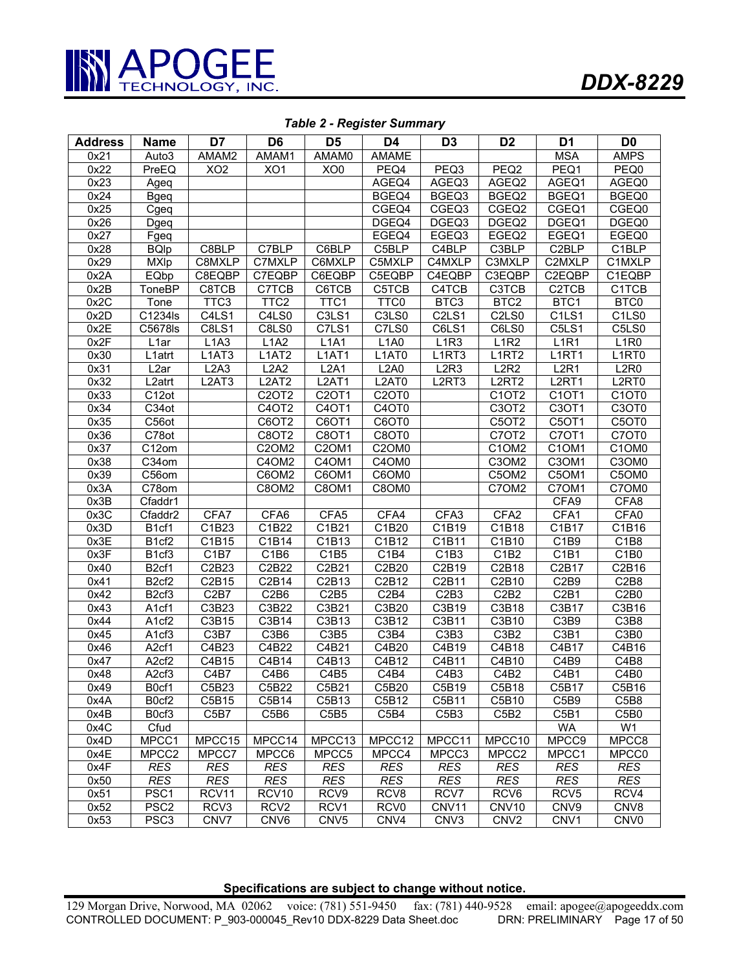

| <b>Address</b> | <b>Name</b>                          | D7                | D <sub>6</sub>                 | D <sub>5</sub>                 | D <sub>4</sub>                 | D <sub>3</sub>                 | D <sub>2</sub>                | D <sub>1</sub>                 | D <sub>0</sub>                 |
|----------------|--------------------------------------|-------------------|--------------------------------|--------------------------------|--------------------------------|--------------------------------|-------------------------------|--------------------------------|--------------------------------|
| 0x21           | Auto3                                | AMAM2             | AMAM1                          | AMAM0                          | AMAME                          |                                |                               | <b>MSA</b>                     | <b>AMPS</b>                    |
| 0x22           | PreEQ                                | XO2               | XO1                            | XOO                            | PEQ4                           | PEQ3                           | PEQ <sub>2</sub>              | PEQ1                           | PEQ0                           |
| 0x23           | Ageq                                 |                   |                                |                                | AGEQ4                          | AGEQ3                          | AGEQ2                         | AGEQ1                          | AGEQ0                          |
| 0x24           | <b>Bgeq</b>                          |                   |                                |                                | BGEQ4                          | BGEQ3                          | BGEQ2                         | BGEQ1                          | BGEQ0                          |
| 0x25           | Cgeq                                 |                   |                                |                                | CGEQ4                          | CGEQ3                          | CGEQ2                         | CGEQ1                          | CGEQ0                          |
| 0x26           | Dgeq                                 |                   |                                |                                | DGEQ4                          | DGEQ <sub>3</sub>              | DGEQ <sub>2</sub>             | DGEQ1                          | DGEQ0                          |
| 0x27           | Fgeq                                 |                   |                                |                                | EGEQ4                          | EGEQ3                          | EGEQ2                         | EGEQ1                          | EGEQ0                          |
| 0x28           | <b>BQIp</b>                          | C8BLP             | C7BLP                          | C6BLP                          | C5BLP                          | C4BLP                          | C3BLP                         | C <sub>2</sub> BLP             | C1BLP                          |
| 0x29           | $\overline{\mathsf{M}}\mathsf{X}$ lp | C8MXLP            | C7MXLP                         | C6MXLP                         | C5MXLP                         | C4MXLP                         | C3MXLP                        | C2MXLP                         | C1MXLP                         |
| 0x2A           | EQbp                                 | C8EQBP            | C7EQBP                         | C6EQBP                         | C5EQBP                         | C4EQBP                         | C3EQBP                        | C2EQBP                         | C1EQBP                         |
| 0x2B           | ToneBP                               | C8TCB             | C7TCB                          | C6TCB                          | C5TCB                          | C4TCB                          | C3TCB                         | C2TCB                          | C1TCB                          |
| 0x2C           | Tone                                 | TTC <sub>3</sub>  | TTC <sub>2</sub>               | TTC1                           | TTC0                           | BTC3                           | BTC <sub>2</sub>              | BTC1                           | BTC0                           |
| 0x2D           | C1234ls                              | C4LS1             | C4LS0                          | $\overline{\text{C3}}$ LS1     | C3LS0                          | C <sub>2</sub> L <sub>S1</sub> | C2LS0                         | C <sub>1</sub> LS <sub>1</sub> | C1LS0                          |
| 0x2E           | C5678ls                              | C8LS1             | C8LS0                          | $\overline{C}$ 7LS1            | C7LS0                          | C6LS1                          | C6LS0                         | C5LS1                          | $\overline{\text{C5}}$ LS0     |
| 0x2F           | L <sub>1</sub> ar                    | L1A3              | L1A2                           | L1A1                           | L1A0                           | L1R3                           | L1R2                          | L <sub>1R1</sub>               | L <sub>1</sub> R <sub>0</sub>  |
| 0x30           | L <sub>1</sub> atrt                  | L1AT3             | L1AT2                          | L1AT1                          | L1AT0                          | L1RT3                          | L1RT2                         | L <sub>1</sub> RT <sub>1</sub> | L1RT0                          |
| 0x31           | L <sub>2</sub> ar                    | L2A3              | L2A2                           | L2A1                           | L2A0                           | L2R3                           | L2R2                          | L2R1                           | L2R0                           |
| 0x32           | L2atrt                               | L2AT3             | L2AT2                          | L2AT1                          | L2AT0                          | L <sub>2</sub> RT <sub>3</sub> | L2RT2                         | L <sub>2</sub> RT1             | L2RT0                          |
| 0x33           | C12ot                                |                   | C2OT2                          | C2OT1                          | C <sub>2</sub> OT <sub>0</sub> |                                | C1OT2                         | C1OT1                          | C <sub>1</sub> OT <sub>0</sub> |
| 0x34           | $\overline{C}34$ ot                  |                   | C <sub>4</sub> OT <sub>2</sub> | C <sub>4</sub> OT <sub>1</sub> | C4OT0                          |                                | C3OT2                         | C <sub>3</sub> OT <sub>1</sub> | C <sub>3</sub> OT <sub>0</sub> |
| 0x35           | C56ot                                |                   | C6OT2                          | C6OT1                          | C6OT0                          |                                | C5OT2                         | C5OT1                          | C5OT0                          |
| 0x36           | C78ot                                |                   | C8OT2                          | C8OT1                          | C8OT0                          |                                | C7OT2                         | C7OT1                          | C7OT0                          |
| 0x37           | $\overline{C12}$ om                  |                   | C20M2                          | C <sub>2</sub> OM <sub>1</sub> | C2OM0                          |                                | C1OM2                         | C1OM1                          | C1OM0                          |
| 0x38           | $\overline{C}$ 34 $\sigma$ m         |                   | C4OM2                          | C4OM1                          | C4OM0                          |                                | C3OM2                         | C3OM1                          | C3OM0                          |
| 0x39           | C56om                                |                   | C6OM2                          | C6OM1                          | C6OM0                          |                                | C5OM2                         | C5OM1                          | C5OM0                          |
| 0x3A           | C78om                                |                   | C8OM2                          | C8OM1                          | C8OM0                          |                                | C7OM2                         | C7OM <sub>1</sub>              | C7OM0                          |
| 0x3B           | Cfaddr1                              |                   |                                |                                |                                |                                |                               | CFA9                           | CFA8                           |
| 0x3C           | Cfaddr2                              | CFA7              | CFA6                           | CFA <sub>5</sub>               | CFA4                           | CFA <sub>3</sub>               | CFA <sub>2</sub>              | CFA1                           | CFA0                           |
| 0x3D           | B1cf1                                | C1B23             | C1B22                          | $\overline{C1B}21$             | C1B20                          | C1B19                          | C1B18                         | C1B17                          | C1B16                          |
| 0x3E           | B1cf2                                | C1B15             | C1B14                          | C1B13                          | C1B12                          | C1B11                          | C1B10                         | C <sub>1</sub> B <sub>9</sub>  | C <sub>1</sub> B <sub>8</sub>  |
| 0x3F           | B <sub>1</sub> cf <sub>3</sub>       | C1B7              | C1B6                           | C1B5                           | C1B4                           | C1B3                           | C1B2                          | C1B1                           | C1B0                           |
| 0x40           | B <sub>2</sub> cf1                   | C2B23             | C2B22                          | C2B21                          | C2B20                          | C2B19                          | C2B18                         | C2B17                          | C2B16                          |
| 0x41           | B <sub>2</sub> cf <sub>2</sub>       | C2B15             | C2B14                          | C2B13                          | C2B12                          | $\overline{C2B11}$             | C2B10                         | C2B9                           | C2B8                           |
| 0x42           | B <sub>2</sub> cf <sub>3</sub>       | C <sub>2</sub> B7 | C <sub>2</sub> B <sub>6</sub>  | C <sub>2</sub> B <sub>5</sub>  | C2B4                           | C <sub>2</sub> B <sub>3</sub>  | C <sub>2</sub> B <sub>2</sub> | C <sub>2</sub> B <sub>1</sub>  | C <sub>2</sub> B <sub>0</sub>  |
| 0x43           | A1cf1                                | C3B23             | C3B22                          | C3B21                          | C3B20                          | C3B19                          | C3B18                         | C3B17                          | C3B16                          |
| 0x44           | A1cf2                                | C3B15             | C3B14                          | $\overline{C3B1}3$             | C3B12                          | C3B11                          | C3B10                         | C3B9                           | C3B8                           |
| 0x45           | A1cf3                                | C3B7              | C3B6                           | C <sub>3</sub> B <sub>5</sub>  | C <sub>3</sub> B <sub>4</sub>  | C3B3                           | C3B2                          | C3B1                           | C3B0                           |
| 0x46           | A <sub>2</sub> cf1                   | C4B23             | C4B22                          | C4B21                          | C4B20                          | C4B19                          | C4B18                         | C4B17                          | C4B16                          |
| 0x47           | A <sub>2</sub> cf <sub>2</sub>       | C4B15             | C4B14                          | C4B13                          | C4B12                          | C4B11                          | C4B10                         | C4B9                           | C4B8                           |
| 0x48           | A <sub>2</sub> cf <sub>3</sub>       | C4B7              | C4B6                           | C4B5                           | C4B4                           | C <sub>4</sub> B <sub>3</sub>  | C4B <sub>2</sub>              | C4B1                           | C4B <sub>0</sub>               |
| 0x49           | B0cf1                                | C5B23             | C5B22                          | C5B21                          | C5B20                          | C5B19                          | C5B18                         | C5B17                          | C5B16                          |
| 0x4A           | B0cf2                                | C5B15             | C5B14                          | C5B13                          | C5B12                          | C5B11                          | C5B10                         | C <sub>5</sub> B <sub>9</sub>  | C5B8                           |
| 0x4B           | B <sub>0cf3</sub>                    | C5B7              | C5B6                           | C5B5                           | C5B4                           | C <sub>5</sub> B <sub>3</sub>  | C5B2                          | C <sub>5</sub> B <sub>1</sub>  | C5B0                           |
| 0x4C           | $\overline{C}$ fud                   |                   |                                |                                |                                |                                |                               | WA                             | W <sub>1</sub>                 |
| 0x4D           | MPCC1                                | MPCC15            | MPCC14                         | MPCC13                         | MPCC12                         | MPCC11                         | MPCC10                        | MPCC9                          | MPCC8                          |
| 0x4E           | MPCC2                                | MPCC7             | MPCC6                          | MPCC5                          | MPCC4                          | MPCC3                          | MPCC2                         | MPCC1                          | MPCC0                          |
| 0x4F           | <b>RES</b>                           | <b>RES</b>        | <b>RES</b>                     | <b>RES</b>                     | <b>RES</b>                     | <b>RES</b>                     | <b>RES</b>                    | <b>RES</b>                     | <b>RES</b>                     |
| 0x50           | <b>RES</b>                           | <b>RES</b>        | <b>RES</b>                     | <b>RES</b>                     | <b>RES</b>                     | <b>RES</b>                     | <b>RES</b>                    | <b>RES</b>                     | <b>RES</b>                     |
| 0x51           | PSC1                                 | RCV11             | RCV <sub>10</sub>              | RCV9                           | RCV <sub>8</sub>               | RCV7                           | RCV <sub>6</sub>              | RCV <sub>5</sub>               | RCV4                           |
| 0x52           | PSC <sub>2</sub>                     | RCV3              | RCV <sub>2</sub>               | RCV1                           | RCV <sub>0</sub>               | CNV11                          | CNV10                         | CNV9                           | CNV8                           |
| 0x53           | PSC <sub>3</sub>                     | CNV7              | CNV6                           | CNV <sub>5</sub>               | CNV4                           | CNV3                           | CNV <sub>2</sub>              | CNV1                           | CNV <sub>0</sub>               |

#### *Table 2 - Register Summary*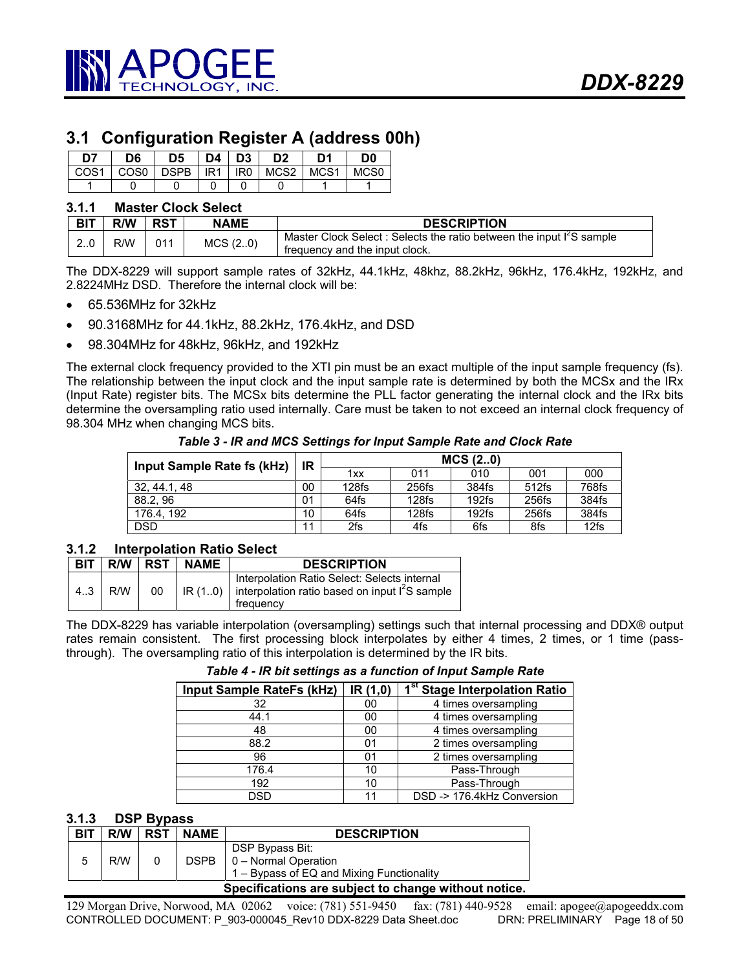

# **3.1 Configuration Register A (address 00h)**

| D7   | D6     | D5    |       | $D4$   D3       | D <sub>2</sub> | D1               | D <sub>0</sub> |
|------|--------|-------|-------|-----------------|----------------|------------------|----------------|
| COS1 | l COS0 | DSPB. | IR1 L | IR <sub>0</sub> | MCS2           | MCS <sub>1</sub> | MCS0           |
|      |        |       |       |                 |                |                  |                |

#### **3.1.1 Master Clock Select**

| <b>BIT</b> | <b>R/W</b> | <b>RST</b> | <b>NAME</b> | <b>DESCRIPTION</b>                                                                                    |
|------------|------------|------------|-------------|-------------------------------------------------------------------------------------------------------|
| 2.0        | R/W        | 011        | MCS(2.0)    | Master Clock Select: Selects the ratio between the input I'S sample<br>frequency and the input clock. |

The DDX-8229 will support sample rates of 32kHz, 44.1kHz, 48khz, 88.2kHz, 96kHz, 176.4kHz, 192kHz, and 2.8224MHz DSD. Therefore the internal clock will be:

- 65.536MHz for 32kHz
- 90.3168MHz for 44.1kHz, 88.2kHz, 176.4kHz, and DSD
- 98.304MHz for 48kHz, 96kHz, and 192kHz

The external clock frequency provided to the XTI pin must be an exact multiple of the input sample frequency (fs). The relationship between the input clock and the input sample rate is determined by both the MCSx and the IRx (Input Rate) register bits. The MCSx bits determine the PLL factor generating the internal clock and the IRx bits determine the oversampling ratio used internally. Care must be taken to not exceed an internal clock frequency of 98.304 MHz when changing MCS bits.

*Table 3 - IR and MCS Settings for Input Sample Rate and Clock Rate* 

| Input Sample Rate fs (kHz) |    | MCS(2.0)          |       |          |       |       |  |
|----------------------------|----|-------------------|-------|----------|-------|-------|--|
|                            | IR | 1xx               | 011   | 010      | 001   | 000   |  |
| 32, 44.1, 48               | 00 | 128f <sub>S</sub> | 256fs | 384fs    | 512fs | 768fs |  |
| 88.2.96                    | 01 | 64fs              | 128fs | $192$ fs | 256fs | 384fs |  |
| 176.4.192                  | 10 | 64fs              | 128fs | $192$ fs | 256fs | 384fs |  |
| <b>DSD</b>                 | 11 | 2fs               | 4fs   | 6fs      | 8fs   | 12fs  |  |

## **3.1.2 Interpolation Ratio Select**

| <b>BIT</b> |     |    | $R/W$ RST $\mid$ NAME | <b>DESCRIPTION</b>                                                                                                    |
|------------|-----|----|-----------------------|-----------------------------------------------------------------------------------------------------------------------|
| 4.3        | R/W | 00 |                       | Interpolation Ratio Select: Selects internal<br>IR (10) interpolation ratio based on input $I^2S$ sample<br>frequency |

The DDX-8229 has variable interpolation (oversampling) settings such that internal processing and DDX® output rates remain consistent. The first processing block interpolates by either 4 times, 2 times, or 1 time (passthrough). The oversampling ratio of this interpolation is determined by the IR bits.

*Table 4 - IR bit settings as a function of Input Sample Rate* 

| <b>Input Sample RateFs (kHz)</b> | IR (1,0) | 1 <sup>st</sup> Stage Interpolation Ratio |
|----------------------------------|----------|-------------------------------------------|
| 32                               | 00       | 4 times oversampling                      |
| 44.1                             | 00       | 4 times oversampling                      |
| 48                               | 00       | 4 times oversampling                      |
| 88.2                             | 01       | 2 times oversampling                      |
| 96                               | 01       | 2 times oversampling                      |
| 176.4                            | 10       | Pass-Through                              |
| 192                              | 10       | Pass-Through                              |
| DSD                              | 11       | DSD -> 176.4kHz Conversion                |

### **3.1.3 DSP Bypass**

| <b>BIT</b> | R/W                                                  | <b>RST</b> | <b>NAME</b> | <b>DESCRIPTION</b>                                                                                             |  |  |
|------------|------------------------------------------------------|------------|-------------|----------------------------------------------------------------------------------------------------------------|--|--|
|            | R/W                                                  |            |             | DSP Bypass Bit:<br>DSPB $\vert 0 - \text{Normal Operation} \vert$<br>1 – Bypass of EQ and Mixing Functionality |  |  |
|            | Specifications are subject to change without notice. |            |             |                                                                                                                |  |  |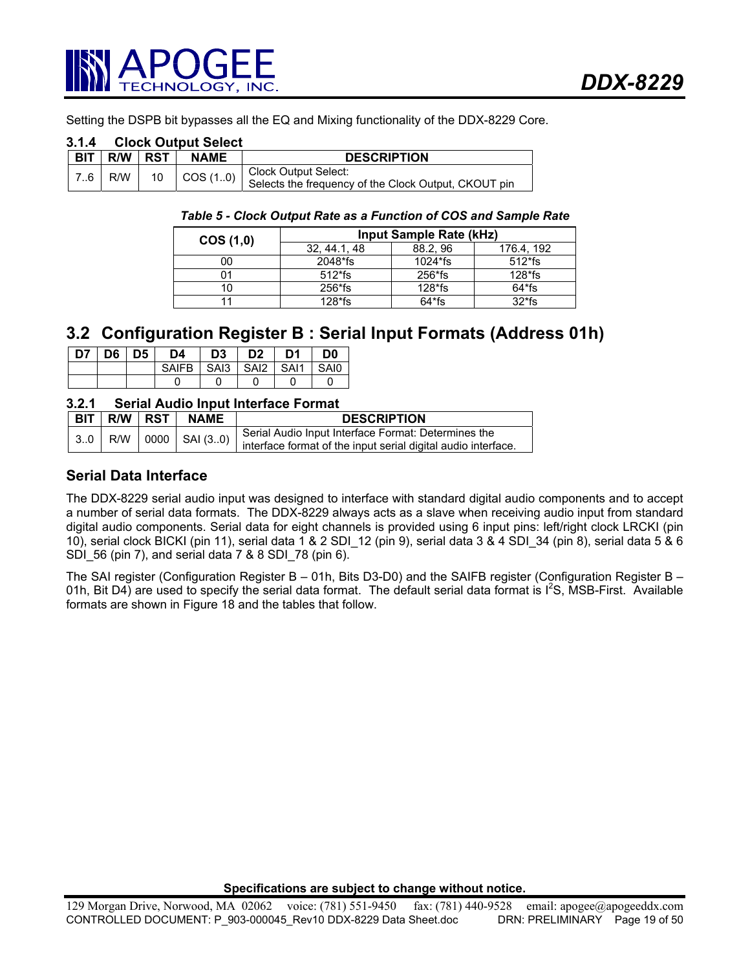

Setting the DSPB bit bypasses all the EQ and Mixing functionality of the DDX-8229 Core.

# **3.1.4 Clock Output Select**

| <b>BIT</b> | R/W | . I RST ∶ | <b>NAME</b>                 | <b>DESCRIPTION</b>                                                           |
|------------|-----|-----------|-----------------------------|------------------------------------------------------------------------------|
| 7.6        | R/W |           | 10 $\vert$ COS (10) $\vert$ | Clock Output Select:<br>Selects the frequency of the Clock Output, CKOUT pin |

### *Table 5 - Clock Output Rate as a Function of COS and Sample Rate*

| COS(1,0) | Input Sample Rate (kHz) |           |            |  |  |  |
|----------|-------------------------|-----------|------------|--|--|--|
|          | 32, 44.1, 48            | 88.2.96   | 176.4, 192 |  |  |  |
| 00       | 2048*fs                 | $1024*fs$ | $512*fs$   |  |  |  |
|          | $512*fs$                | 256*fs    | $128*fs$   |  |  |  |
| 10       | $256$ <sup>*</sup> fs   | $128*fs$  | 64*fs      |  |  |  |
|          | $128*$ fs               | $64*fs$   | $32*$ fs   |  |  |  |

# **3.2 Configuration Register B : Serial Input Formats (Address 01h)**

| D7   D6   D5 | D4                        | D3 | D2 | D1 | D <sub>0</sub> |
|--------------|---------------------------|----|----|----|----------------|
|              | SAIFB SAI3 SAI2 SAI1 SAI0 |    |    |    |                |
|              |                           |    |    |    |                |

## **3.2.1 Serial Audio Input Interface Format**

|  | BIT   R/W   RST | <b>NAME</b> | <b>DESCRIPTION</b>                                                                                                             |
|--|-----------------|-------------|--------------------------------------------------------------------------------------------------------------------------------|
|  |                 |             | $\Big $ 30 R/W $\Big $ 0000 SAI (30) Serial Audio Input Interface Format: Determines the input serial digital audio interface. |

# **Serial Data Interface**

The DDX-8229 serial audio input was designed to interface with standard digital audio components and to accept a number of serial data formats. The DDX-8229 always acts as a slave when receiving audio input from standard digital audio components. Serial data for eight channels is provided using 6 input pins: left/right clock LRCKI (pin 10), serial clock BICKI (pin 11), serial data 1 & 2 SDI\_12 (pin 9), serial data 3 & 4 SDI\_34 (pin 8), serial data 5 & 6 SDI\_56 (pin 7), and serial data 7 & 8 SDI\_78 (pin 6).

The SAI register (Configuration Register B – 01h, Bits D3-D0) and the SAIFB register (Configuration Register B – 01h, Bit D4) are used to specify the serial data format. The default serial data format is  $I^2S$ , MSB-First. Available formats are shown in Figure 18 and the tables that follow.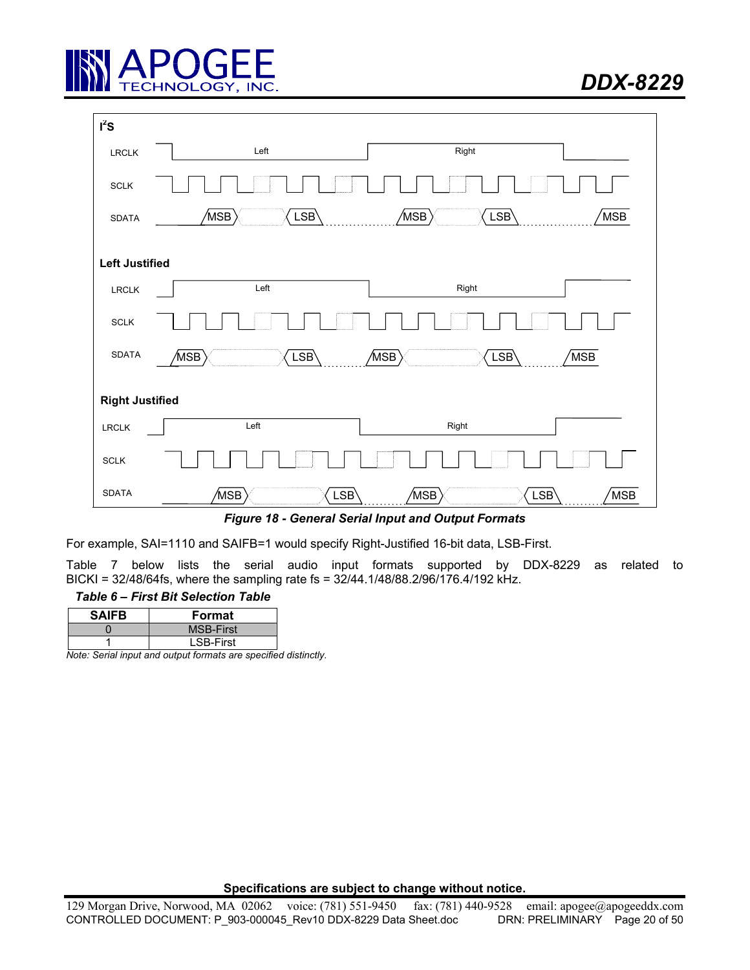

| $I^2S$                       |                                        |                                                            |
|------------------------------|----------------------------------------|------------------------------------------------------------|
| ${\sf LRCLK}$                | Left                                   | Right                                                      |
| $\textsc{SCLK}$              |                                        |                                                            |
| SDATA                        | $\langle_{\mathsf{MSB}}\rangle$<br>LSB | $\sqrt{\rm MSB}$ $\rangle$<br>LSB<br>MSB <sup>'</sup>      |
|                              |                                        |                                                            |
| <b>Left Justified</b>        |                                        |                                                            |
| ${\sf LRCLK}$                | Left                                   | Right                                                      |
| $\textsc{SCLK}$              |                                        |                                                            |
| SDATA                        | LSB<br>$\langle_{\mathsf{MSB}}\rangle$ | LSB<br>$\langle_{\mathsf{MSB}}\rangle$<br>MSB <sup>'</sup> |
| <b>Right Justified</b>       |                                        |                                                            |
| LRCLK                        | Left                                   | Right                                                      |
| $\ensuremath{\mathsf{SCLK}}$ |                                        |                                                            |
| <b>SDATA</b>                 | ′MSB∫<br>LSB                           | 'MSB<br>′MSB∫<br>LSB                                       |

*Figure 18 - General Serial Input and Output Formats* 

For example, SAI=1110 and SAIFB=1 would specify Right-Justified 16-bit data, LSB-First.

Table 7 below lists the serial audio input formats supported by DDX-8229 as related to BICKI = 32/48/64fs, where the sampling rate fs = 32/44.1/48/88.2/96/176.4/192 kHz.

# *Table 6 – First Bit Selection Table*

| <b>SAIFB</b> | Format           |
|--------------|------------------|
|              | <b>MSB-First</b> |
|              | <b>LSB-First</b> |

*Note: Serial input and output formats are specified distinctly.*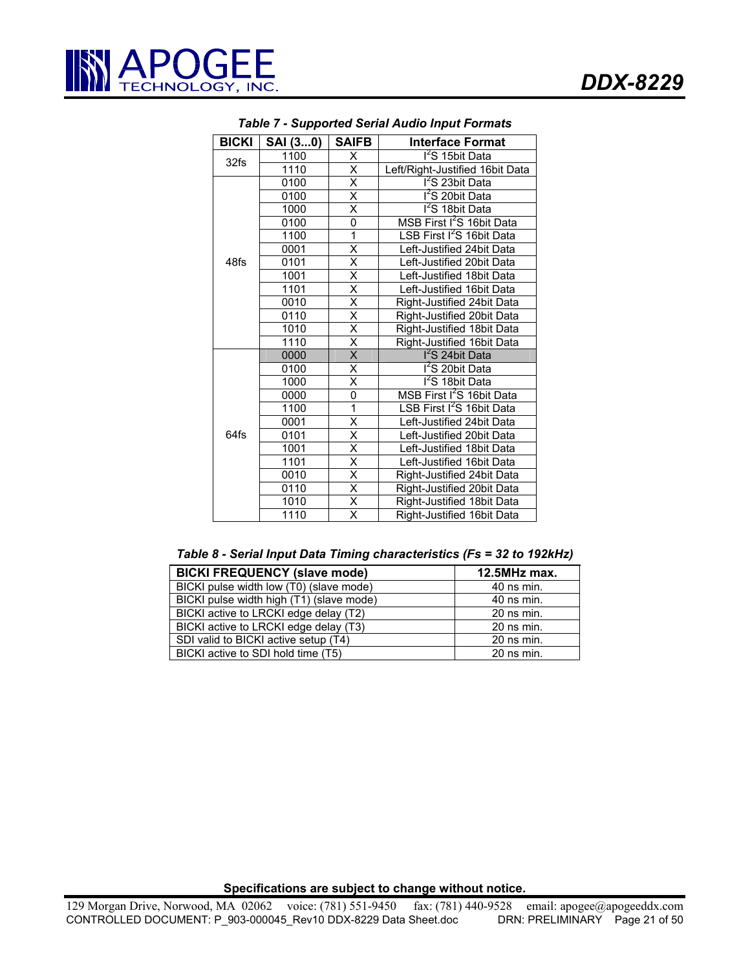| <b>BICKI</b> | SAI (30)                        | <b>SAIFB</b>                                               | <b>Interface Format</b>               |  |
|--------------|---------------------------------|------------------------------------------------------------|---------------------------------------|--|
| 32fs         | 1100                            | Χ                                                          | I <sup>2</sup> S 15bit Data           |  |
|              | 1110                            | $\overline{\mathsf{x}}$<br>Left/Right-Justified 16bit Data |                                       |  |
|              | 0100                            | $\overline{\mathsf{x}}$                                    | I <sup>2</sup> S 23bit Data           |  |
|              | 0100                            | Χ                                                          | I <sup>2</sup> S 20bit Data           |  |
|              | 1000                            | Χ                                                          | I <sup>2</sup> S 18bit Data           |  |
|              | 0100                            | 0                                                          | MSB First I <sup>2</sup> S 16bit Data |  |
| 48fs         | 1100                            | $\overline{1}$                                             | LSB First I <sup>2</sup> S 16bit Data |  |
|              | 0001                            | X                                                          | Left-Justified 24bit Data             |  |
|              | 0101                            | $\overline{\mathsf{x}}$                                    | Left-Justified 20bit Data             |  |
|              | 1001                            | $\overline{\mathsf{x}}$                                    | Left-Justified 18bit Data             |  |
|              | 1101                            | $\overline{\mathsf{x}}$                                    | Left-Justified 16bit Data             |  |
|              | 0010                            | $\overline{\mathsf{x}}$                                    | Right-Justified 24bit Data            |  |
|              | 0110                            | $\overline{\mathsf{x}}$                                    | Right-Justified 20bit Data            |  |
|              | 1010                            | $\overline{\mathsf{x}}$                                    | Right-Justified 18bit Data            |  |
|              | 1110                            | $\overline{\mathsf{x}}$                                    | Right-Justified 16bit Data            |  |
|              | 0000                            | Χ                                                          | I <sup>2</sup> S 24bit Data           |  |
|              | 0100                            | $\overline{\mathsf{x}}$                                    | <sup>12</sup> S 20bit Data            |  |
|              | $\overline{\mathsf{x}}$<br>1000 |                                                            | $1^2$ S 18bit Data                    |  |
|              | 0000                            | 0                                                          | MSB First I <sup>2</sup> S 16bit Data |  |
|              | 1100                            | 1                                                          | LSB First I <sup>2</sup> S 16bit Data |  |
|              | 0001                            | Χ                                                          | Left-Justified 24bit Data             |  |
| 64fs         | 0101                            | $\overline{\mathsf{x}}$                                    | Left-Justified 20bit Data             |  |
|              | 1001                            | $\overline{\mathsf{x}}$                                    | Left-Justified 18bit Data             |  |
|              | 1101                            | Χ                                                          | Left-Justified 16bit Data             |  |
|              | 0010                            | $\overline{\mathsf{x}}$                                    | Right-Justified 24bit Data            |  |
|              | 0110                            | $\overline{\mathsf{x}}$                                    | Right-Justified 20bit Data            |  |
|              | 1010                            | $\overline{\mathsf{x}}$                                    | Right-Justified 18bit Data            |  |
|              | 1110                            | $\overline{\mathsf{x}}$                                    | Right-Justified 16bit Data            |  |

*Table 7 - Supported Serial Audio Input Formats* 

| Table 8 - Serial Input Data Timing characteristics (Fs = 32 to 192kHz) |  |  |  |  |  |  |
|------------------------------------------------------------------------|--|--|--|--|--|--|
|------------------------------------------------------------------------|--|--|--|--|--|--|

| <b>BICKI FREQUENCY (slave mode)</b>      | $12.5$ MHz max. |
|------------------------------------------|-----------------|
| BICKI pulse width low (T0) (slave mode)  | $40$ ns min.    |
| BICKI pulse width high (T1) (slave mode) | $40$ ns min.    |
| BICKI active to LRCKI edge delay (T2)    | $20$ ns min.    |
| BICKI active to LRCKI edge delay (T3)    | $20$ ns min.    |
| SDI valid to BICKI active setup (T4)     | $20$ ns min.    |
| BICKI active to SDI hold time (T5)       | $20$ ns min.    |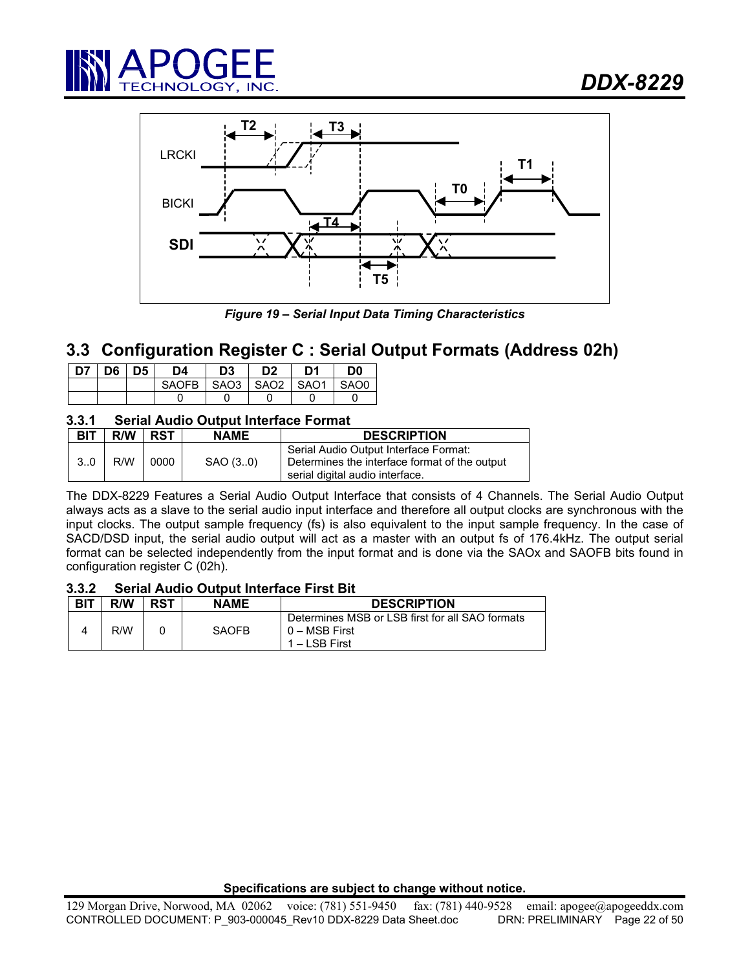



*Figure 19 – Serial Input Data Timing Characteristics* 

# **3.3 Configuration Register C : Serial Output Formats (Address 02h)**

| D7   D6   D5 |  | D4                   | D <sub>3</sub> | D <sub>2</sub> | D <sub>1</sub> | D <sub>0</sub> |
|--------------|--|----------------------|----------------|----------------|----------------|----------------|
|              |  | SAOFB SAO3 SAO2 SAO1 |                |                |                | SAO0           |
|              |  |                      |                |                |                |                |

# **3.3.1 Serial Audio Output Interface Format**

| <b>BIT</b> | R/W | <b>RST</b> | <b>NAME</b> | <b>DESCRIPTION</b>                                                                                                        |
|------------|-----|------------|-------------|---------------------------------------------------------------------------------------------------------------------------|
| $3_{}0$    | R/W | 0000       | SAO (3.0)   | Serial Audio Output Interface Format:<br>Determines the interface format of the output<br>serial digital audio interface. |

The DDX-8229 Features a Serial Audio Output Interface that consists of 4 Channels. The Serial Audio Output always acts as a slave to the serial audio input interface and therefore all output clocks are synchronous with the input clocks. The output sample frequency (fs) is also equivalent to the input sample frequency. In the case of SACD/DSD input, the serial audio output will act as a master with an output fs of 176.4kHz. The output serial format can be selected independently from the input format and is done via the SAOx and SAOFB bits found in configuration register C (02h).

# **3.3.2 Serial Audio Output Interface First Bit**

| <b>BIT</b> | R/W | <b>RST</b> | <b>NAME</b>  | <b>DESCRIPTION</b>                                                                |
|------------|-----|------------|--------------|-----------------------------------------------------------------------------------|
|            | R/W |            | <b>SAOFB</b> | Determines MSB or LSB first for all SAO formats<br>0 – MSB First<br>1 – LSB First |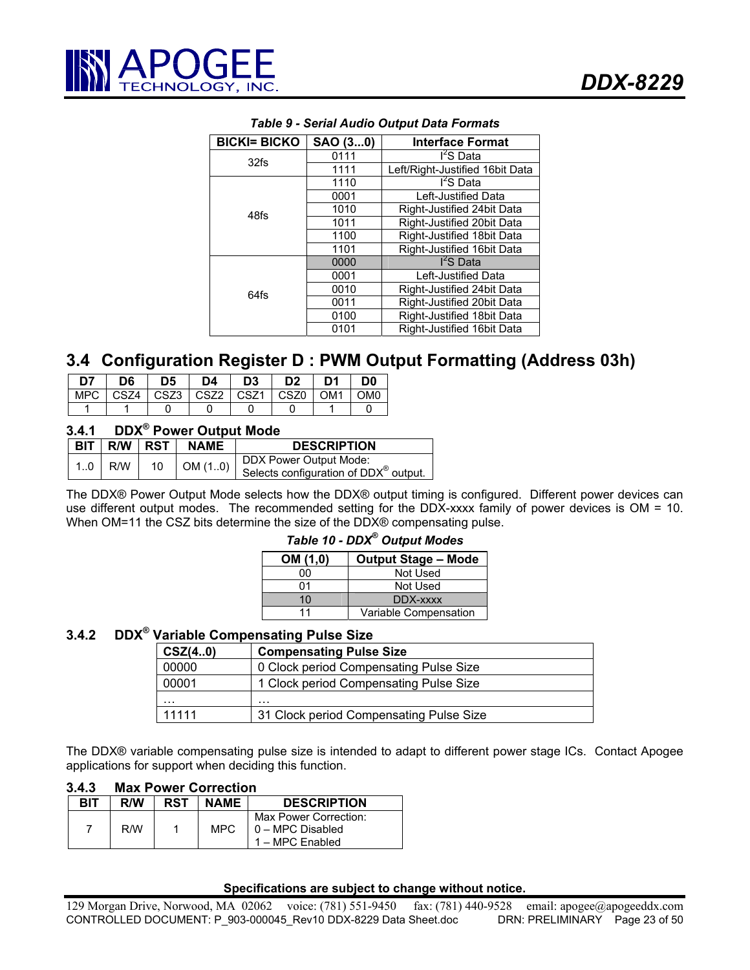

| <b>BICKI= BICKO</b> | SAO (30) | <b>Interface Format</b>         |
|---------------------|----------|---------------------------------|
| 32fs                | 0111     | I <sup>2</sup> S Data           |
|                     | 1111     | Left/Right-Justified 16bit Data |
|                     | 1110     | I <sup>2</sup> S Data           |
|                     | 0001     | Left-Justified Data             |
| 48fs                | 1010     | Right-Justified 24bit Data      |
|                     | 1011     | Right-Justified 20bit Data      |
|                     | 1100     | Right-Justified 18bit Data      |
|                     | 1101     | Right-Justified 16bit Data      |
|                     | 0000     | $I2S$ Data                      |
|                     | 0001     | Left-Justified Data             |
| 64fs                | 0010     | Right-Justified 24bit Data      |
|                     | 0011     | Right-Justified 20bit Data      |
|                     | 0100     | Right-Justified 18bit Data      |
|                     | 0101     | Right-Justified 16bit Data      |

# *Table 9 - Serial Audio Output Data Formats*

# **3.4 Configuration Register D : PWM Output Formatting (Address 03h)**

| D7 | D <sub>6</sub> | D5                           | D4 | D <sub>3</sub> | D <sub>2</sub> | D <sub>1</sub> | D <sub>0</sub>  |
|----|----------------|------------------------------|----|----------------|----------------|----------------|-----------------|
|    |                | MPC CSZ4 CSZ3 CSZ2 CSZ1 CSZ6 |    |                |                | l OM1          | OM <sub>0</sub> |
|    |                |                              |    |                |                |                |                 |

# **3.4.1 DDX® Power Output Mode**

|  |           | <b>BIT R/W RST</b> | <b>NAME</b>    | <b>DESCRIPTION</b>                                                          |
|--|-----------|--------------------|----------------|-----------------------------------------------------------------------------|
|  | $1.0$ R/W | 10                 | $\cup$ OM (10) | DDX Power Output Mode:<br>Selects configuration of DDX <sup>®</sup> output. |

The DDX® Power Output Mode selects how the DDX® output timing is configured. Different power devices can use different output modes. The recommended setting for the DDX-xxxx family of power devices is OM = 10. When OM=11 the CSZ bits determine the size of the DDX® compensating pulse.

| Table 10 - DDX <sup>®</sup> Output Modes |                            |  |  |  |  |
|------------------------------------------|----------------------------|--|--|--|--|
| OM (1,0)                                 | <b>Output Stage - Mode</b> |  |  |  |  |
| 00                                       | Not Used                   |  |  |  |  |
| 01                                       | Not Used                   |  |  |  |  |
| 10                                       | DDX-xxxx                   |  |  |  |  |
| 11                                       | Variable Compensation      |  |  |  |  |

# **3.4.2 DDX® Variable Compensating Pulse Size**

| <b>Compensating Pulse Size</b><br>CSZ(40)        |                                        |  |
|--------------------------------------------------|----------------------------------------|--|
| 00000                                            | 0 Clock period Compensating Pulse Size |  |
| 1 Clock period Compensating Pulse Size<br>00001  |                                        |  |
| .                                                | .                                      |  |
| 11111<br>31 Clock period Compensating Pulse Size |                                        |  |

The DDX® variable compensating pulse size is intended to adapt to different power stage ICs. Contact Apogee applications for support when deciding this function.

| 3.4.3 |  | <b>Max Power Correction</b> |  |
|-------|--|-----------------------------|--|
|       |  |                             |  |

| BIT | R/W | <b>RST</b> | <b>NAME</b> | <b>DESCRIPTION</b>                                           |
|-----|-----|------------|-------------|--------------------------------------------------------------|
|     | R/W |            | MPC.        | Max Power Correction:<br>0 - MPC Disabled<br>1 – MPC Enabled |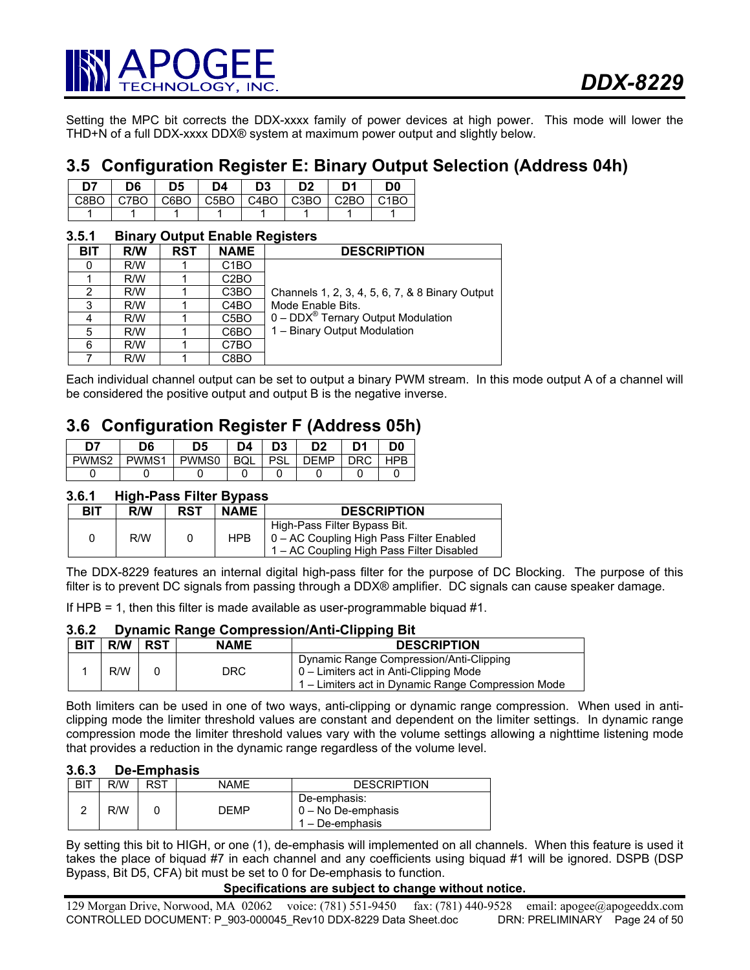

Setting the MPC bit corrects the DDX-xxxx family of power devices at high power. This mode will lower the THD+N of a full DDX-xxxx DDX® system at maximum power output and slightly below.

# **3.5 Configuration Register E: Binary Output Selection (Address 04h)**

| לח | D6 | D5 | D4. | D3 | D <sub>2</sub> | D1                                                    | D0 |
|----|----|----|-----|----|----------------|-------------------------------------------------------|----|
|    |    |    |     |    |                | C8BO   C7BO   C6BO   C5BO   C4BO   C3BO   C2BO   C1BO |    |
|    |    |    |     |    |                |                                                       |    |

# **3.5.1 Binary Output Enable Registers**

| BIT | R/W | <b>RST</b> | <b>NAME</b>       | <b>DESCRIPTION</b>                                        |
|-----|-----|------------|-------------------|-----------------------------------------------------------|
|     | R/W |            | C <sub>1</sub> BO |                                                           |
|     | R/W |            | C <sub>2</sub> BO |                                                           |
| 2   | R/W |            | C <sub>3</sub> BO | Channels 1, 2, 3, 4, 5, 6, 7, & 8 Binary Output           |
| 3   | R/W |            | C <sub>4</sub> BO | Mode Enable Bits.                                         |
|     | R/W |            | C <sub>5</sub> BO | $0 - \text{DDX}^{\circledcirc}$ Ternary Output Modulation |
| 5   | R/W |            | C6BO              | 1 - Binary Output Modulation                              |
| 6   | R/W |            | C7BO              |                                                           |
|     | R/W |            | C8BO              |                                                           |

Each individual channel output can be set to output a binary PWM stream. In this mode output A of a channel will be considered the positive output and output B is the negative inverse.

# **3.6 Configuration Register F (Address 05h)**

|       | D6    | D <sub>5</sub> | D4         | D3         | D <sub>2</sub> | D <sub>1</sub> | D <sub>0</sub> |
|-------|-------|----------------|------------|------------|----------------|----------------|----------------|
| PWMS2 | PWMS1 | PWMS0          | <b>BQL</b> | <b>PSL</b> | <b>DEMP</b>    | ንRC            |                |
|       |       |                |            |            |                |                |                |

## **3.6.1 High-Pass Filter Bypass**

| BIT | R/W | RST | <b>NAME</b> | <b>DESCRIPTION</b>                                                                                                    |
|-----|-----|-----|-------------|-----------------------------------------------------------------------------------------------------------------------|
| 0   | R/W |     | <b>HPB</b>  | High-Pass Filter Bypass Bit.<br>0 - AC Coupling High Pass Filter Enabled<br>1 – AC Coupling High Pass Filter Disabled |

The DDX-8229 features an internal digital high-pass filter for the purpose of DC Blocking. The purpose of this filter is to prevent DC signals from passing through a DDX® amplifier. DC signals can cause speaker damage.

If HPB = 1, then this filter is made available as user-programmable biquad #1.

#### **3.6.2 Dynamic Range Compression/Anti-Clipping Bit**

| <b>BIT</b> | R/W | RST | <b>NAME</b> | <b>DESCRIPTION</b>                                                                                                                      |
|------------|-----|-----|-------------|-----------------------------------------------------------------------------------------------------------------------------------------|
|            | R/W |     | DRC         | Dynamic Range Compression/Anti-Clipping<br>0 – Limiters act in Anti-Clipping Mode<br>1 – Limiters act in Dynamic Range Compression Mode |

Both limiters can be used in one of two ways, anti-clipping or dynamic range compression. When used in anticlipping mode the limiter threshold values are constant and dependent on the limiter settings. In dynamic range compression mode the limiter threshold values vary with the volume settings allowing a nighttime listening mode that provides a reduction in the dynamic range regardless of the volume level.

#### **3.6.3 De-Emphasis**

| BIT | R/W | RST | NAME | <b>DESCRIPTION</b>                                          |
|-----|-----|-----|------|-------------------------------------------------------------|
|     | R/W |     | DEMP | De-emphasis:<br>$\vert 0 -$ No De-emphasis<br>– De-emphasis |

By setting this bit to HIGH, or one (1), de-emphasis will implemented on all channels. When this feature is used it takes the place of biquad #7 in each channel and any coefficients using biquad #1 will be ignored. DSPB (DSP Bypass, Bit D5, CFA) bit must be set to 0 for De-emphasis to function.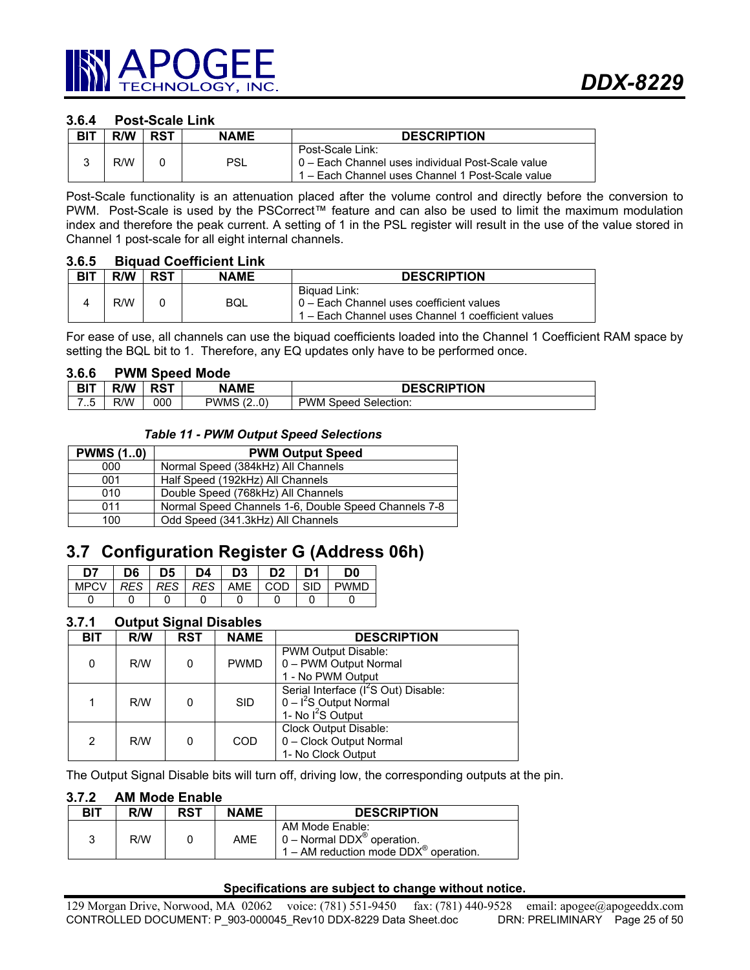# **3.6.4 Post-Scale Link**

| <b>BIT</b> | R/W | RST | <b>NAME</b> | <b>DESCRIPTION</b>                                                                                                        |
|------------|-----|-----|-------------|---------------------------------------------------------------------------------------------------------------------------|
|            | R/W |     | PSL         | Post-Scale Link:<br>0 – Each Channel uses individual Post-Scale value<br>1 – Each Channel uses Channel 1 Post-Scale value |

Post-Scale functionality is an attenuation placed after the volume control and directly before the conversion to PWM. Post-Scale is used by the PSCorrect™ feature and can also be used to limit the maximum modulation index and therefore the peak current. A setting of 1 in the PSL register will result in the use of the value stored in Channel 1 post-scale for all eight internal channels.

#### **3.6.5 Biquad Coefficient Link**

| <b>BIT</b> | R/W | <b>RST</b> | <b>NAME</b> | <b>DESCRIPTION</b>                                                                                               |
|------------|-----|------------|-------------|------------------------------------------------------------------------------------------------------------------|
|            | R/W |            | BQL         | Biguad Link:<br>  0 – Each Channel uses coefficient values<br>1 – Each Channel uses Channel 1 coefficient values |

For ease of use, all channels can use the biquad coefficients loaded into the Channel 1 Coefficient RAM space by setting the BQL bit to 1. Therefore, any EQ updates only have to be performed once.

#### **3.6.6 PWM Speed Mode**

| <b>BIT</b> | R/W | <b>RST</b> | <b>NAME</b>                       | <b>DESCRIPTION</b>         |
|------------|-----|------------|-----------------------------------|----------------------------|
| ∽<br>ن. ا  | R/W | 000        | PWMS<br>$\cap$<br>$\epsilon$<br>. | PWM<br>Selection:<br>Speed |

## *Table 11 - PWM Output Speed Selections*

| <b>PWMS (10)</b> | <b>PWM Output Speed</b>                              |
|------------------|------------------------------------------------------|
| 000              | Normal Speed (384kHz) All Channels                   |
| 001              | Half Speed (192kHz) All Channels                     |
| 010              | Double Speed (768kHz) All Channels                   |
| 011              | Normal Speed Channels 1-6, Double Speed Channels 7-8 |
| 100              | Odd Speed (341.3kHz) All Channels                    |

# **3.7 Configuration Register G (Address 06h)**

| D7                                              | D6. | D5 I | D4 | D3 | <b>D2</b> | D1 | D0 |
|-------------------------------------------------|-----|------|----|----|-----------|----|----|
| MPCV   RES   RES   RES   AME   COD   SID   PWMD |     |      |    |    |           |    |    |
|                                                 |     |      |    |    |           |    |    |

# **3.7.1 Output Signal Disables**

| <b>BIT</b> | R/W | <b>RST</b> | <b>NAME</b> | <b>DESCRIPTION</b>                                                                                 |
|------------|-----|------------|-------------|----------------------------------------------------------------------------------------------------|
| 0          | R/W | 0          | <b>PWMD</b> | PWM Output Disable:<br>0 - PWM Output Normal<br>1 - No PWM Output                                  |
|            | R/W | 0          | <b>SID</b>  | Serial Interface (I <sup>2</sup> S Out) Disable:<br>$0 - I2S$ Output Normal<br>1- No $I^2S$ Output |
| 2          | R/W | 0          | <b>COD</b>  | Clock Output Disable:<br>0 - Clock Output Normal<br>1- No Clock Output                             |

The Output Signal Disable bits will turn off, driving low, the corresponding outputs at the pin.

#### **3.7.2 AM Mode Enable**

| <b>BIT</b> | R/W | <b>RST</b> | <b>NAME</b> | <b>DESCRIPTION</b>                                                                                                       |
|------------|-----|------------|-------------|--------------------------------------------------------------------------------------------------------------------------|
| 3          | R/W |            | <b>AME</b>  | AM Mode Enable:<br>$\vert 0 -$ Normal DDX <sup>®</sup> operation.<br>$1 - AM$ reduction mode DDX <sup>®</sup> operation. |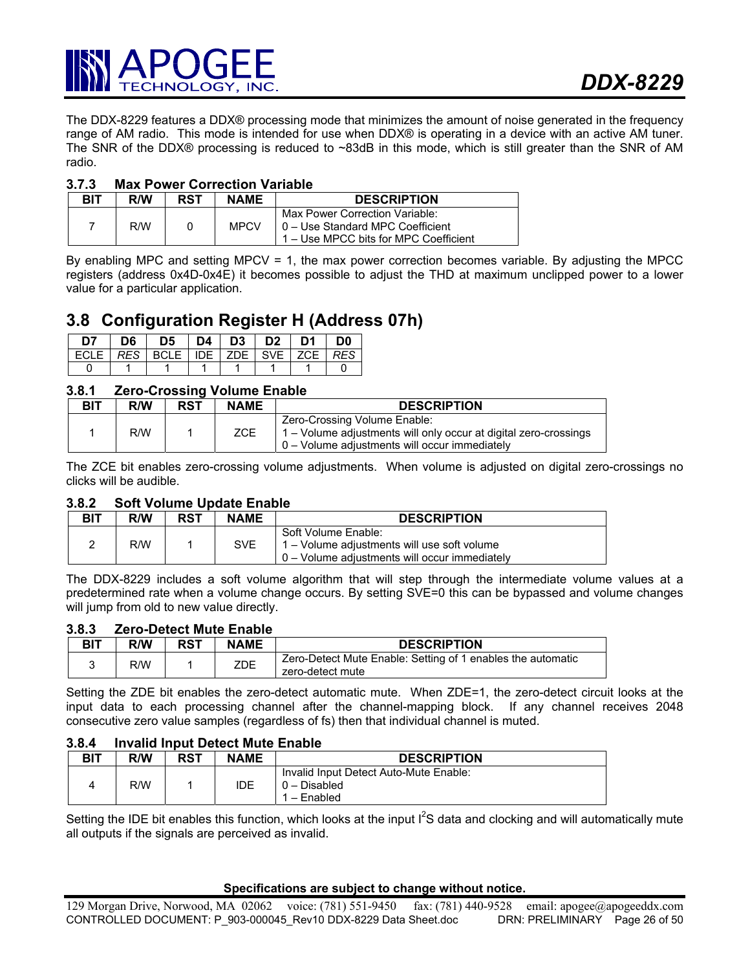

The DDX-8229 features a DDX® processing mode that minimizes the amount of noise generated in the frequency range of AM radio. This mode is intended for use when DDX® is operating in a device with an active AM tuner. The SNR of the DDX® processing is reduced to ~83dB in this mode, which is still greater than the SNR of AM radio.

## **3.7.3 Max Power Correction Variable**

| <b>BIT</b> | <b>R/W</b> | RST | <b>NAME</b> | <b>DESCRIPTION</b>                                                                                           |
|------------|------------|-----|-------------|--------------------------------------------------------------------------------------------------------------|
| 7          | R/W        |     | <b>MPCV</b> | Max Power Correction Variable:<br>10 - Use Standard MPC Coefficient<br>1 – Use MPCC bits for MPC Coefficient |

By enabling MPC and setting MPCV = 1, the max power correction becomes variable. By adjusting the MPCC registers (address 0x4D-0x4E) it becomes possible to adjust the THD at maximum unclipped power to a lower value for a particular application.

# **3.8 Configuration Register H (Address 07h)**

| D7.                                                           | D6   D5   D4   D3   D2   D1   D0 |  |  |  |
|---------------------------------------------------------------|----------------------------------|--|--|--|
| ECLE   <i>RES</i>   BCLE   IDE   ZDE   SVE   ZCE   <i>RES</i> |                                  |  |  |  |
|                                                               |                                  |  |  |  |

# **3.8.1 Zero-Crossing Volume Enable**

| BIT | R/W | <b>RST</b> | <b>NAME</b> | <b>DESCRIPTION</b>                                                                                                                                  |
|-----|-----|------------|-------------|-----------------------------------------------------------------------------------------------------------------------------------------------------|
|     | R/W |            | <b>ZCE</b>  | Zero-Crossing Volume Enable:<br>1 – Volume adjustments will only occur at digital zero-crossings<br>$0 -$ Volume adjustments will occur immediately |

The ZCE bit enables zero-crossing volume adjustments. When volume is adjusted on digital zero-crossings no clicks will be audible.

## **3.8.2 Soft Volume Update Enable**

| <b>BIT</b> | R/W | <b>RST</b> | <b>NAME</b> | <b>DESCRIPTION</b>                                                                                                  |
|------------|-----|------------|-------------|---------------------------------------------------------------------------------------------------------------------|
|            | R/W |            | <b>SVE</b>  | Soft Volume Enable:<br>1 – Volume adjustments will use soft volume<br>0 – Volume adjustments will occur immediately |

The DDX-8229 includes a soft volume algorithm that will step through the intermediate volume values at a predetermined rate when a volume change occurs. By setting SVE=0 this can be bypassed and volume changes will jump from old to new value directly.

## **3.8.3 Zero-Detect Mute Enable**

| <b>BIT</b> | R/W | RST | <b>NAME</b> | <b>DESCRIPTION</b>                                                              |
|------------|-----|-----|-------------|---------------------------------------------------------------------------------|
|            | R/W |     | ZDE         | Zero-Detect Mute Enable: Setting of 1 enables the automatic<br>zero-detect mute |

Setting the ZDE bit enables the zero-detect automatic mute. When ZDE=1, the zero-detect circuit looks at the input data to each processing channel after the channel-mapping block. If any channel receives 2048 consecutive zero value samples (regardless of fs) then that individual channel is muted.

#### **3.8.4 Invalid Input Detect Mute Enable**

| BIT | R/W | <b>RST</b> | <b>NAME</b> | <b>DESCRIPTION</b>                                                    |
|-----|-----|------------|-------------|-----------------------------------------------------------------------|
|     | R/W |            | IDE         | Invalid Input Detect Auto-Mute Enable:<br>$0 - Disabled$<br>– Enabled |

Setting the IDE bit enables this function, which looks at the input  $I^2S$  data and clocking and will automatically mute all outputs if the signals are perceived as invalid.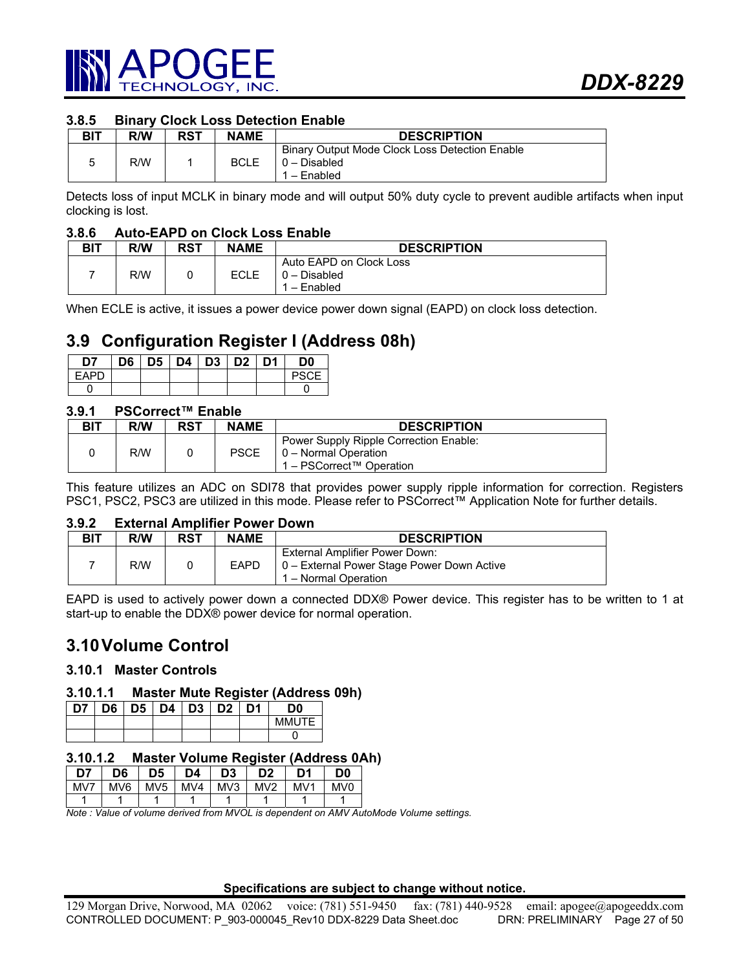

## **3.8.5 Binary Clock Loss Detection Enable**

| BIT | R/W | RST | <b>NAME</b> | <b>DESCRIPTION</b>                                                          |
|-----|-----|-----|-------------|-----------------------------------------------------------------------------|
| ວ   | R/W |     | <b>BCLE</b> | Binary Output Mode Clock Loss Detection Enable<br>0 - Disabled<br>- Enabled |

Detects loss of input MCLK in binary mode and will output 50% duty cycle to prevent audible artifacts when input clocking is lost.

#### **3.8.6 Auto-EAPD on Clock Loss Enable**

| BIT | R/W | <b>RST</b> | <b>NAME</b> | <b>DESCRIPTION</b>                                     |
|-----|-----|------------|-------------|--------------------------------------------------------|
|     | R/W |            | ECLE        | Auto EAPD on Clock Loss<br>$0 - Disabled$<br>- Enabled |

When ECLE is active, it issues a power device power down signal (EAPD) on clock loss detection.

# **3.9 Configuration Register I (Address 08h)**

| D7    |  | D6   D5   D4   D3   D2   D1 |  | D0 |
|-------|--|-----------------------------|--|----|
| FAPD. |  |                             |  |    |
|       |  |                             |  |    |

## **3.9.1 PSCorrect™ Enable**

| <b>BIT</b> | <b>R/W</b> | <b>RST</b> | <b>NAME</b> | <b>DESCRIPTION</b>                                                                         |
|------------|------------|------------|-------------|--------------------------------------------------------------------------------------------|
|            | R/W        |            | <b>PSCE</b> | Power Supply Ripple Correction Enable:<br>0 - Normal Operation<br>1 – PSCorrect™ Operation |

This feature utilizes an ADC on SDI78 that provides power supply ripple information for correction. Registers PSC1, PSC2, PSC3 are utilized in this mode. Please refer to PSCorrect™ Application Note for further details.

#### **3.9.2 External Amplifier Power Down**

| <b>BIT</b> | R/W | <b>RST</b> | <b>NAME</b> | <b>DESCRIPTION</b>                                                                                     |
|------------|-----|------------|-------------|--------------------------------------------------------------------------------------------------------|
|            | R/W |            | <b>EAPD</b> | External Amplifier Power Down:<br>  0 – External Power Stage Power Down Active<br>1 – Normal Operation |

EAPD is used to actively power down a connected DDX® Power device. This register has to be written to 1 at start-up to enable the DDX® power device for normal operation.

# **3.10 Volume Control**

## **3.10.1 Master Controls**

#### **3.10.1.1 Master Mute Register (Address 09h)**

| D7 | D6   D5   D4   D3   D2   D1 |  |  | מכ      |
|----|-----------------------------|--|--|---------|
|    |                             |  |  | MMI ITE |
|    |                             |  |  |         |

#### **3.10.1.2 Master Volume Register (Address 0Ah)**

| D7  | D6              | D5  | D4  | D3  | D2              | D1              | D0              |
|-----|-----------------|-----|-----|-----|-----------------|-----------------|-----------------|
| MV7 | MV <sub>6</sub> | MV5 | MV4 | MV3 | MV <sub>2</sub> | MV <sub>1</sub> | MV <sub>0</sub> |
|     |                 |     |     |     |                 |                 |                 |

*Note : Value of volume derived from MVOL is dependent on AMV AutoMode Volume settings.*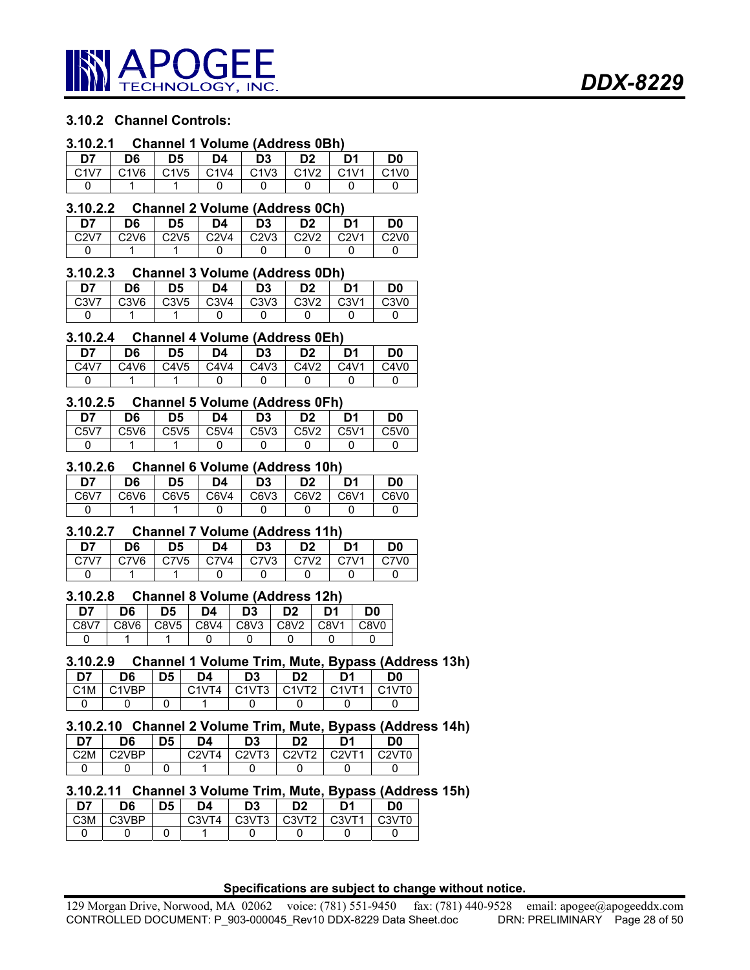

# **3.10.2 Channel Controls:**

#### **3.10.2.1 Channel 1 Volume (Address 0Bh)**

| D7   | D6   | D5   | D4                            | D3   | D <sub>2</sub>                | D1                            | D0                            |
|------|------|------|-------------------------------|------|-------------------------------|-------------------------------|-------------------------------|
| C1V7 | C1V6 | C1V5 | C <sub>1</sub> V <sub>4</sub> | C1V3 | C <sub>1</sub> V <sub>2</sub> | C <sub>1</sub> V <sub>1</sub> | C <sub>1</sub> V <sub>0</sub> |
|      |      |      |                               |      |                               |                               |                               |

#### **3.10.2.2 Channel 2 Volume (Address 0Ch)**

| D7                            | D6   | D5   | D4   | D <sub>3</sub> | פח   | D'   | D0                            |
|-------------------------------|------|------|------|----------------|------|------|-------------------------------|
| C <sub>2</sub> V <sub>7</sub> | C2V6 | C2V5 | C2V4 | C2V3           | C2V2 | C2V1 | C <sub>2</sub> V <sub>0</sub> |
|                               |      |      |      |                |      |      |                               |

#### **3.10.2.3 Channel 3 Volume (Address 0Dh)**

| D7   | D6   | D5   | D4   | D <sub>3</sub> | D <sub>2</sub> | D1   | D0                            |
|------|------|------|------|----------------|----------------|------|-------------------------------|
| C3V7 | C3V6 | C3V5 | C3V4 | C3V3           | C3V2           | C3V1 | C <sub>3</sub> V <sub>0</sub> |
|      |      |      |      |                |                |      |                               |

#### **3.10.2.4 Channel 4 Volume (Address 0Eh)**

| D7   | D6   | D <sub>5</sub> | D4   | D <sub>3</sub> | D <sub>2</sub> | D <sub>1</sub> | D0   |
|------|------|----------------|------|----------------|----------------|----------------|------|
| C4V7 | C4V6 | C4V5           | C4V4 | C4V3           | C4V2           | C4V1           | C4V0 |
|      |      |                |      |                |                |                |      |

# **3.10.2.5 Channel 5 Volume (Address 0Fh)**

| D7   | D6   | D5   | D4   | D <sub>3</sub> | D <sub>2</sub> | D1   | D <sub>0</sub>                |
|------|------|------|------|----------------|----------------|------|-------------------------------|
| C5V7 | C5V6 | C5V5 | C5V4 | $\mid$ C5V3    | C5V2           | C5V1 | C <sub>5</sub> V <sub>0</sub> |
|      |      |      |      |                |                |      |                               |

### **3.10.2.6 Channel 6 Volume (Address 10h)**

| D7   | D6   | D5               | D4   | D <sub>3</sub> | D <sub>2</sub> | D1   | D0   |
|------|------|------------------|------|----------------|----------------|------|------|
| C6V7 | C6V6 | C6V <sub>5</sub> | C6V4 | C6V3           | C6V2           | C6V1 | C6V0 |
|      |      |                  |      |                |                |      |      |

#### **3.10.2.7 Channel 7 Volume (Address 11h)**

| D7   | D6   | D5   | D4   | D3   | D <sub>2</sub> | D1   | D0   |
|------|------|------|------|------|----------------|------|------|
| CZV7 | C7V6 | C7V5 | C7V4 | C7V3 | C.7V2          | C7V1 | C7V0 |
|      |      |      |      |      |                |      |      |

#### **3.10.2.8 Channel 8 Volume (Address 12h)**

| D7   | D6   | D5               | D4   | D3          | D <sub>2</sub>     | D1   | D0               |
|------|------|------------------|------|-------------|--------------------|------|------------------|
| C8V7 | C8V6 | C8V <sub>5</sub> | C8V4 | $\sim$ C8V3 | $\overline{)$ C8V2 | C8V1 | C8V <sub>0</sub> |
|      |      |                  |      |             |                    |      |                  |

# **3.10.2.9 Channel 1 Volume Trim, Mute, Bypass (Address 13h)**

| D7               | D6          | D5 | D4                 | D3                                    | מח           | D1    | D0     |
|------------------|-------------|----|--------------------|---------------------------------------|--------------|-------|--------|
| C <sub>1</sub> M | <b>AVRP</b> |    | $C$ 1\/T $\Lambda$ | C <sub>1</sub> VT <sub>3</sub><br>ں ו | C1VT2<br>. . | C1VT1 | C1\/TN |
|                  |             |    |                    |                                       |              |       |        |

# **3.10.2.10 Channel 2 Volume Trim, Mute, Bypass (Address 14h)**

| D7               | D6                  | D5 | D4    | D <sub>3</sub>                 | D <sub>2</sub> | D1 | D٥                              |
|------------------|---------------------|----|-------|--------------------------------|----------------|----|---------------------------------|
| C <sub>2</sub> M | C <sub>2</sub> 1/RP |    | C2VTA | C <sub>2</sub> V <sub>T3</sub> | C2VT2 C2VT1    |    | C <sub>2</sub> V T <sub>0</sub> |
|                  |                     |    |       |                                |                |    |                                 |

## **3.10.2.11 Channel 3 Volume Trim, Mute, Bypass (Address 15h)**

| D7               | D6                             | D5 | D4                             | D3                             | D <sub>2</sub>     | D1             | D0    |
|------------------|--------------------------------|----|--------------------------------|--------------------------------|--------------------|----------------|-------|
| C <sub>3</sub> M | C <sub>3</sub> V <sub>RP</sub> |    | C <sub>3</sub> VT <sub>4</sub> | C <sub>3</sub> VT <sub>3</sub> | C <sub>3</sub> VT2 | $C3 \sqrt{71}$ | C3VT0 |
|                  |                                |    |                                |                                |                    |                |       |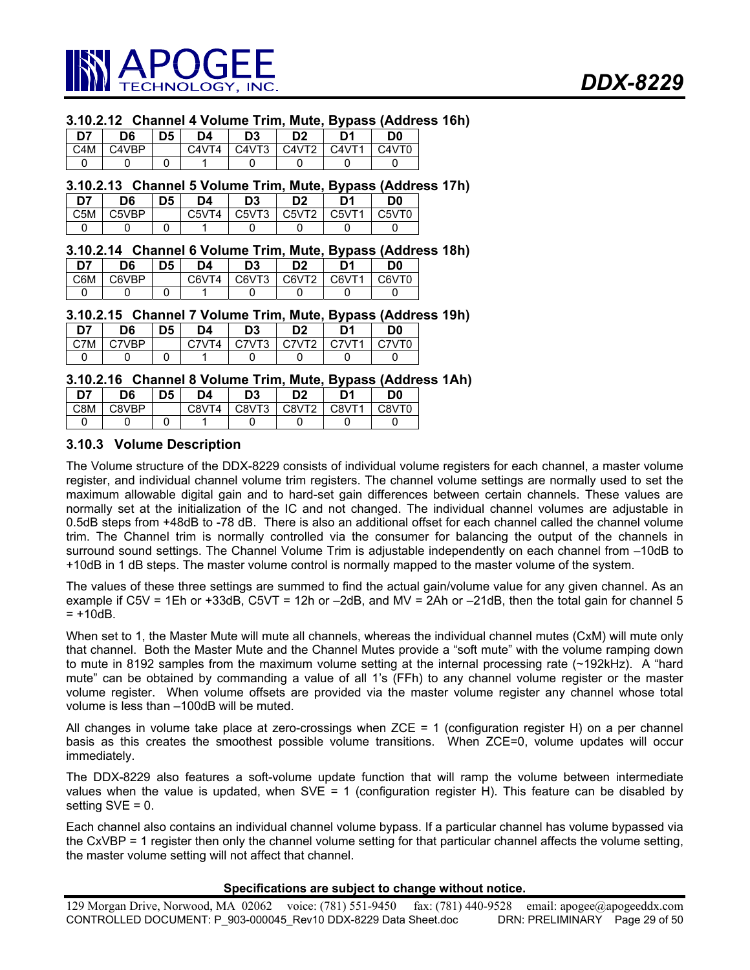

## **3.10.2.12 Channel 4 Volume Trim, Mute, Bypass (Address 16h)**

| D7               | D6    | D <sub>5</sub> | D4    | D <sub>3</sub> | D <sub>2</sub>                 | D1                       | D0    |
|------------------|-------|----------------|-------|----------------|--------------------------------|--------------------------|-------|
| C <sub>4</sub> M | C4VBP |                | C4VT4 | C4VT3          | C <sub>4</sub> V <sub>T2</sub> | $C\text{-}4$ $\sqrt{T}1$ | C4VT0 |
|                  |       |                |       |                |                                |                          |       |

#### **3.10.2.13 Channel 5 Volume Trim, Mute, Bypass (Address 17h)**

| D7               | D6    | D5 | D4    | D <sub>3</sub>                  | מח    | D1    | D0    |
|------------------|-------|----|-------|---------------------------------|-------|-------|-------|
| C <sub>5</sub> M | C5VBP |    | C5VT4 | C <sub>5</sub> V <sub>T</sub> 3 | C5VT2 | C5VT1 | C5VT0 |
|                  |       |    |       |                                 |       |       |       |

## **3.10.2.14 Channel 6 Volume Trim, Mute, Bypass (Address 18h)**

| D7  | D <sub>6</sub> | D <sub>5</sub> | D4    | D3    | D <sub>2</sub> | D1    | D0    |
|-----|----------------|----------------|-------|-------|----------------|-------|-------|
| C6M | C6VRP          |                | C6VT4 | C6VT3 | C6VT2          | C6VT1 | C6VT0 |
|     |                |                |       |       |                |       |       |

#### **3.10.2.15 Channel 7 Volume Trim, Mute, Bypass (Address 19h)**

| D7  | D6     | D5 | D4 | D3    | D2                             | D1     | D0     |
|-----|--------|----|----|-------|--------------------------------|--------|--------|
| C7M | 77\/RD |    |    | C7VT3 | C <sub>7</sub> VT <sub>2</sub> | CZVTT1 | C.7VTN |
|     |        |    |    |       |                                |        |        |

#### **3.10.2.16 Channel 8 Volume Trim, Mute, Bypass (Address 1Ah)**

| D7  | D6    | D5 | D4    | D3    | D <sub>2</sub>    | D <sup>4</sup> | D <sub>0</sub> |
|-----|-------|----|-------|-------|-------------------|----------------|----------------|
| C8M | 28VBP |    | C8VT4 | C8VT3 | C8VT <sub>2</sub> | C8VT1          | C8VT0          |
|     |       |    |       |       |                   |                |                |

## **3.10.3 Volume Description**

The Volume structure of the DDX-8229 consists of individual volume registers for each channel, a master volume register, and individual channel volume trim registers. The channel volume settings are normally used to set the maximum allowable digital gain and to hard-set gain differences between certain channels. These values are normally set at the initialization of the IC and not changed. The individual channel volumes are adjustable in 0.5dB steps from +48dB to -78 dB. There is also an additional offset for each channel called the channel volume trim. The Channel trim is normally controlled via the consumer for balancing the output of the channels in surround sound settings. The Channel Volume Trim is adjustable independently on each channel from -10dB to +10dB in 1 dB steps. The master volume control is normally mapped to the master volume of the system.

The values of these three settings are summed to find the actual gain/volume value for any given channel. As an example if C5V = 1Eh or +33dB, C5VT = 12h or –2dB, and MV = 2Ah or –21dB, then the total gain for channel 5  $= +10dB$ .

When set to 1, the Master Mute will mute all channels, whereas the individual channel mutes (CxM) will mute only that channel. Both the Master Mute and the Channel Mutes provide a "soft mute" with the volume ramping down to mute in 8192 samples from the maximum volume setting at the internal processing rate (~192kHz). A "hard mute" can be obtained by commanding a value of all 1's (FFh) to any channel volume register or the master volume register. When volume offsets are provided via the master volume register any channel whose total volume is less than –100dB will be muted.

All changes in volume take place at zero-crossings when ZCE = 1 (configuration register H) on a per channel basis as this creates the smoothest possible volume transitions. When ZCE=0, volume updates will occur immediately.

The DDX-8229 also features a soft-volume update function that will ramp the volume between intermediate values when the value is updated, when  $SVE = 1$  (configuration register H). This feature can be disabled by setting  $SVE = 0$ .

Each channel also contains an individual channel volume bypass. If a particular channel has volume bypassed via the CxVBP = 1 register then only the channel volume setting for that particular channel affects the volume setting, the master volume setting will not affect that channel.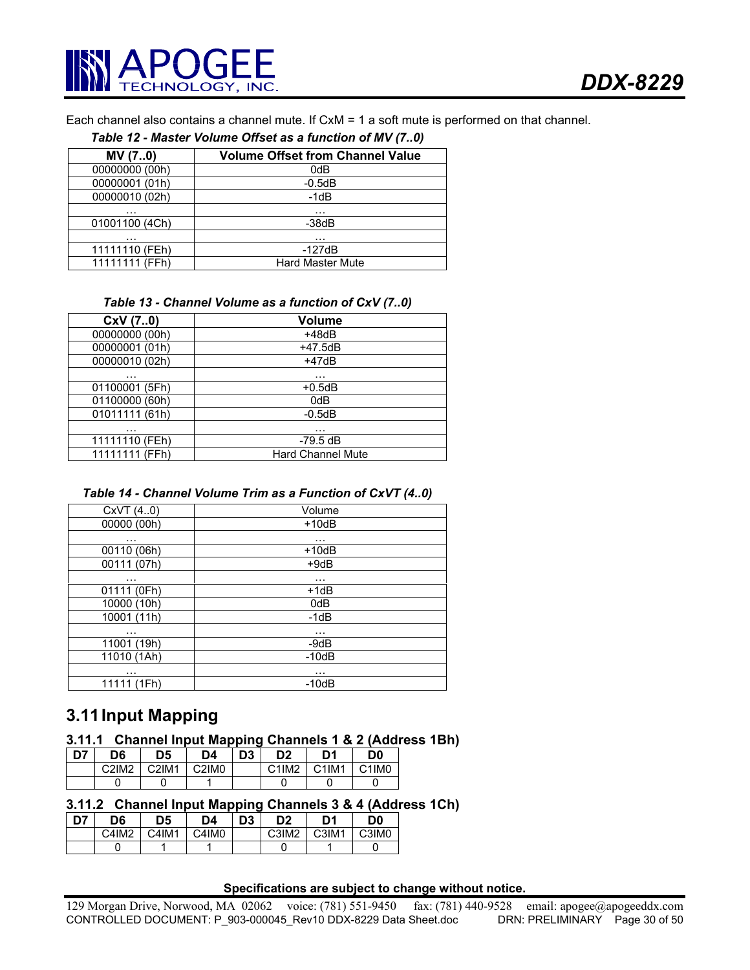

Each channel also contains a channel mute. If CxM = 1 a soft mute is performed on that channel.

#### *Table 12 - Master Volume Offset as a function of MV (7..0)*

| MV (70)        | <b>Volume Offset from Channel Value</b> |
|----------------|-----------------------------------------|
| 00000000 (00h) | 0dB                                     |
| 00000001 (01h) | $-0.5dB$                                |
| 00000010 (02h) | $-1dB$                                  |
| .              | $\cdots$                                |
| 01001100 (4Ch) | $-38dB$                                 |
| .              | .                                       |
| 11111110 (FEh) | $-127dB$                                |
| 11111111 (FFh) | <b>Hard Master Mute</b>                 |

#### *Table 13 - Channel Volume as a function of CxV (7..0)*

| CxV (70)       | <b>Volume</b>            |
|----------------|--------------------------|
| 00000000 (00h) | $+48dB$                  |
| 00000001 (01h) | +47.5dB                  |
| 00000010 (02h) | $+47dB$                  |
| .              | .                        |
| 01100001 (5Fh) | $+0.5dB$                 |
| 01100000 (60h) | 0dB                      |
| 01011111 (61h) | $-0.5dB$                 |
| .              | .                        |
| 11111110 (FEh) | $-79.5$ dB               |
| 11111111 (FFh) | <b>Hard Channel Mute</b> |

#### *Table 14 - Channel Volume Trim as a Function of CxVT (4..0)*

| CxVT(40)      | Volume   |
|---------------|----------|
| 00000 (00h)   | $+10dB$  |
| $\sim$ $\sim$ | $\cdots$ |
| 00110 (06h)   | $+10dB$  |
| 00111 (07h)   | $+9dB$   |
| $\cdots$      | $\cdots$ |
| 01111 (0Fh)   | $+1dB$   |
| 10000 (10h)   | 0dB      |
| 10001 (11h)   | $-1dB$   |
| $\cdots$      | $\cdots$ |
| 11001 (19h)   | $-9dB$   |
| 11010 (1Ah)   | $-10dB$  |
| $\cdots$      | .        |
| 11111 (1Fh)   | $-10dB$  |
|               |          |

# **3.11 Input Mapping**

## **3.11.1 Channel Input Mapping Channels 1 & 2 (Address 1Bh)**

| D7. | D6    | D5    | D4                             | D <sub>3</sub> | D <sub>2</sub> | D1                             | D0                             |
|-----|-------|-------|--------------------------------|----------------|----------------|--------------------------------|--------------------------------|
|     | C2IM2 | C2IM1 | C <sub>2</sub> IM <sub>0</sub> |                | C1IM2          | C <sub>1</sub> IM <sub>1</sub> | C <sub>1</sub> IM <sub>0</sub> |
|     |       |       |                                |                |                |                                |                                |

# **3.11.2 Channel Input Mapping Channels 3 & 4 (Address 1Ch)**

| D7 | D6    | D5    | D4    | D <sub>3</sub> | D2                | D1    | D0                |
|----|-------|-------|-------|----------------|-------------------|-------|-------------------|
|    | C4IM2 | C4IM1 | C4IM0 |                | C3IM <sub>2</sub> | C3IM1 | C3IM <sub>0</sub> |
|    |       |       |       |                |                   |       |                   |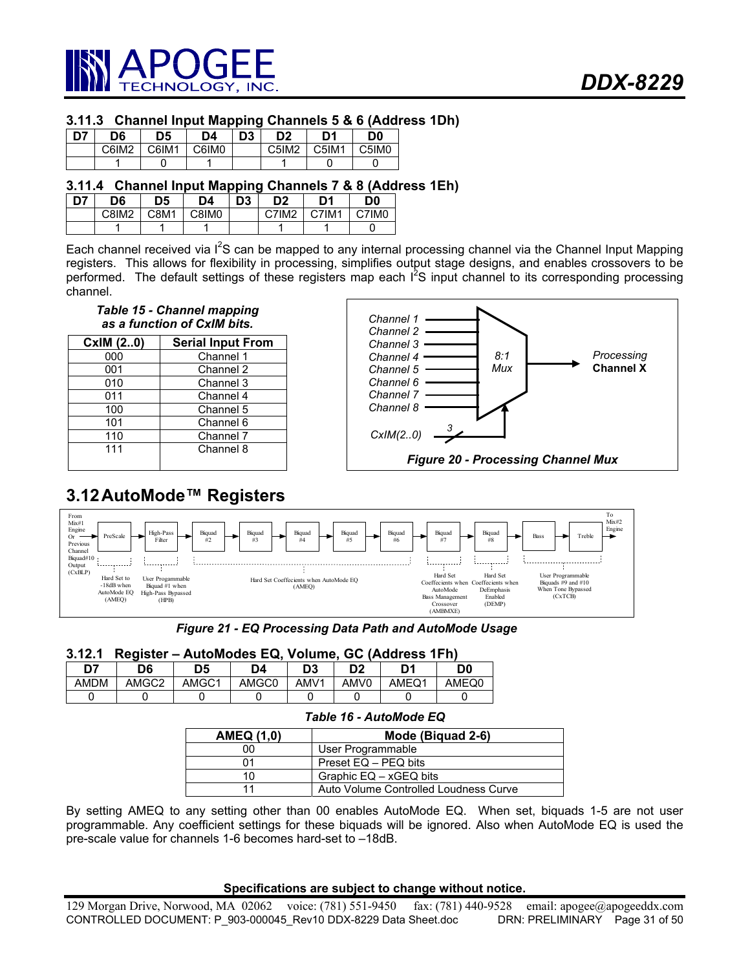

## **3.11.3 Channel Input Mapping Channels 5 & 6 (Address 1Dh)**

| D7 | D6                | D5    | D4                | D3 | D2                | D1    | D <sub>0</sub> |
|----|-------------------|-------|-------------------|----|-------------------|-------|----------------|
|    | C6IM <sub>2</sub> | C6IM1 | C6IM <sub>0</sub> |    | C5IM <sub>2</sub> | C5IM1 | C5IM0          |
|    |                   |       |                   |    |                   |       |                |

## **3.11.4 Channel Input Mapping Channels 7 & 8 (Address 1Eh)**

| D7 | D6           | D5   | D4                | D <sub>3</sub> | D <sub>2</sub> | D <sub>1</sub> | D <sub>0</sub> |
|----|--------------|------|-------------------|----------------|----------------|----------------|----------------|
|    | <b>C8IM2</b> | C8M1 | C8IM <sub>0</sub> |                | C7IM2          | C7IM1          | C7IM0          |
|    |              |      |                   |                |                |                |                |

Each channel received via I<sup>2</sup>S can be mapped to any internal processing channel via the Channel Input Mapping registers. This allows for flexibility in processing, simplifies output stage designs, and enables crossovers to be performed. The default settings of these registers map each I<sup>2</sup>S input channel to its corresponding processing channel.

## *Table 15 - Channel mapping as a function of CxIM bits.*

| CxIM (20) | <b>Serial Input From</b> |
|-----------|--------------------------|
| 000       | Channel 1                |
| 001       | Channel 2                |
| 010       | Channel 3                |
| 011       | Channel 4                |
| 100       | Channel 5                |
| 101       | Channel 6                |
| 110       | Channel 7                |
| 111       | Channel 8                |



# **3.12 AutoMode™ Registers**



*Figure 21 - EQ Processing Data Path and AutoMode Usage* 

## **3.12.1 Register – AutoModes EQ, Volume, GC (Address 1Fh)**

| n,   | D6    | D5    | D4    | D3               | מח               | n,    | D0    |
|------|-------|-------|-------|------------------|------------------|-------|-------|
| AMDM | AMGC2 | AMGC1 | AMGC0 | AMV <sub>1</sub> | AMV <sub>0</sub> | AMEQ1 | AMEQ0 |
|      |       |       |       |                  |                  |       |       |

|                   | Table To - Adiomode Lw                |  |  |  |  |
|-------------------|---------------------------------------|--|--|--|--|
| <b>AMEQ (1,0)</b> | Mode (Biquad 2-6)                     |  |  |  |  |
| იი                | User Programmable                     |  |  |  |  |
|                   | Preset EQ - PEQ bits                  |  |  |  |  |
| 10                | Graphic EQ - xGEQ bits                |  |  |  |  |
|                   | Auto Volume Controlled Loudness Curve |  |  |  |  |

*Table 16 - AutoMode EQ* 

By setting AMEQ to any setting other than 00 enables AutoMode EQ. When set, biquads 1-5 are not user programmable. Any coefficient settings for these biquads will be ignored. Also when AutoMode EQ is used the pre-scale value for channels 1-6 becomes hard-set to –18dB.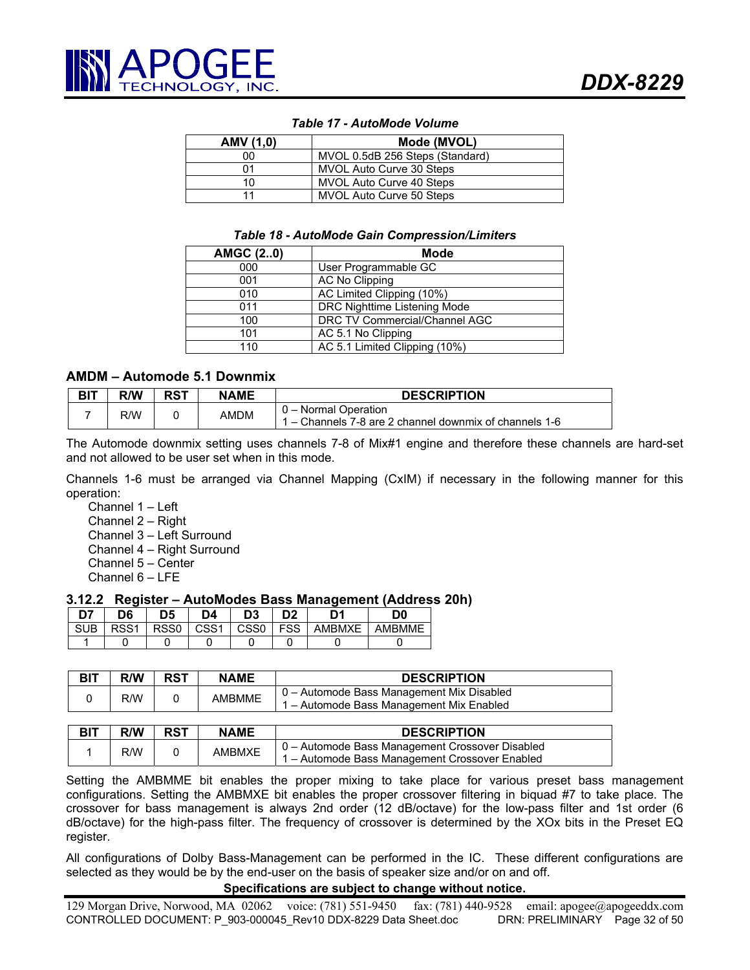| AMV (1,0) | Mode (MVOL)                     |
|-----------|---------------------------------|
| იი        | MVOL 0.5dB 256 Steps (Standard) |
| 01        | MVOL Auto Curve 30 Steps        |
| 10        | MVOL Auto Curve 40 Steps        |
|           | MVOL Auto Curve 50 Steps        |

#### *Table 17 - AutoMode Volume*

#### *Table 18 - AutoMode Gain Compression/Limiters*

| <b>AMGC (20)</b> | Mode                          |
|------------------|-------------------------------|
| 000              | User Programmable GC          |
| 001              | <b>AC No Clipping</b>         |
| 010              | AC Limited Clipping (10%)     |
| 011              | DRC Nighttime Listening Mode  |
| 100              | DRC TV Commercial/Channel AGC |
| 101              | AC 5.1 No Clipping            |
| 110              | AC 5.1 Limited Clipping (10%) |

## **AMDM – Automode 5.1 Downmix**

| <b>BIT</b> | R/W | <b>RST</b> | <b>NAME</b> | <b>DESCRIPTION</b>                                                             |
|------------|-----|------------|-------------|--------------------------------------------------------------------------------|
|            | R/W |            | AMDM        | 0 – Normal Operation<br>1 – Channels 7-8 are 2 channel downmix of channels 1-6 |

The Automode downmix setting uses channels 7-8 of Mix#1 engine and therefore these channels are hard-set and not allowed to be user set when in this mode.

Channels 1-6 must be arranged via Channel Mapping (CxIM) if necessary in the following manner for this operation:

Channel 1 – Left

Channel 2 – Right

Channel 3 – Left Surround

Channel 4 – Right Surround

Channel 5 – Center

Channel 6 – LFE

#### **3.12.2 Register – AutoModes Bass Management (Address 20h)**

| 7ת         | D6   | 5ר   | D4               | D3               | n A        |               | D0            |
|------------|------|------|------------------|------------------|------------|---------------|---------------|
| <b>SUB</b> | DCC1 | SS0: | CSS <sub>1</sub> | CSS <sub>0</sub> | <b>FSS</b> | <b>AMRMXF</b> | <b>AMBMME</b> |
|            |      |      |                  |                  |            |               |               |

| <b>BIT</b> | R/W | <b>RST</b> | <b>NAME</b>   | <b>DESCRIPTION</b>                                                                    |
|------------|-----|------------|---------------|---------------------------------------------------------------------------------------|
|            | R/W |            | <b>AMBMME</b> | 0 - Automode Bass Management Mix Disabled<br>1 – Automode Bass Management Mix Enabled |

| <b>BIT</b> | R/W | RST | <b>NAME</b>   | <b>DESCRIPTION</b>                                                                                |
|------------|-----|-----|---------------|---------------------------------------------------------------------------------------------------|
|            | R/W |     | <b>AMBMXE</b> | 0 - Automode Bass Management Crossover Disabled<br>1 – Automode Bass Management Crossover Enabled |

Setting the AMBMME bit enables the proper mixing to take place for various preset bass management configurations. Setting the AMBMXE bit enables the proper crossover filtering in biquad #7 to take place. The crossover for bass management is always 2nd order (12 dB/octave) for the low-pass filter and 1st order (6 dB/octave) for the high-pass filter. The frequency of crossover is determined by the XOx bits in the Preset EQ register.

All configurations of Dolby Bass-Management can be performed in the IC. These different configurations are selected as they would be by the end-user on the basis of speaker size and/or on and off.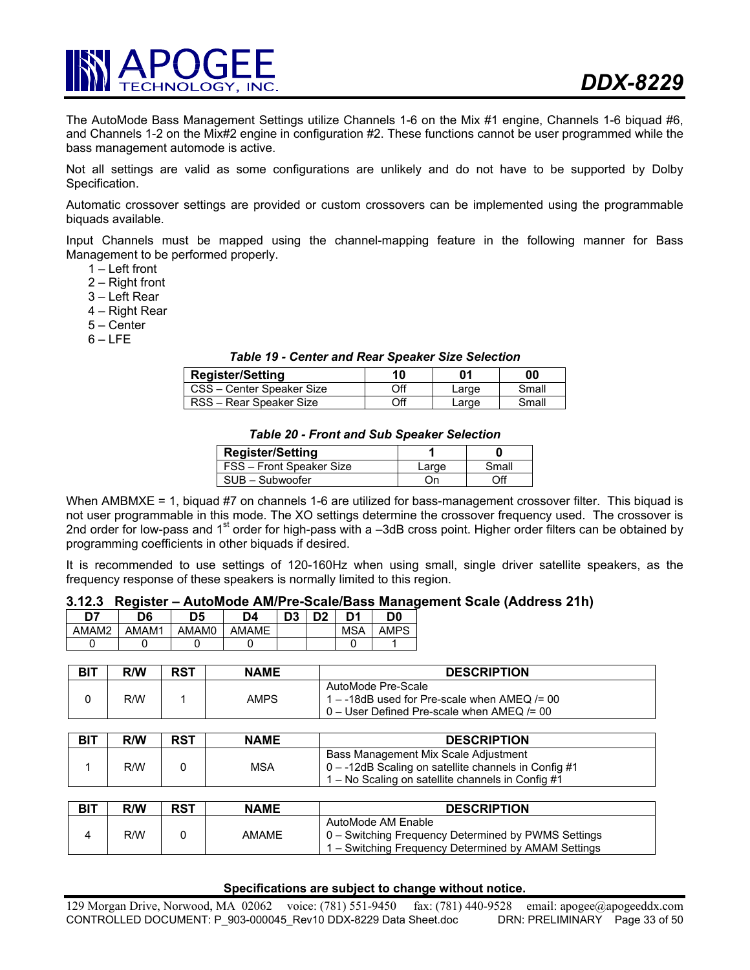

The AutoMode Bass Management Settings utilize Channels 1-6 on the Mix #1 engine, Channels 1-6 biquad #6, and Channels 1-2 on the Mix#2 engine in configuration #2. These functions cannot be user programmed while the bass management automode is active.

Not all settings are valid as some configurations are unlikely and do not have to be supported by Dolby Specification.

Automatic crossover settings are provided or custom crossovers can be implemented using the programmable biquads available.

Input Channels must be mapped using the channel-mapping feature in the following manner for Bass Management to be performed properly.

- 1 Left front
- 2 Right front
- 3 Left Rear
- 4 Right Rear
- 5 Center
- $6 LFE$

#### *Table 19 - Center and Rear Speaker Size Selection*

| <b>Register/Setting</b>   | 10  | 01    | 00    |
|---------------------------|-----|-------|-------|
| CSS - Center Speaker Size | Off | Large | Small |
| RSS - Rear Speaker Size   | Off | Large | Small |

#### *Table 20 - Front and Sub Speaker Selection*

| <b>Register/Setting</b>  |       |       |
|--------------------------|-------|-------|
| FSS - Front Speaker Size | ∟arqe | Small |
| SUB - Subwoofer          | Dп    | Эff   |

When AMBMXE = 1, biquad #7 on channels 1-6 are utilized for bass-management crossover filter. This biquad is not user programmable in this mode. The XO settings determine the crossover frequency used. The crossover is 2nd order for low-pass and 1<sup>st</sup> order for high-pass with a -3dB cross point. Higher order filters can be obtained by programming coefficients in other biquads if desired.

It is recommended to use settings of 120-160Hz when using small, single driver satellite speakers, as the frequency response of these speakers is normally limited to this region.

#### **3.12.3 Register – AutoMode AM/Pre-Scale/Bass Management Scale (Address 21h)**

| D7    | D6                | D5    | D4           | D <sub>3</sub> | פח | D1         | D <sub>0</sub> |
|-------|-------------------|-------|--------------|----------------|----|------------|----------------|
| AMAM2 | AMAM <sup>1</sup> | AMAM0 | <b>AMAME</b> |                |    | <b>MSA</b> | AMPS           |
|       |                   |       |              |                |    |            |                |

| <b>BIT</b> | R/W | <b>RST</b> | <b>NAME</b> | <b>DESCRIPTION</b>                                                                                                  |
|------------|-----|------------|-------------|---------------------------------------------------------------------------------------------------------------------|
|            | R/W |            | AMPS        | AutoMode Pre-Scale<br>1 – -18dB used for Pre-scale when $AMEQ = 00$<br>$0 -$ User Defined Pre-scale when AMEQ /= 00 |

| BIT | R/W | <b>RST</b> | <b>NAME</b> | <b>DESCRIPTION</b>                                                                                                                                |
|-----|-----|------------|-------------|---------------------------------------------------------------------------------------------------------------------------------------------------|
|     | R/W |            | <b>MSA</b>  | Bass Management Mix Scale Adjustment<br>0 - -12dB Scaling on satellite channels in Config #1<br>1 – No Scaling on satellite channels in Config #1 |

| <b>BIT</b> | R/W | <b>RST</b> | <b>NAME</b> | <b>DESCRIPTION</b>                                                                                                               |
|------------|-----|------------|-------------|----------------------------------------------------------------------------------------------------------------------------------|
|            | R/W |            | AMAME       | AutoMode AM Enable<br>0 – Switching Frequency Determined by PWMS Settings<br>1 – Switching Frequency Determined by AMAM Settings |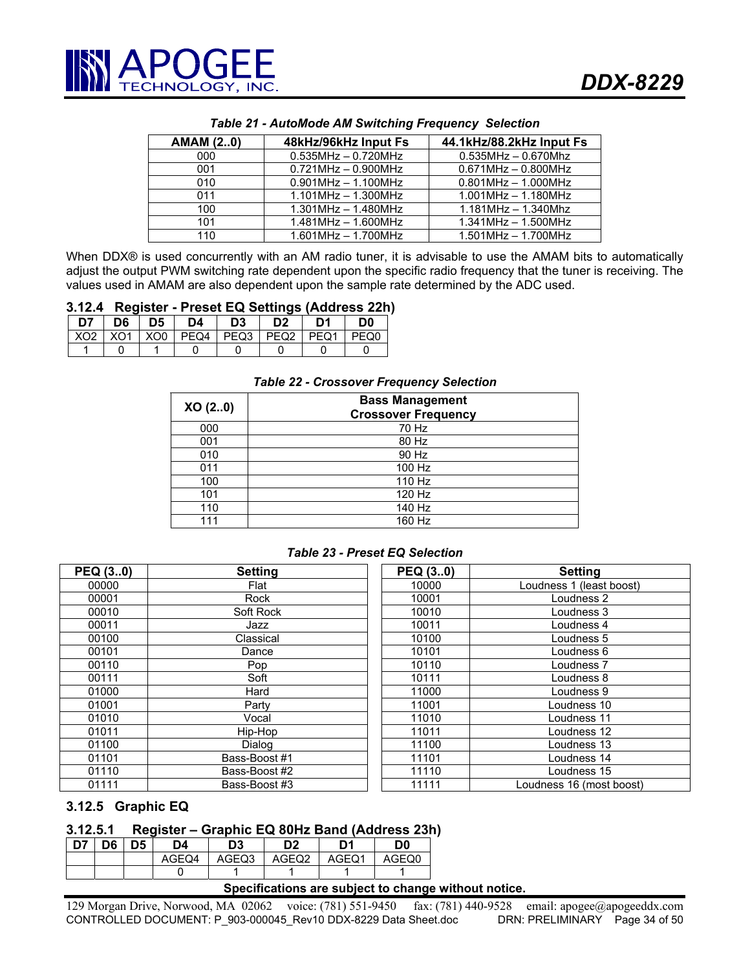| <b>AMAM (20)</b> | 48kHz/96kHz Input Fs      | 44.1kHz/88.2kHz Input Fs  |
|------------------|---------------------------|---------------------------|
| 000              | $0.535$ MHz $- 0.720$ MHz | $0.535$ MHz $- 0.670$ Mhz |
| 001              | $0.721$ MHz $- 0.900$ MHz | $0.671$ MHz $- 0.800$ MHz |
| 010              | $0.901$ MHz $- 1.100$ MHz | $0.801$ MHz $- 1.000$ MHz |
| 011              | $1.101$ MHz $- 1.300$ MHz | $1.001$ MHz $- 1.180$ MHz |
| 100              | $1.301$ MHz $- 1.480$ MHz | $1.181$ MHz $- 1.340$ Mhz |
| 101              | $1.481$ MHz $- 1.600$ MHz | $1.341$ MHz $- 1.500$ MHz |
| 110              | $1.601$ MHz $- 1.700$ MHz | $1.501$ MHz $- 1.700$ MHz |

#### *Table 21 - AutoMode AM Switching Frequency Selection*

When DDX® is used concurrently with an AM radio tuner, it is advisable to use the AMAM bits to automatically adjust the output PWM switching rate dependent upon the specific radio frequency that the tuner is receiving. The values used in AMAM are also dependent upon the sample rate determined by the ADC used.

#### **3.12.4 Register - Preset EQ Settings (Address 22h)**

| D7 | D6. | D5 | D4 | D3 | D <sub>2</sub>                              | D1 | D <sub>0</sub>   |
|----|-----|----|----|----|---------------------------------------------|----|------------------|
|    |     |    |    |    | XO2   XO1   XO0   PEQ4   PEQ3   PEQ2   PEQ1 |    | PEQ <sub>0</sub> |
|    |     |    |    |    |                                             |    |                  |

#### *Table 22 - Crossover Frequency Selection*

| XO(2.0) | <b>Bass Management</b><br><b>Crossover Frequency</b> |
|---------|------------------------------------------------------|
| 000     | 70 Hz                                                |
| 001     | 80 Hz                                                |
| 010     | 90 Hz                                                |
| 011     | 100 Hz                                               |
| 100     | 110 Hz                                               |
| 101     | 120 Hz                                               |
| 110     | 140 Hz                                               |
| 111     | 160 Hz                                               |

#### *Table 23 - Preset EQ Selection*

| PEQ (30) | <b>Setting</b> | PEQ (30) | <b>Setting</b>           |
|----------|----------------|----------|--------------------------|
| 00000    | Flat           | 10000    | Loudness 1 (least boost) |
| 00001    | Rock           | 10001    | Loudness 2               |
| 00010    | Soft Rock      | 10010    | Loudness 3               |
| 00011    | Jazz           | 10011    | Loudness 4               |
| 00100    | Classical      | 10100    | Loudness 5               |
| 00101    | Dance          | 10101    | Loudness 6               |
| 00110    | Pop            | 10110    | Loudness 7               |
| 00111    | Soft           | 10111    | Loudness 8               |
| 01000    | Hard           | 11000    | Loudness 9               |
| 01001    | Party          | 11001    | Loudness 10              |
| 01010    | Vocal          | 11010    | Loudness 11              |
| 01011    | Hip-Hop        | 11011    | Loudness 12              |
| 01100    | Dialog         | 11100    | Loudness 13              |
| 01101    | Bass-Boost #1  | 11101    | Loudness 14              |
| 01110    | Bass-Boost #2  | 11110    | Loudness 15              |
| 01111    | Bass-Boost #3  | 11111    | Loudness 16 (most boost) |

## **3.12.5 Graphic EQ**

# **3.12.5.1 Register – Graphic EQ 80Hz Band (Address 23h)**

| n7 | D <sub>6</sub> | ገ5 | D4    | D <sub>3</sub> | D <sub>2</sub> | D1    | D0    |
|----|----------------|----|-------|----------------|----------------|-------|-------|
|    |                |    | AGEQ4 | AGEQ3          | AGEQ2          | AGEQ1 | AGEO0 |
|    |                |    |       |                |                |       |       |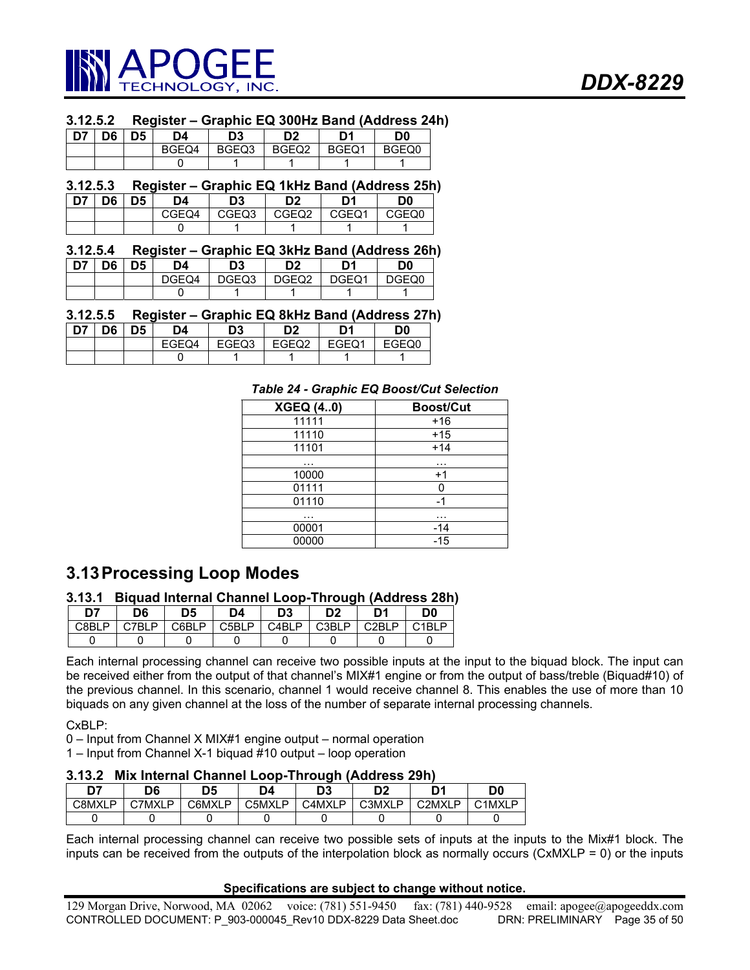

#### **3.12.5.2 Register – Graphic EQ 300Hz Band (Address 24h)**

| , D7 | D6 | D5 | D4    | D3    | D <sub>2</sub> | D1    | D0    |
|------|----|----|-------|-------|----------------|-------|-------|
|      |    |    | BGEQ4 | BGEQ3 | BGEQ2          | BGEQ1 | BGEQ0 |
|      |    |    |       |       |                |       |       |

# **3.12.5.3 Register – Graphic EQ 1kHz Band (Address 25h)**

| D7 | D6 | D5 | D4    | D3    | D2    | D1    | D0    |
|----|----|----|-------|-------|-------|-------|-------|
|    |    |    | CGEQ4 | CGEQ3 | CGEQ2 | CGEQ1 | CGEQ0 |
|    |    |    |       |       |       |       |       |

# **3.12.5.4 Register – Graphic EQ 3kHz Band (Address 26h)**

| - דח | na | D4    | D3    | D2    |       | D <sub>0</sub> |
|------|----|-------|-------|-------|-------|----------------|
|      |    | DGEQ4 | DGEQ3 | DGEQ2 | DGEQ1 | DGFO0          |
|      |    |       |       |       |       |                |

#### **3.12.5.5 Register – Graphic EQ 8kHz Band (Address 27h)**

| $\overline{D7}$ | D6 | D5 | D4    | D3    | D <sub>2</sub> | D1    | D0    |
|-----------------|----|----|-------|-------|----------------|-------|-------|
|                 |    |    | EGEQ4 | EGEQ3 | EGEQ2          | EGEQ1 | EGEQ0 |
|                 |    |    |       |       |                |       |       |

#### *Table 24 - Graphic EQ Boost/Cut Selection*

| <b>XGEQ (40)</b> | <b>Boost/Cut</b> |
|------------------|------------------|
| 11111            | $+16$            |
| 11110            | $+15$            |
| 11101            | $+14$            |
| .                | .                |
| 10000            | $+1$             |
| 01111            |                  |
| 01110            | -1               |
| $\cdots$         | .                |
| 00001            | -14              |
| 00000            | $-15$            |

# **3.13 Processing Loop Modes**

## **3.13.1 Biquad Internal Channel Loop-Through (Address 28h)**

| <b>DT</b> | D6 | D5        | D4        | D3              | D <sub>2</sub>         | D <sup>1</sup> | D0   |
|-----------|----|-----------|-----------|-----------------|------------------------|----------------|------|
| ים פי     | D  | D<br>CARI | D<br>C5RI | ∩⊿RI<br>D<br>◡∟ | D<br>C <sub>3</sub> BL | ותכ<br>D       | וםו^ |
|           |    |           |           |                 |                        |                |      |

Each internal processing channel can receive two possible inputs at the input to the biquad block. The input can be received either from the output of that channel's MIX#1 engine or from the output of bass/treble (Biquad#10) of the previous channel. In this scenario, channel 1 would receive channel 8. This enables the use of more than 10 biquads on any given channel at the loss of the number of separate internal processing channels.

CxBLP:

0 – Input from Channel X MIX#1 engine output – normal operation

1 – Input from Channel X-1 biquad #10 output – loop operation

#### **3.13.2 Mix Internal Channel Loop-Through (Address 29h)**

| D7     | D6     | D5     | D4     | D3     | D <sub>2</sub> | n,                              | D0     |
|--------|--------|--------|--------|--------|----------------|---------------------------------|--------|
| C8MXLP | C7MXLP | C6MXLP | C5MXLP | C4MXLP | C3MXLP         | C <sub>2</sub> M <sub>XLP</sub> | C1MXLP |
|        |        |        |        |        |                |                                 |        |

Each internal processing channel can receive two possible sets of inputs at the inputs to the Mix#1 block. The inputs can be received from the outputs of the interpolation block as normally occurs (CxMXLP = 0) or the inputs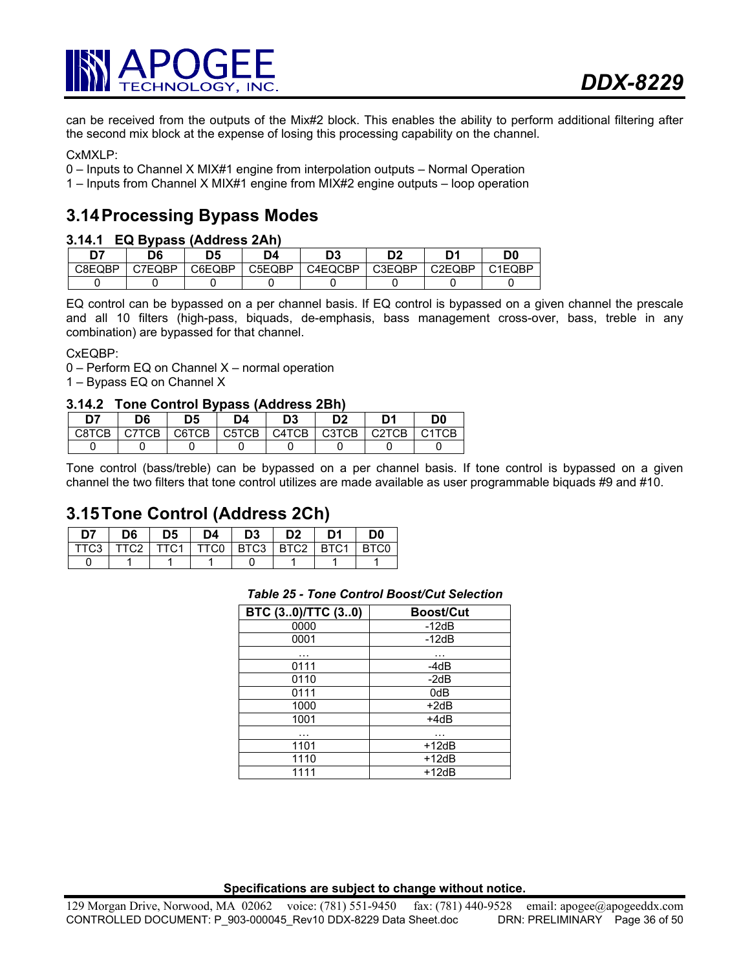

can be received from the outputs of the Mix#2 block. This enables the ability to perform additional filtering after the second mix block at the expense of losing this processing capability on the channel.

CxMXLP:

- 0 Inputs to Channel X MIX#1 engine from interpolation outputs Normal Operation
- 1 Inputs from Channel X MIX#1 engine from MIX#2 engine outputs loop operation

# **3.14 Processing Bypass Modes**

#### **3.14.1 EQ Bypass (Address 2Ah)**

| D7     | D6     |        | D4     | n٥<br>υa | מח     | n,     | D0     |
|--------|--------|--------|--------|----------|--------|--------|--------|
| C8EQBP | C7EQBP | C6EQBP | C5EQBP | C4EQCBP  | C3EQBP | C2EQBP | C1EQBP |
|        |        |        |        |          |        |        |        |

EQ control can be bypassed on a per channel basis. If EQ control is bypassed on a given channel the prescale and all 10 filters (high-pass, biquads, de-emphasis, bass management cross-over, bass, treble in any combination) are bypassed for that channel.

CxEQBP:

0 – Perform EQ on Channel X – normal operation

1 – Bypass EQ on Channel X

#### **3.14.2 Tone Control Bypass (Address 2Bh)**

| לח    | D6    | D5    | D4    | D3    | פח    | D1    | D0                             |
|-------|-------|-------|-------|-------|-------|-------|--------------------------------|
| C8TCB | C7TCB | C6TCB | C5TCB | C4TCB | C3TCB | C2TCB | C <sub>1</sub> TC <sub>B</sub> |
|       |       |       |       |       |       |       |                                |

Tone control (bass/treble) can be bypassed on a per channel basis. If tone control is bypassed on a given channel the two filters that tone control utilizes are made available as user programmable biquads #9 and #10.

# **3.15 Tone Control (Address 2Ch)**

| D7 | D6 | D5 | D4 | D <sub>3</sub> | D <sub>2</sub> | D1                                                    | D <sub>0</sub> |
|----|----|----|----|----------------|----------------|-------------------------------------------------------|----------------|
|    |    |    |    |                |                | TTC3   TTC2   TTC1   TTC0   BTC3   BTC2   BTC1   BTC0 |                |
|    |    |    |    |                |                |                                                       |                |

#### *Table 25 - Tone Control Boost/Cut Selection*

| BTC (30)/TTC (30) | <b>Boost/Cut</b> |
|-------------------|------------------|
| 0000              | $-12dB$          |
| 0001              | $-12dB$          |
| .                 |                  |
| 0111              | -4dB             |
| 0110              | $-2dB$           |
| 0111              | 0dB              |
| 1000              | $+2dB$           |
| 1001              | +4dB             |
| .                 | .                |
| 1101              | $+12dB$          |
| 1110              | $+12dB$          |
| 1111              | $+12dB$          |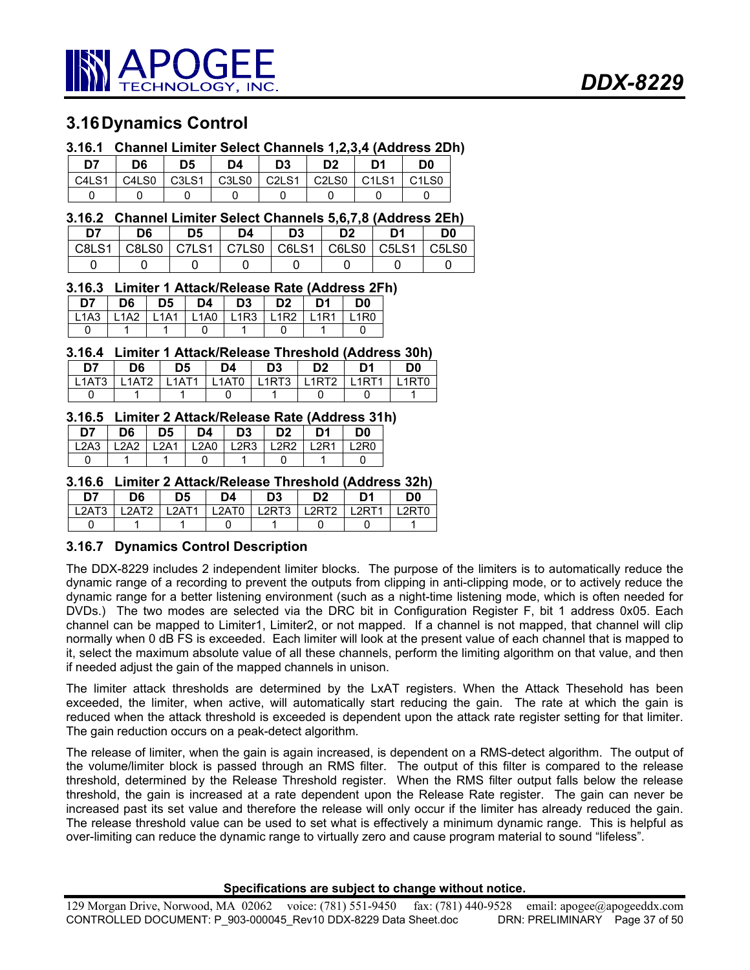

# **3.16 Dynamics Control**

# **3.16.1 Channel Limiter Select Channels 1,2,3,4 (Address 2Dh)**

| D7    | D6    | D5    | D4                             | D <sub>3</sub> | D <sub>2</sub> | D1                             | D0                             |
|-------|-------|-------|--------------------------------|----------------|----------------|--------------------------------|--------------------------------|
| C4LS1 | C4LS0 | C3LS1 | C <sub>3</sub> L <sub>S0</sub> | C2LS1          | C2LS0          | $\overline{\phantom{0}}$ C1LS1 | C <sub>1</sub> L <sub>S0</sub> |
|       |       |       |                                |                |                |                                |                                |

## **3.16.2 Channel Limiter Select Channels 5,6,7,8 (Address 2Eh)**

| D7 | D6                                                    | D5 | D4 | D <sub>3</sub> | D2 | D0           |
|----|-------------------------------------------------------|----|----|----------------|----|--------------|
|    | C8LS1   C8LS0   C7LS1   C7LS0   C6LS1   C6LS0   C5LS1 |    |    |                |    | $\mid$ C5LS0 |
|    |                                                       |    |    |                |    |              |

# **3.16.3 Limiter 1 Attack/Release Rate (Address 2Fh)**

| D7 | D6 | D5 | D4 | D <sub>3</sub>                                        | D2 | D1 | D <sub>0</sub> |
|----|----|----|----|-------------------------------------------------------|----|----|----------------|
|    |    |    |    | L1A3   L1A2   L1A1   L1A0   L1R3   L1R2   L1R1   L1R0 |    |    |                |
|    |    |    |    |                                                       |    |    |                |

#### **3.16.4 Limiter 1 Attack/Release Threshold (Address 30h)**

| D7 | D6 | D <sub>5</sub> | D4 | D3 | D <sub>2</sub>                                        | D1 | D0    |
|----|----|----------------|----|----|-------------------------------------------------------|----|-------|
|    |    |                |    |    | L1AT3   L1AT2   L1AT1   L1AT0   L1RT3   L1RT2   L1RT1 |    | 11RT0 |
|    |    |                |    |    |                                                       |    |       |

## **3.16.5 Limiter 2 Attack/Release Rate (Address 31h)**

| D7 | D6 | D5 | D4. | D3                                             | D <sub>2</sub> | D <sub>1</sub> | D0    |
|----|----|----|-----|------------------------------------------------|----------------|----------------|-------|
|    |    |    |     | L2A3   L2A2   L2A1   L2A0   L2R3   L2R2   L2R1 |                |                | I 2RN |
|    |    |    |     |                                                |                |                |       |

# **3.16.6 Limiter 2 Attack/Release Threshold (Address 32h)**

| D7    | D6    | D5    | D4      | D3    | D2    | D1   | D0   |
|-------|-------|-------|---------|-------|-------|------|------|
| L2AT3 | 12AT2 | 12AT1 | l L2AT0 | L2RT3 | 12RT2 | 2RT1 | 2RT0 |
|       |       |       |         |       |       |      |      |

# **3.16.7 Dynamics Control Description**

The DDX-8229 includes 2 independent limiter blocks. The purpose of the limiters is to automatically reduce the dynamic range of a recording to prevent the outputs from clipping in anti-clipping mode, or to actively reduce the dynamic range for a better listening environment (such as a night-time listening mode, which is often needed for DVDs.) The two modes are selected via the DRC bit in Configuration Register F, bit 1 address 0x05. Each channel can be mapped to Limiter1, Limiter2, or not mapped. If a channel is not mapped, that channel will clip normally when 0 dB FS is exceeded. Each limiter will look at the present value of each channel that is mapped to it, select the maximum absolute value of all these channels, perform the limiting algorithm on that value, and then if needed adjust the gain of the mapped channels in unison.

The limiter attack thresholds are determined by the LxAT registers. When the Attack Thesehold has been exceeded, the limiter, when active, will automatically start reducing the gain. The rate at which the gain is reduced when the attack threshold is exceeded is dependent upon the attack rate register setting for that limiter. The gain reduction occurs on a peak-detect algorithm.

The release of limiter, when the gain is again increased, is dependent on a RMS-detect algorithm. The output of the volume/limiter block is passed through an RMS filter. The output of this filter is compared to the release threshold, determined by the Release Threshold register. When the RMS filter output falls below the release threshold, the gain is increased at a rate dependent upon the Release Rate register. The gain can never be increased past its set value and therefore the release will only occur if the limiter has already reduced the gain. The release threshold value can be used to set what is effectively a minimum dynamic range. This is helpful as over-limiting can reduce the dynamic range to virtually zero and cause program material to sound "lifeless".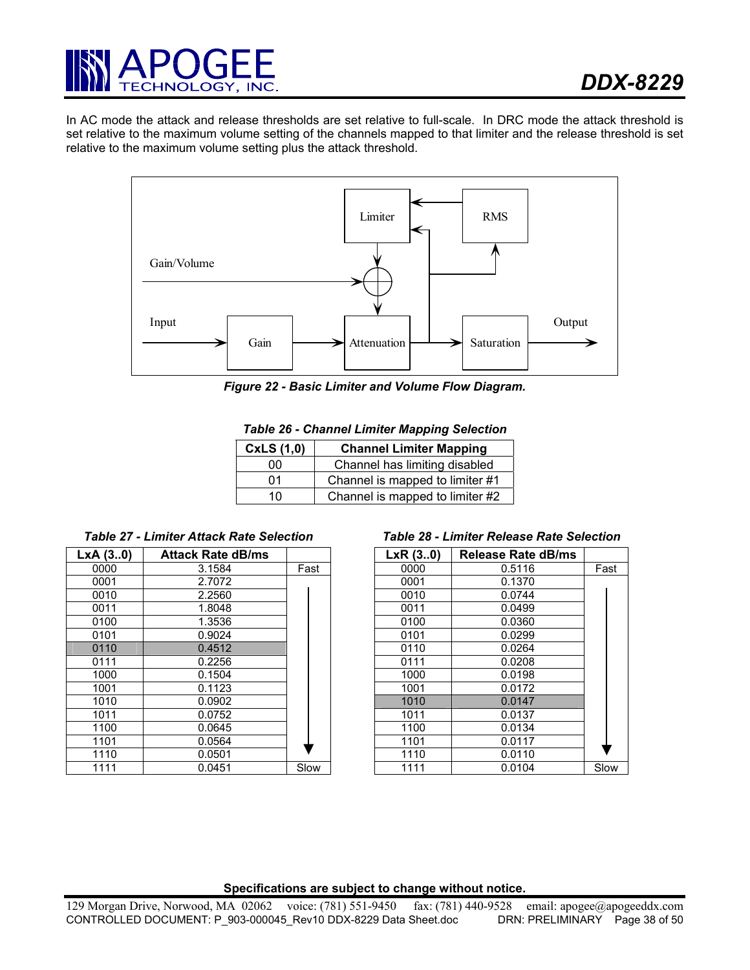

In AC mode the attack and release thresholds are set relative to full-scale. In DRC mode the attack threshold is set relative to the maximum volume setting of the channels mapped to that limiter and the release threshold is set relative to the maximum volume setting plus the attack threshold.



*Figure 22 - Basic Limiter and Volume Flow Diagram.* 

| CxLS(1,0) | <b>Channel Limiter Mapping</b>  |
|-----------|---------------------------------|
| იი        | Channel has limiting disabled   |
| 01        | Channel is mapped to limiter #1 |
| 10        | Channel is mapped to limiter #2 |

| LxA(30) | <b>Attack Rate dB/ms</b> |      | LxR(3.0) | Release Rate dB/ms |
|---------|--------------------------|------|----------|--------------------|
| 0000    | 3.1584                   | Fast | 0000     | 0.5116             |
| 0001    | 2.7072                   |      | 0001     | 0.1370             |
| 0010    | 2.2560                   |      | 0010     | 0.0744             |
| 0011    | 1.8048                   |      | 0011     | 0.0499             |
| 0100    | 1.3536                   |      | 0100     | 0.0360             |
| 0101    | 0.9024                   |      | 0101     | 0.0299             |
| 0110    | 0.4512                   |      | 0110     | 0.0264             |
| 0111    | 0.2256                   |      | 0111     | 0.0208             |
| 1000    | 0.1504                   |      | 1000     | 0.0198             |
| 1001    | 0.1123                   |      | 1001     | 0.0172             |
| 1010    | 0.0902                   |      | 1010     | 0.0147             |
| 1011    | 0.0752                   |      | 1011     | 0.0137             |
| 1100    | 0.0645                   |      | 1100     | 0.0134             |
| 1101    | 0.0564                   |      | 1101     | 0.0117             |
| 1110    | 0.0501                   |      | 1110     | 0.0110             |
| 1111    | 0.0451                   | Slow | 1111     | 0.0104             |

#### *Table 27 - Limiter Attack Rate Selection Table 28 - Limiter Release Rate Selection*

| A (30) | <b>Attack Rate dB/ms</b> |      | LxR(3.0) | <b>Release Rate dB/ms</b> |      |
|--------|--------------------------|------|----------|---------------------------|------|
| 0000   | 3.1584                   | Fast | 0000     | 0.5116                    | Fast |
| 0001   | 2.7072                   |      | 0001     | 0.1370                    |      |
| 0010   | 2.2560                   |      | 0010     | 0.0744                    |      |
| 0011   | 1.8048                   |      | 0011     | 0.0499                    |      |
| 0100   | 1.3536                   |      | 0100     | 0.0360                    |      |
| 0101   | 0.9024                   |      | 0101     | 0.0299                    |      |
| 0110   | 0.4512                   |      | 0110     | 0.0264                    |      |
| 0111   | 0.2256                   |      | 0111     | 0.0208                    |      |
| 1000   | 0.1504                   |      | 1000     | 0.0198                    |      |
| 1001   | 0.1123                   |      | 1001     | 0.0172                    |      |
| 1010   | 0.0902                   |      | 1010     | 0.0147                    |      |
| 1011   | 0.0752                   |      | 1011     | 0.0137                    |      |
| 1100   | 0.0645                   |      | 1100     | 0.0134                    |      |
| 1101   | 0.0564                   |      | 1101     | 0.0117                    |      |
| 1110   | 0.0501                   |      | 1110     | 0.0110                    |      |
| 1111   | 0.0451                   | Slow | 1111     | 0.0104                    | Slow |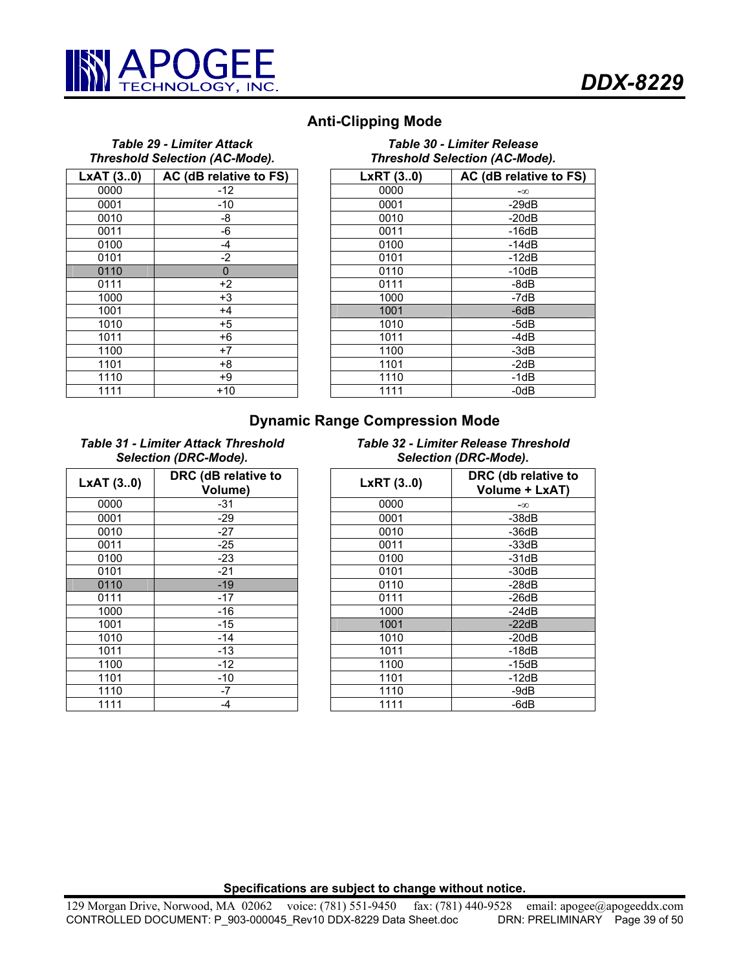

# **Anti-Clipping Mode**

#### *Table 29 - Limiter Attack Threshold Selection (AC-Mode).*   $\mathbf{A}$  T (3..0)  $\mathbf{A}$  AC (dB relative to FS)

| LXAT(30) | AC (dB relative to FS) |
|----------|------------------------|
| 0000     | $-12$                  |
| 0001     | $-10$                  |
| 0010     | -8                     |
| 0011     | -6                     |
| 0100     | $-4$                   |
| 0101     | $-2$                   |
| 0110     | $\mathbf{0}$           |
| 0111     | $+2$                   |
| 1000     | $+3$                   |
| 1001     | $+4$                   |
| 1010     | $+5$                   |
| 1011     | $+6$                   |
| 1100     | $+7$                   |
| 1101     | $+8$                   |
| 1110     | $+9$                   |
| 1111     | $+10$                  |

| Table 30 - Limiter Release            |  |
|---------------------------------------|--|
| <b>Threshold Selection (AC-Mode).</b> |  |

| <b>AT (30)</b>    | AC (dB relative to FS) | LxRT(30) | AC (dB relative to FS) |
|-------------------|------------------------|----------|------------------------|
| 0000              | -12                    | 0000     | $-\infty$              |
| 0001              | -10                    | 0001     | $-29dB$                |
| 0010              | -8                     | 0010     | $-20dB$                |
| 0011              | -6                     | 0011     | $-16dB$                |
| 0100              | $-4$                   | 0100     | $-14dB$                |
| $\overline{0101}$ | $-2$                   | 0101     | $-12dB$                |
| 0110              | $\mathbf 0$            | 0110     | $-10dB$                |
| $\overline{0111}$ | $+2$                   | 0111     | -8dB                   |
| 1000              | $+3$                   | 1000     | -7dB                   |
| 1001              | $+4$                   | 1001     | $-6dB$                 |
| 1010              | $+5$                   | 1010     | -5dB                   |
| 1011              | $+6$                   | 1011     | -4dB                   |
| 1100              | $+7$                   | 1100     | $-3dB$                 |
| 1101              | $+8$                   | 1101     | $-2dB$                 |
| 1110              | +9                     | 1110     | $-1dB$                 |
| 1111              | $+10$                  | 1111     | $-0dB$                 |

# **Dynamic Range Compression Mode**

*Table 31 - Limiter Attack Threshold Selection (DRC-Mode).*

| LxAT (30) | DRC (dB relative to<br>Volume) |
|-----------|--------------------------------|
| 0000      | $-31$                          |
| 0001      | $-29$                          |
| 0010      | $-27$                          |
| 0011      | $-25$                          |
| 0100      | $-23$                          |
| 0101      | $-21$                          |
| 0110      | $-19$                          |
| 0111      | $-17$                          |
| 1000      | $-16$                          |
| 1001      | -15                            |
| 1010      | $-14$                          |
| 1011      | $-13$                          |
| 1100      | $-12$                          |
| 1101      | $-10$                          |
| 1110      | -7                             |
| 1111      | -4                             |

# *Table 32 - Limiter Release Threshold Selection (DRC-Mode).*

| AT(30)            | DRC (dB relative to<br>Volume) | LxRT(30) | DRC (db relative to<br>Volume + LxAT) |
|-------------------|--------------------------------|----------|---------------------------------------|
| 0000              | $-31$                          | 0000     | $-\infty$                             |
| 0001              | $-29$                          | 0001     | $-38dB$                               |
| 0010              | $-27$                          | 0010     | $-36dB$                               |
| 0011              | $-25$                          | 0011     | $-33dB$                               |
| 0100              | $-23$                          | 0100     | $-31dB$                               |
| 0101              | $-21$                          | 0101     | $-30dB$                               |
| 0110              | $-19$                          | 0110     | $-28dB$                               |
| $\overline{0111}$ | $-17$                          | 0111     | $-26dB$                               |
| 1000              | $-16$                          | 1000     | $-24dB$                               |
| 1001              | $-15$                          | 1001     | $-22dB$                               |
| 1010              | $-14$                          | 1010     | $-20dB$                               |
| 1011              | $-13$                          | 1011     | $-18dB$                               |
| 1100              | $-12$                          | 1100     | $-15dB$                               |
| 1101              | $-10$                          | 1101     | $-12dB$                               |
| 1110              | -7                             | 1110     | -9dB                                  |
| 1111              | $-4$                           | 1111     | -6dB                                  |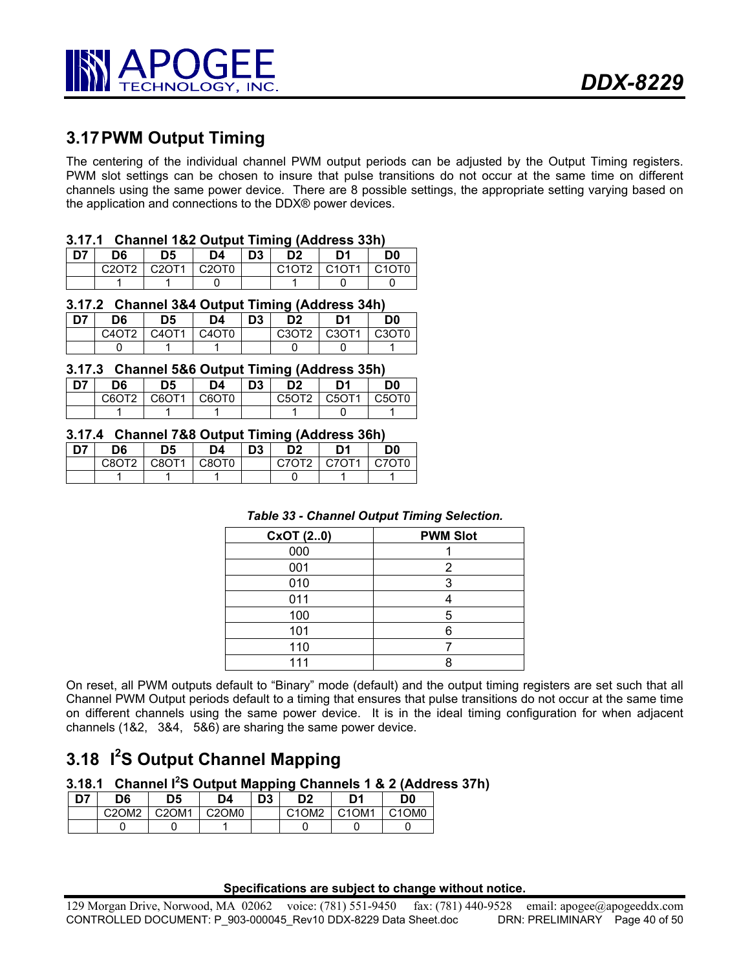

# **3.17 PWM Output Timing**

The centering of the individual channel PWM output periods can be adjusted by the Output Timing registers. PWM slot settings can be chosen to insure that pulse transitions do not occur at the same time on different channels using the same power device. There are 8 possible settings, the appropriate setting varying based on the application and connections to the DDX® power devices.

# **3.17.1 Channel 1&2 Output Timing (Address 33h)**

| D7 | D6                             | D5    | D4                             | D <sub>3</sub> | D <sub>2</sub> | D1    | D0                             |
|----|--------------------------------|-------|--------------------------------|----------------|----------------|-------|--------------------------------|
|    | C <sub>2</sub> OT <sub>2</sub> | C20T1 | C <sub>2</sub> OT <sub>0</sub> |                | C10T2          | C10T1 | C <sub>1</sub> OT <sub>0</sub> |
|    |                                |       |                                |                |                |       |                                |

## **3.17.2 Channel 3&4 Output Timing (Address 34h)**

| <b>D7</b> | D6            | D5 | D4                                         | D <sub>3</sub> | D2              | D1 | D <sub>0</sub>                             |
|-----------|---------------|----|--------------------------------------------|----------------|-----------------|----|--------------------------------------------|
|           | C4OT2   C4OT1 |    | C <sub>4</sub> O <sub>T</sub> <sub>0</sub> |                | $C3OT2$ $C3OT1$ |    | C <sub>3</sub> O <sub>T</sub> <sub>0</sub> |
|           |               |    |                                            |                |                 |    |                                            |

#### **3.17.3 Channel 5&6 Output Timing (Address 35h)**

| . דה | D6                | D5                             | D4    | D <sub>3</sub> | D2                             | D1    | D0    |
|------|-------------------|--------------------------------|-------|----------------|--------------------------------|-------|-------|
|      | C6OT <sub>2</sub> | C <sub>6</sub> OT <sub>1</sub> | C6OT0 |                | C <sub>5</sub> O <sub>T2</sub> | C5OT1 | C5OT0 |
|      |                   |                                |       |                |                                |       |       |

#### **3.17.4 Channel 7&8 Output Timing (Address 36h)**

| <b>D7</b> | D6                | D5              | D4                | D <sub>3</sub> | מח        | D1    | D0    |
|-----------|-------------------|-----------------|-------------------|----------------|-----------|-------|-------|
|           | C8OT <sub>2</sub> | $C$ $R$ $T$ $1$ | C8OT <sub>0</sub> |                | $CZ$ $T2$ | C7OT1 | C70T0 |
|           |                   |                 |                   |                |           |       |       |

#### *Table 33 - Channel Output Timing Selection.*

| CxOT (20) | <b>PWM Slot</b> |
|-----------|-----------------|
| 000       |                 |
| 001       | 2               |
| 010       | 3               |
| 011       |                 |
| 100       |                 |
| 101       |                 |
| 110       |                 |
| 111       |                 |

On reset, all PWM outputs default to "Binary" mode (default) and the output timing registers are set such that all Channel PWM Output periods default to a timing that ensures that pulse transitions do not occur at the same time on different channels using the same power device. It is in the ideal timing configuration for when adjacent channels (1&2, 3&4, 5&6) are sharing the same power device.

# **3.18 I<sup>2</sup> S Output Channel Mapping**

# **3.18.1 Channel I<sup>2</sup> S Output Mapping Channels 1 & 2 (Address 37h)**

| D7 | D6    | D <sub>5</sub> | D4                             | D <sub>3</sub> | D2                             | D1                             | D0                             |
|----|-------|----------------|--------------------------------|----------------|--------------------------------|--------------------------------|--------------------------------|
|    | C2OM2 | C2OM1          | C <sub>2</sub> OM <sub>0</sub> |                | C <sub>1</sub> OM <sub>2</sub> | C <sub>1</sub> OM <sub>1</sub> | C <sub>1</sub> OM <sub>0</sub> |
|    |       |                |                                |                |                                |                                |                                |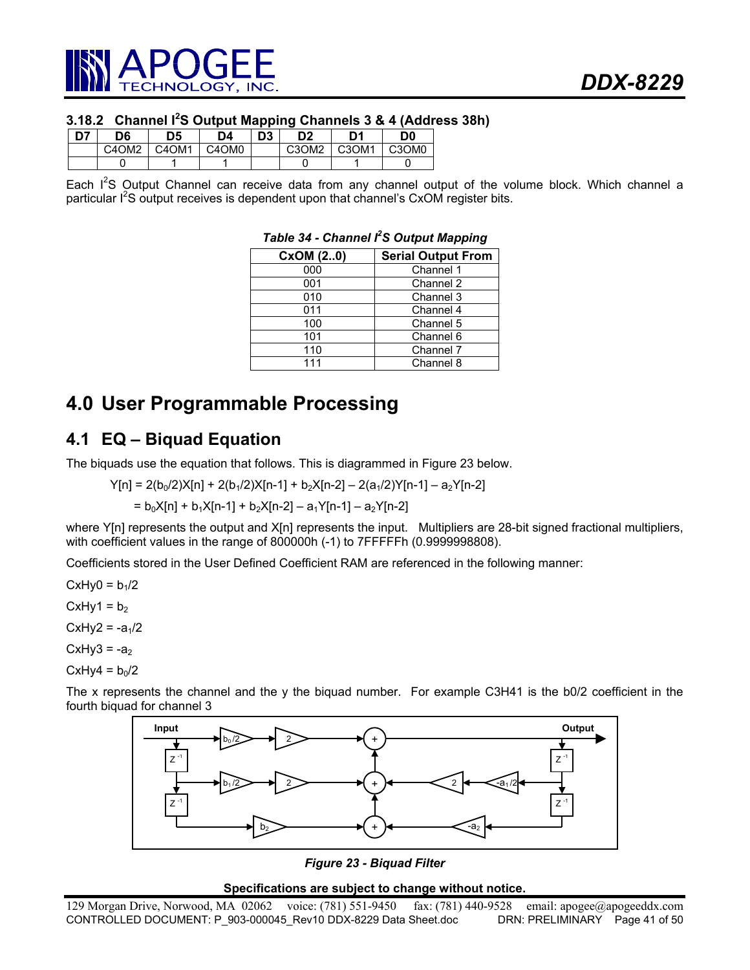

# **3.18.2 Channel I<sup>2</sup> S Output Mapping Channels 3 & 4 (Address 38h)**

| n, | D6                             | D5    | D4    | D <sub>3</sub> | D2                             | D <sub>1</sub>                 | D <sub>0</sub> |
|----|--------------------------------|-------|-------|----------------|--------------------------------|--------------------------------|----------------|
|    | C <sub>4</sub> OM <sub>2</sub> | C4OM1 | C4OM0 |                | C <sub>3</sub> OM <sub>2</sub> | C <sub>3</sub> OM <sub>1</sub> | C3OM0          |
|    |                                |       |       |                |                                |                                |                |

Each I<sup>2</sup>S Output Channel can receive data from any channel output of the volume block. Which channel a particular I<sup>2</sup>S output receives is dependent upon that channel's CxOM register bits.

| CxOM (20) | <b>Serial Output From</b> |
|-----------|---------------------------|
| 000       | Channel 1                 |
| 001       | Channel 2                 |
| 010       | Channel 3                 |
| 011       | Channel 4                 |
| 100       | Channel 5                 |
| 101       | Channel 6                 |
| 110       | Channel 7                 |
| 111       | Channel 8                 |

# **Table 34 - Channel I<sup>2</sup>S Output Mapping**

# **4.0 User Programmable Processing**

# **4.1 EQ – Biquad Equation**

The biquads use the equation that follows. This is diagrammed in Figure 23 below.

$$
Y[n] = 2(b_0/2)X[n] + 2(b_1/2)X[n-1] + b_2X[n-2] - 2(a_1/2)Y[n-1] - a_2Y[n-2]
$$

$$
= b_0 X[n] + b_1 X[n-1] + b_2 X[n-2] - a_1 Y[n-1] - a_2 Y[n-2]
$$

where Y[n] represents the output and X[n] represents the input. Multipliers are 28-bit signed fractional multipliers, with coefficient values in the range of 800000h (-1) to 7FFFFFh (0.9999998808).

Coefficients stored in the User Defined Coefficient RAM are referenced in the following manner:

 $CxHy0 = b<sub>1</sub>/2$ 

CxHy1 =  $b_2$ 

 $CxHy2 = -a<sub>1</sub>/2$ 

 $CxHy3 = -a<sub>2</sub>$ 

CxHy4 =  $b_0/2$ 

The x represents the channel and the y the biquad number. For example C3H41 is the b0/2 coefficient in the fourth biquad for channel 3



*Figure 23 - Biquad Filter*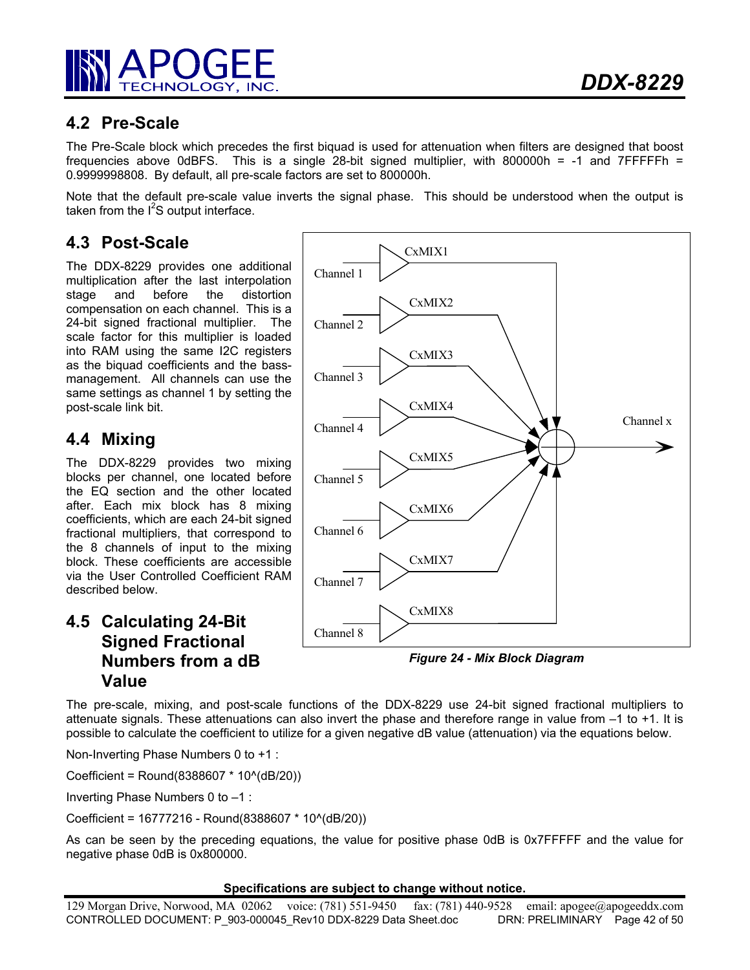

# **4.2 Pre-Scale**

The Pre-Scale block which precedes the first biquad is used for attenuation when filters are designed that boost frequencies above 0dBFS. This is a single 28-bit signed multiplier, with 800000h = -1 and 7FFFFFh = 0.9999998808. By default, all pre-scale factors are set to 800000h.

Note that the default pre-scale value inverts the signal phase. This should be understood when the output is taken from the  $I^2S$  output interface.

# **4.3 Post-Scale**

The DDX-8229 provides one additional multiplication after the last interpolation stage and before the distortion compensation on each channel. This is a 24-bit signed fractional multiplier. The scale factor for this multiplier is loaded into RAM using the same I2C registers as the biquad coefficients and the bassmanagement. All channels can use the same settings as channel 1 by setting the post-scale link bit.

# **4.4 Mixing**

The DDX-8229 provides two mixing blocks per channel, one located before the EQ section and the other located after. Each mix block has 8 mixing coefficients, which are each 24-bit signed fractional multipliers, that correspond to the 8 channels of input to the mixing block. These coefficients are accessible via the User Controlled Coefficient RAM described below.

# **4.5 Calculating 24-Bit Signed Fractional Numbers from a dB Value**



*Figure 24 - Mix Block Diagram* 

The pre-scale, mixing, and post-scale functions of the DDX-8229 use 24-bit signed fractional multipliers to attenuate signals. These attenuations can also invert the phase and therefore range in value from –1 to +1. It is possible to calculate the coefficient to utilize for a given negative dB value (attenuation) via the equations below.

Non-Inverting Phase Numbers 0 to +1 :

Coefficient = Round(8388607 \* 10^(dB/20))

Inverting Phase Numbers 0 to –1 :

Coefficient = 16777216 - Round(8388607 \* 10^(dB/20))

As can be seen by the preceding equations, the value for positive phase 0dB is 0x7FFFFF and the value for negative phase 0dB is 0x800000.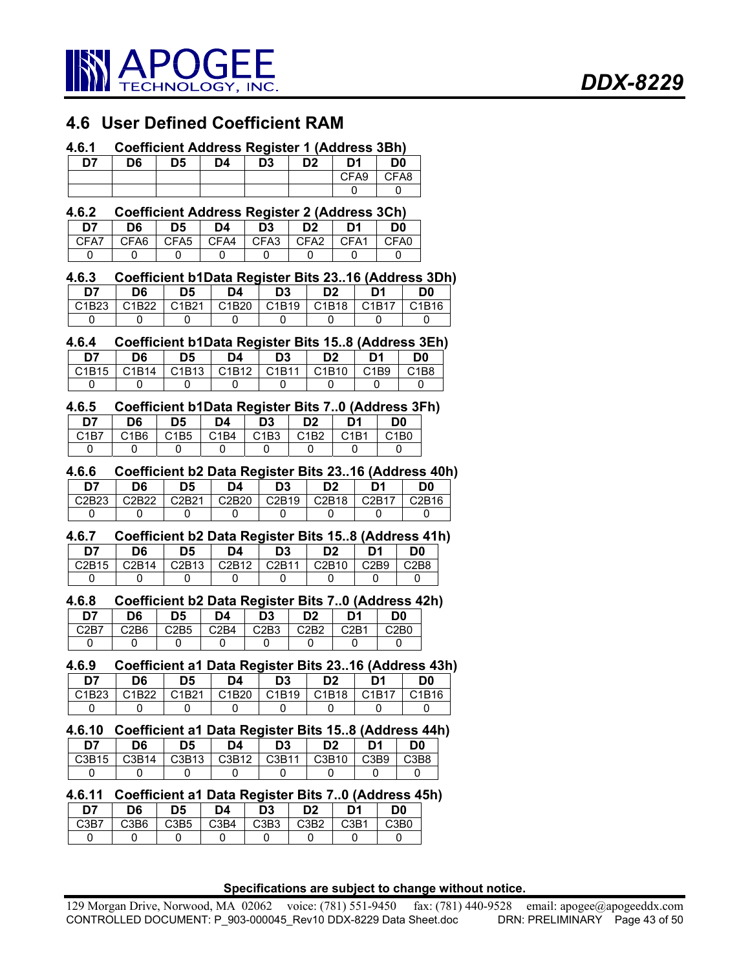

# **4.6 User Defined Coefficient RAM**

#### **4.6.1 Coefficient Address Register 1 (Address 3Bh)**

| D7 | D6 | D5 | D4 | D3 | D <sub>2</sub> | D1   | D <sub>0</sub> |
|----|----|----|----|----|----------------|------|----------------|
|    |    |    |    |    |                | CFA9 | CFA8           |
|    |    |    |    |    |                |      |                |

#### **4.6.2 Coefficient Address Register 2 (Address 3Ch)**

| D7   | D6 | D5 | D4                                  | D <sub>3</sub> | D <sub>2</sub> | D <sub>1</sub> | D <sub>0</sub> |
|------|----|----|-------------------------------------|----------------|----------------|----------------|----------------|
| CFA7 |    |    | ICFA6 ICFA5 ICFA4 ICFA3 ICFA2 ICFA1 |                |                |                | I CFA0         |
|      |    |    |                                     |                |                |                |                |

#### **4.6.3 Coefficient b1Data Register Bits 23..16 (Address 3Dh)**

| D7    | D6    | D <sub>5</sub> | D4                             | D3                             | D <sub>2</sub> | D1    | D0    |
|-------|-------|----------------|--------------------------------|--------------------------------|----------------|-------|-------|
| C1B23 | C1B22 | C1B21          | C <sub>1</sub> B <sub>20</sub> | C <sub>1</sub> B <sub>19</sub> | C1B18          | C1B17 | C1B16 |
|       |       |                |                                |                                |                |       |       |

#### **4.6.4 Coefficient b1Data Register Bits 15..8 (Address 3Eh)**

| דח                             | D6    | D5                             | D4    | D <sub>3</sub>                 | D2    | D1                            | D0   |
|--------------------------------|-------|--------------------------------|-------|--------------------------------|-------|-------------------------------|------|
| C <sub>1</sub> B <sub>15</sub> | C1B14 | C <sub>1</sub> B <sub>13</sub> | C1B12 | C <sub>1</sub> B <sub>11</sub> | C1B10 | C <sub>1</sub> B <sub>9</sub> | C1B8 |
|                                |       |                                |       |                                |       |                               |      |

#### **4.6.5 Coefficient b1Data Register Bits 7..0 (Address 3Fh) D7 D6 D5 D4 D3 D2 D1 D0**  C1B7 | C1B6 | C1B5 | C1B4 | C1B3 | C1B2 | C1B1 | C1B0 0 0 0 0 0 0 0 0 0

#### **4.6.6 Coefficient b2 Data Register Bits 23..16 (Address 40h)**

| D7                             | D6                             | D <sub>5</sub> | D4    | D3                             | D <sub>2</sub> | D1    | D0    |
|--------------------------------|--------------------------------|----------------|-------|--------------------------------|----------------|-------|-------|
| C <sub>2</sub> B <sub>23</sub> | C <sub>2</sub> B <sub>22</sub> | C2B21          | C2B20 | C <sub>2</sub> B <sub>19</sub> | C2B18          | C2B17 | C2B16 |
|                                |                                |                |       |                                |                |       |       |

# **4.6.7 Coefficient b2 Data Register Bits 15..8 (Address 41h)**

| D7                             | D6                 | D5                             | D4                             | D <sub>3</sub> | מח    | D1                            | 0ת   |
|--------------------------------|--------------------|--------------------------------|--------------------------------|----------------|-------|-------------------------------|------|
| C <sub>2</sub> R <sub>15</sub> | C <sub>2</sub> R14 | C <sub>2</sub> B <sub>13</sub> | C <sub>2</sub> B <sub>12</sub> | C2R11          | C2B10 | C <sub>2</sub> B <sub>9</sub> | C2B8 |
|                                |                    |                                |                                |                |       |                               |      |
|                                |                    |                                |                                |                |       |                               |      |

#### **4.6.8 Coefficient b2 Data Register Bits 7..0 (Address 42h)**

| D7   | D6                            | D5                            | D4   | D3                            | מח                            | D1   | D <sub>0</sub> |
|------|-------------------------------|-------------------------------|------|-------------------------------|-------------------------------|------|----------------|
| C2B7 | C <sub>2</sub> B <sub>6</sub> | C <sub>2</sub> B <sub>5</sub> | C2B4 | C <sub>2</sub> B <sub>3</sub> | C <sub>2</sub> B <sub>2</sub> | C2B1 | C2B0           |
|      |                               |                               |      |                               |                               |      |                |

#### **4.6.9 Coefficient a1 Data Register Bits 23..16 (Address 43h)**

| D7                             | D6    | D5    | D4 | D3            | D <sub>2</sub> | D1    | D0    |
|--------------------------------|-------|-------|----|---------------|----------------|-------|-------|
| C <sub>1</sub> B <sub>23</sub> | C1B22 | C1B21 |    | C1B20   C1B19 | IC1B18         | C1B17 | C1B16 |
|                                |       |       |    |               |                |       |       |

# **4.6.10 Coefficient a1 Data Register Bits 15..8 (Address 44h) D7 D6 D5 D4 D3 D2 D1 D0**

|  |  | C3B15   C3B14   C3B13   C3B12   C3B11   C3B10   C3B9   C3B8 |  |
|--|--|-------------------------------------------------------------|--|
|  |  |                                                             |  |
|  |  |                                                             |  |

#### **4.6.11 Coefficient a1 Data Register Bits 7..0 (Address 45h)**

| D7                            | D6   | D5   | D4                            | D3   | D <sub>2</sub> | D1   | D0   |
|-------------------------------|------|------|-------------------------------|------|----------------|------|------|
| C <sub>3</sub> B <sub>7</sub> | C3B6 | C3B5 | C <sub>3</sub> B <sub>4</sub> | C3B3 | C3B2           | C3B1 | C3B0 |
|                               |      |      |                               |      |                |      |      |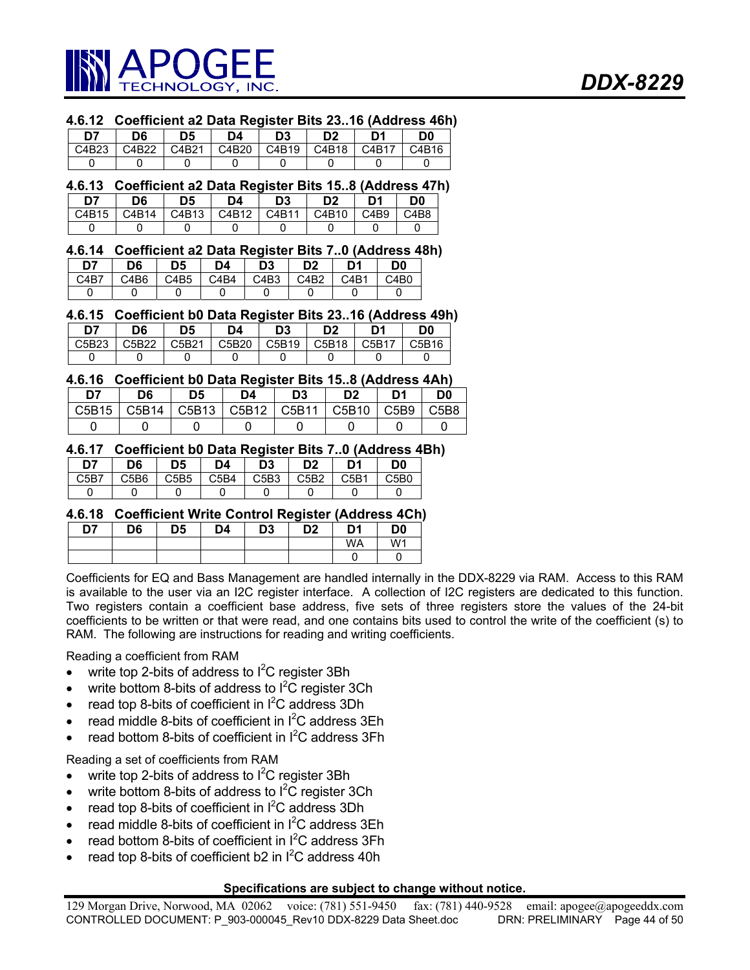

### **4.6.12 Coefficient a2 Data Register Bits 23..16 (Address 46h)**

| 07 ל  | D6    | D5    | D4    | D3    | D <sub>2</sub> | D1    | D0    |
|-------|-------|-------|-------|-------|----------------|-------|-------|
| C4B23 | C4B22 | C4B21 | C4B20 | C4B19 | C4B18          | C4B17 | C4B16 |
|       |       |       |       |       |                |       |       |

#### **4.6.13 Coefficient a2 Data Register Bits 15..8 (Address 47h) D7 D6 D5 D4 D3 D2 D1 D0**  C4B15 | C4B14 | C4B13 | C4B12 | C4B11 | C4B10 | C4B9 | C4B8 0 0 0 0 0 0 0 0 0

#### **4.6.14 Coefficient a2 Data Register Bits 7..0 (Address 48h)**

| D7               | D6   | D5   | D4   | D3   | D2   | D1   | D0   |
|------------------|------|------|------|------|------|------|------|
| C <sub>4R7</sub> | C4B6 | C4B5 | C4B4 | C4B3 | C4R2 | CAB1 | C4B0 |
|                  |      |      |      |      |      |      |      |

#### **4.6.15 Coefficient b0 Data Register Bits 23..16 (Address 49h)**

| D7    | D6    | D <sub>5</sub> | D4    | D3    | D <sub>2</sub> | D1    | D0    |
|-------|-------|----------------|-------|-------|----------------|-------|-------|
| C5B23 | C5B22 | C5B21          | C5B20 | C5B19 | C5B18          | C5B17 | C5B16 |
|       |       |                |       |       |                |       |       |

#### **4.6.16 Coefficient b0 Data Register Bits 15..8 (Address 4Ah)**

| 107   | D6    | D5            | D4              | D <sub>3</sub>     | D <sub>2</sub> | D1   | D <sub>0</sub> |
|-------|-------|---------------|-----------------|--------------------|----------------|------|----------------|
| C5B15 | C5B14 | $\vert$ C5B13 | $\bigcup$ C5B12 | $\overline{C5B11}$ | C5B10          | C5B9 | C5B8           |
|       |       |               |                 |                    |                |      |                |

## **4.6.17 Coefficient b0 Data Register Bits 7..0 (Address 4Bh)**

| D7                            | D6   | D5   | D4   | D3   | D2   | D <sub>1</sub> | D <sub>0</sub> |
|-------------------------------|------|------|------|------|------|----------------|----------------|
| C <sub>5</sub> B <sub>7</sub> | C5B6 | C5B5 | C5B4 | C5B3 | C5B2 | C5B1           | C5B0           |
|                               |      |      |      |      |      |                |                |

#### **4.6.18 Coefficient Write Control Register (Address 4Ch)**

| D7 | D6 | D <sub>5</sub> | D4 | D3 | D <sub>2</sub> | D1 | D <sub>0</sub> |
|----|----|----------------|----|----|----------------|----|----------------|
|    |    |                |    |    |                | WA | W <sub>1</sub> |
|    |    |                |    |    |                |    |                |

Coefficients for EQ and Bass Management are handled internally in the DDX-8229 via RAM. Access to this RAM is available to the user via an I2C register interface. A collection of I2C registers are dedicated to this function. Two registers contain a coefficient base address, five sets of three registers store the values of the 24-bit coefficients to be written or that were read, and one contains bits used to control the write of the coefficient (s) to RAM. The following are instructions for reading and writing coefficients.

Reading a coefficient from RAM

- write top 2-bits of address to  $I^2C$  register 3Bh
- write bottom 8-bits of address to  $I^2C$  register 3Ch
- read top 8-bits of coefficient in  $I^2C$  address 3Dh
- $\bullet$  read middle 8-bits of coefficient in  $I^2C$  address 3Eh
- read bottom 8-bits of coefficient in  $I^2C$  address 3Fh

Reading a set of coefficients from RAM

- write top 2-bits of address to  $I^2C$  register 3Bh
- write bottom 8-bits of address to  $I^2C$  register 3Ch
- read top 8-bits of coefficient in  $I^2C$  address 3Dh
- $\bullet$  read middle 8-bits of coefficient in  $I^2C$  address 3Eh
- read bottom 8-bits of coefficient in  $I^2C$  address 3Fh
- read top 8-bits of coefficient b2 in  $I^2C$  address 40h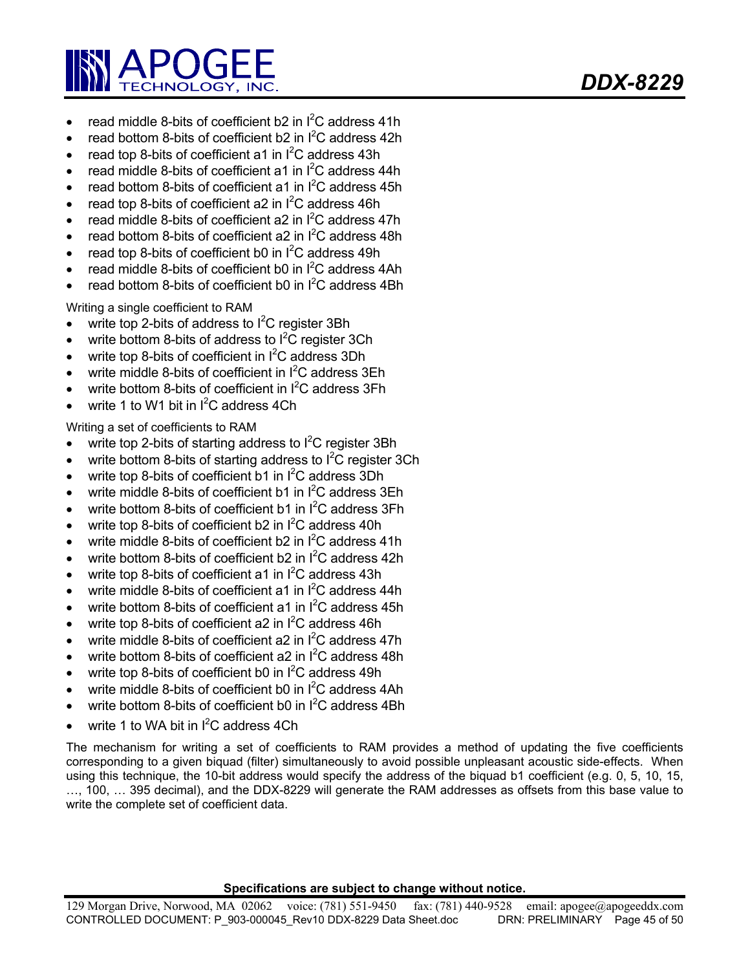

- read middle 8-bits of coefficient b2 in  $I^2C$  address 41h
- read bottom 8-bits of coefficient b2 in  $I^2C$  address 42h
- read top 8-bits of coefficient a1 in  $I^2C$  address 43h
- read middle 8-bits of coefficient a1 in  $I^2C$  address 44h
- read bottom 8-bits of coefficient a1 in  $I^2C$  address 45h
- read top 8-bits of coefficient a2 in  $I^2C$  address 46h
- read middle 8-bits of coefficient a2 in  $I^2C$  address 47h
- read bottom 8-bits of coefficient a2 in  $I^2C$  address 48h
- read top 8-bits of coefficient b0 in  $I^2C$  address 49h
- read middle 8-bits of coefficient b0 in  $I^2C$  address 4Ah
- read bottom 8-bits of coefficient b0 in  $I^2C$  address 4Bh

Writing a single coefficient to RAM

- write top 2-bits of address to  $I^2C$  register 3Bh
- write bottom 8-bits of address to  $I^2C$  register 3Ch
- write top 8-bits of coefficient in  $I^2C$  address 3Dh
- write middle 8-bits of coefficient in  $I^2C$  address 3Eh
- write bottom 8-bits of coefficient in  $I^2C$  address 3Fh
- write 1 to W1 bit in  $I^2C$  address 4Ch

Writing a set of coefficients to RAM

- write top 2-bits of starting address to  $I^2C$  register 3Bh
- write bottom 8-bits of starting address to  $I^2C$  register 3Ch
- write top 8-bits of coefficient b1 in  $I^2C$  address 3Dh
- write middle 8-bits of coefficient b1 in  $I^2C$  address 3Eh
- write bottom 8-bits of coefficient b1 in  $I^2C$  address 3Fh
- write top 8-bits of coefficient b2 in  $I^2C$  address 40h
- write middle 8-bits of coefficient b2 in  $I^2C$  address 41h
- write bottom 8-bits of coefficient b2 in  $I^2C$  address 42h
- write top 8-bits of coefficient a1 in  $I^2C$  address 43h
- write middle 8-bits of coefficient a1 in  $I^2C$  address 44h
- write bottom 8-bits of coefficient a1 in  $I^2C$  address 45h
- write top 8-bits of coefficient a2 in  $I^2C$  address 46h
- write middle 8-bits of coefficient a2 in  $I^2C$  address 47h
- write bottom 8-bits of coefficient a2 in  $I^2C$  address 48h
- write top 8-bits of coefficient b0 in  $I^2C$  address 49h
- write middle 8-bits of coefficient b0 in  $I^2C$  address 4Ah
- write bottom 8-bits of coefficient b0 in  $I^2C$  address 4Bh
- write 1 to WA bit in  $I^2C$  address 4Ch

The mechanism for writing a set of coefficients to RAM provides a method of updating the five coefficients corresponding to a given biquad (filter) simultaneously to avoid possible unpleasant acoustic side-effects. When using this technique, the 10-bit address would specify the address of the biquad b1 coefficient (e.g. 0, 5, 10, 15, …, 100, … 395 decimal), and the DDX-8229 will generate the RAM addresses as offsets from this base value to write the complete set of coefficient data.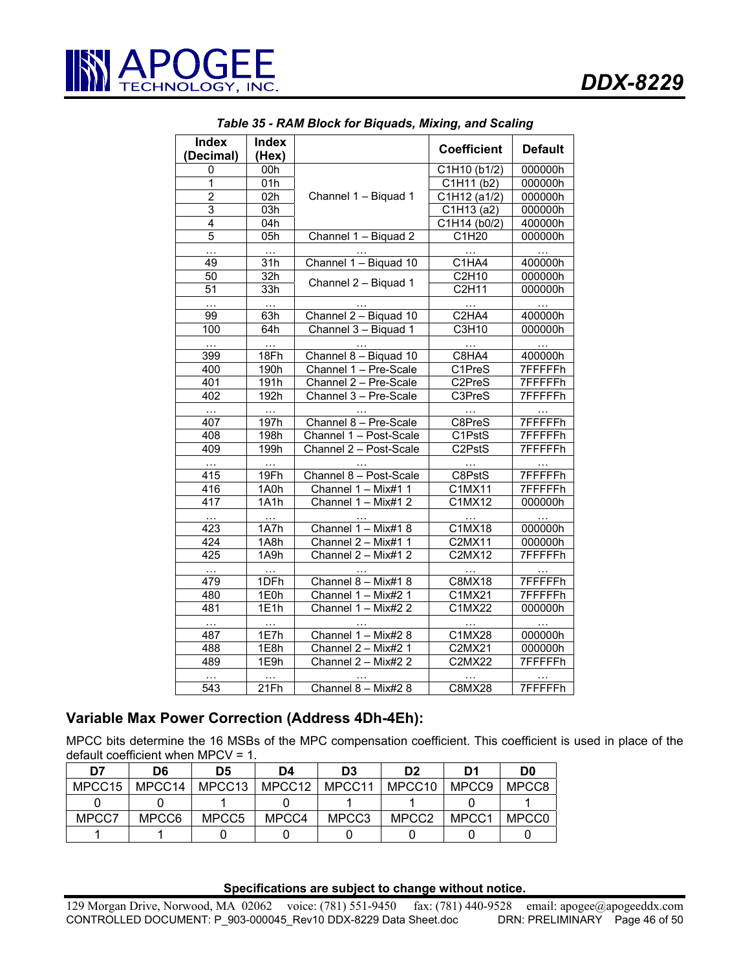

| <b>Index</b>   | <b>Index</b> |                        |                                |                |
|----------------|--------------|------------------------|--------------------------------|----------------|
| (Decimal)      | (Hex)        |                        | <b>Coefficient</b>             | <b>Default</b> |
| 0              | 00h          |                        | C1H10 (b1/2)                   | 000000h        |
| 1              | 01h          |                        | C1H11 (b2)                     | 000000h        |
| $\overline{2}$ | 02h          | Channel 1 - Biquad 1   | C1H12 (a1/2)                   | 000000h        |
| $\overline{3}$ | 03h          |                        | C1H13 (a2)                     | 000000h        |
| 4              | 04h          |                        | C1H14 (b0/2)                   | 400000h        |
| 5              | 05h          | Channel 1 - Biquad 2   | C1H20                          | 000000h        |
| .              | $\cdots$     |                        | $\sim$ $\sim$                  | $\ddotsc$      |
| 49             | 31h          | Channel 1 - Biquad 10  | C1HA4                          | 400000h        |
| 50             | 32h          |                        | C2H10                          | 000000h        |
| 51             | 33h          | Channel 2 - Biquad 1   | C2H11                          | 000000h        |
| .              | $\ddotsc$    |                        | $\sim$ $\sim$                  | $\ddotsc$      |
| 99             | 63h          | Channel 2 - Biquad 10  | C <sub>2</sub> HA <sub>4</sub> | 400000h        |
| 100            | 64h          | Channel 3 - Biquad 1   | C3H10                          | 000000h        |
| $\ddotsc$      | $\ddotsc$    |                        |                                |                |
| 399            | 18Fh         | Channel 8 - Biguad 10  | C8HA4                          | 400000h        |
| 400            | 190h         | Channel 1 - Pre-Scale  | C1PreS                         | <b>7FFFFFh</b> |
| 401            | 191h         | Channel 2 - Pre-Scale  | C2PreS                         | 7FFFFFh        |
| 402            | 192h         | Channel 3 - Pre-Scale  | C3PreS                         | 7FFFFFFh       |
| $\ldots$       | $\cdots$     |                        | $\ldots$                       | $\ddotsc$      |
| 407            | 197h         | Channel 8 - Pre-Scale  | C8PreS                         | 7FFFFFh        |
| 408            | 198h         | Channel 1 - Post-Scale | C1PstS                         | 7FFFFFh        |
| 409            | 199h         | Channel 2 - Post-Scale | C2PstS                         | 7FFFFFh        |
| $\sim$ .       | $\ddotsc$    |                        | $\sim$ $\sim$                  | $\ldots$       |
| 415            | 19Fh         | Channel 8 - Post-Scale | C8PstS                         | 7FFFFFh        |
| 416            | 1A0h         | Channel 1 - Mix#1 1    | C1MX11                         | 7FFFFFh        |
| 417            | 1A1h         | Channel $1 -$ Mix#1 2  | C1MX12                         | 000000h        |
| $\sim$ .       | $\ddotsc$    |                        |                                |                |
| 423            | 1A7h         | Channel 1 - Mix#1 8    | C1MX18                         | 000000h        |
| 424            | 1A8h         | Channel 2 - Mix#1 1    | <b>C2MX11</b>                  | 000000h        |
| 425            | 1A9h         | Channel 2 - Mix#1 2    | C2MX12                         | 7FFFFFh        |
| $\cdots$       |              |                        |                                |                |
| 479            | 1DFh         | Channel 8 - Mix#1 8    | C8MX18                         | 7FFFFFh        |
| 480            | 1E0h         | Channel 1 - Mix#2 1    | C1MX21                         | 7FFFFFFh       |
| 481            | 1E1h         | Channel 1 - Mix#2 2    | C1MX22                         | 000000h        |
| $\ddotsc$      |              |                        |                                |                |
| 487            | 1E7h         | Channel 1 - Mix#2 8    | C1MX28                         | 000000h        |
| 488            | 1E8h         | Channel 2 - Mix#2 1    | C2MX21                         | 000000h        |
| 489            | 1E9h         | Channel 2 - Mix#2 2    | <b>C2MX22</b>                  | 7FFFFFh        |
| $\cdots$       |              |                        |                                |                |
| 543            | 21Fh         | Channel 8 - Mix#2 8    | <b>C8MX28</b>                  | 7FFFFFFh       |

*Table 35 - RAM Block for Biquads, Mixing, and Scaling* 

# **Variable Max Power Correction (Address 4Dh-4Eh):**

MPCC bits determine the 16 MSBs of the MPC compensation coefficient. This coefficient is used in place of the default coefficient when MPCV = 1.

| D7     | D6     | D5     | D4     | D3     | D <sub>2</sub> | D1    | D <sub>0</sub> |
|--------|--------|--------|--------|--------|----------------|-------|----------------|
| MPCC15 | MPCC14 | MPCC13 | MPCC12 | MPCC11 | MPCC10         | MPCC9 | MPCC8          |
|        |        |        |        |        |                |       |                |
| MPCC7  | MPCC6  | MPCC5  | MPCC4  | MPCC3  | MPCC2          | MPCC1 | MPCC0          |
|        |        |        |        |        |                |       |                |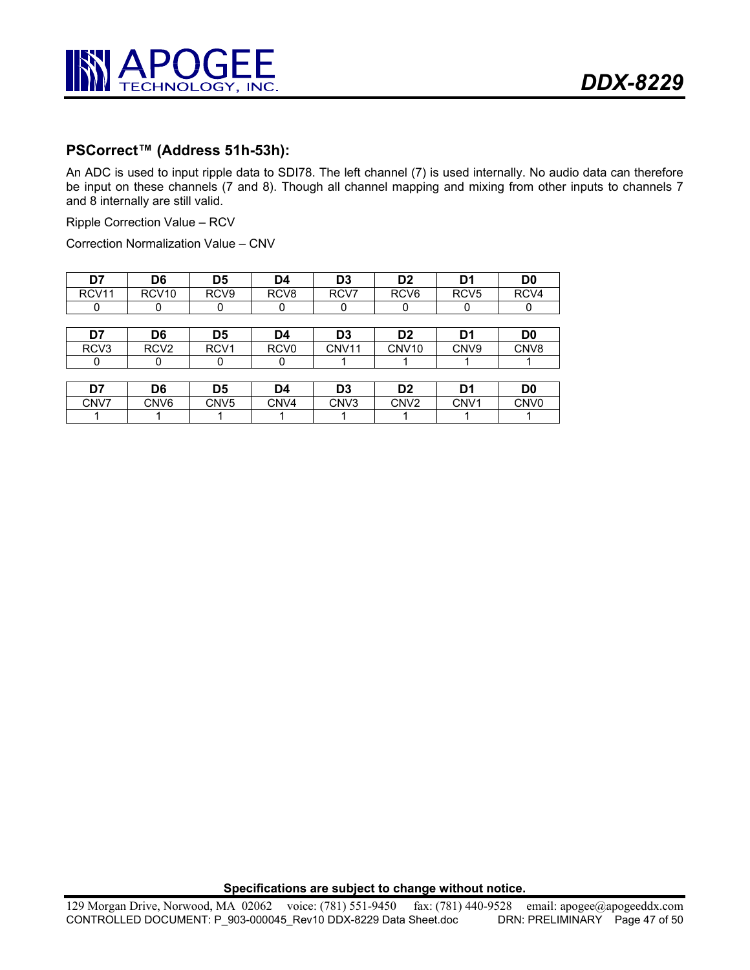

# **PSCorrect™ (Address 51h-53h):**

An ADC is used to input ripple data to SDI78. The left channel (7) is used internally. No audio data can therefore be input on these channels (7 and 8). Though all channel mapping and mixing from other inputs to channels 7 and 8 internally are still valid.

Ripple Correction Value – RCV

Correction Normalization Value – CNV

| D7                | D6                | D5               | D4               | D3   | D <sub>2</sub>   | D1               | D0   |
|-------------------|-------------------|------------------|------------------|------|------------------|------------------|------|
| RCV <sub>11</sub> | RCV <sub>10</sub> | RCV <sub>9</sub> | RCV <sub>8</sub> | RCV7 | RCV <sub>6</sub> | RCV <sub>5</sub> | RCV4 |
|                   |                   |                  |                  |      |                  |                  |      |

| D7               | D6               | D5               | D4               | D3    | D <sub>2</sub>    | n,               | D0               |
|------------------|------------------|------------------|------------------|-------|-------------------|------------------|------------------|
| RCV <sub>3</sub> | RCV <sub>2</sub> | RCV <sub>1</sub> | RCV <sub>0</sub> | CNV11 | CNV <sub>10</sub> | CNV <sub>9</sub> | CN <sub>V8</sub> |
|                  |                  |                  |                  |       |                   |                  |                  |

| n7<br>וט | D6               | D5               | D4   | D3               | מח               | D.<br>. . | D0               |
|----------|------------------|------------------|------|------------------|------------------|-----------|------------------|
| CNV7     | CNV <sub>6</sub> | CNV <sub>5</sub> | CNV4 | CN <sub>V3</sub> | CNV <sub>2</sub> | CNV1      | CNV <sub>0</sub> |
|          |                  |                  |      |                  |                  |           |                  |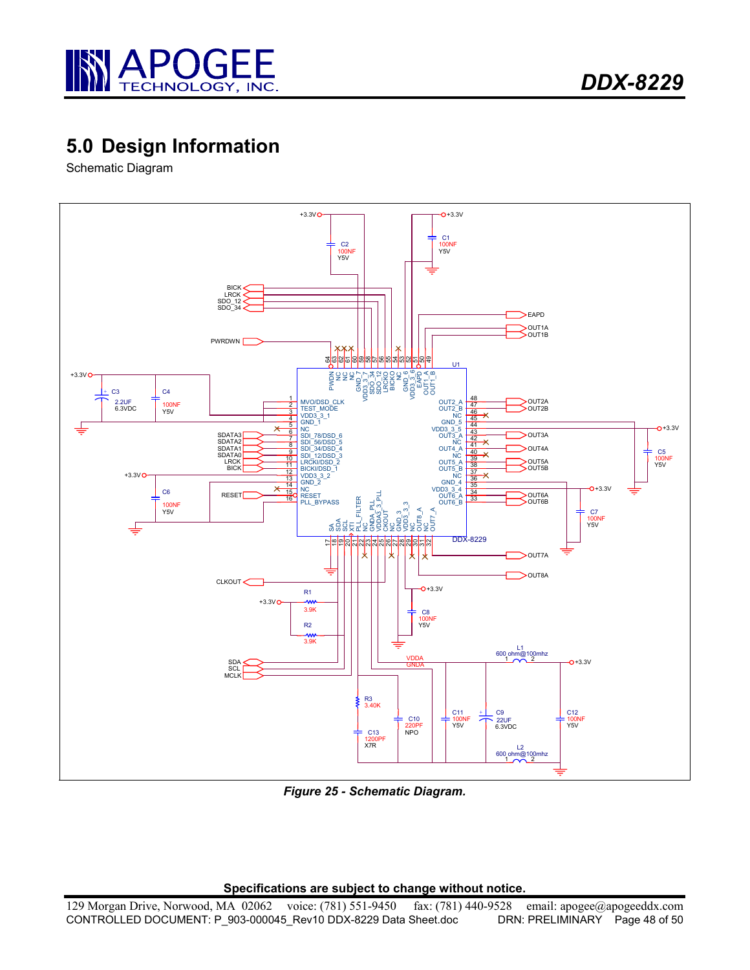

# **5.0 Design Information**

Schematic Diagram



*Figure 25 - Schematic Diagram.*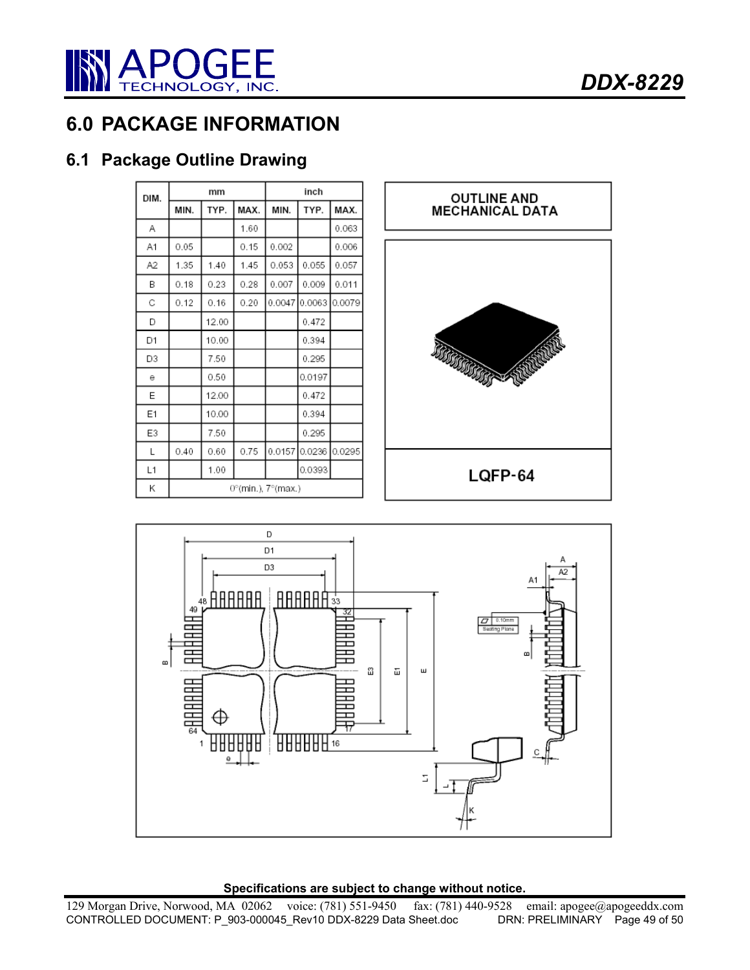

# **6.0 PACKAGE INFORMATION**

# **6.1 Package Outline Drawing**

| DIM. |      | mm    |      |                    | inch   |        |
|------|------|-------|------|--------------------|--------|--------|
|      | MIN. | TYP.  | MAX. | MIN.               | TYP.   | MAX.   |
| Α    |      |       | 1.60 |                    |        | 0.063  |
| A1   | 0.05 |       | 0.15 | 0.002              |        | 0.006  |
| A2   | 1.35 | 1.40  | 1.45 | 0.053              | 0.055  | 0.057  |
| B    | 0.18 | 0.23  | 0.28 | 0.007              | 0.009  | 0.011  |
| С    | 0.12 | 0.16  | 0.20 | 0.0047             | 0.0063 | 0.0079 |
| D    |      | 12.00 |      |                    | 0.472  |        |
| D1   |      | 10.00 |      |                    | 0.394  |        |
| D3   |      | 7.50  |      |                    | 0.295  |        |
| е    |      | 0.50  |      |                    | 0.0197 |        |
| E    |      | 12.00 |      |                    | 0.472  |        |
| Ε1   |      | 10.00 |      |                    | 0.394  |        |
| E3   |      | 7.50  |      |                    | 0.295  |        |
| Г    | 0.40 | 0.60  | 0.75 | 0.0157             | 0.0236 | 0.0295 |
| L1   |      | 1.00  |      |                    | 0.0393 |        |
| Κ    |      |       |      | 0°(min.), 7°(max.) |        |        |